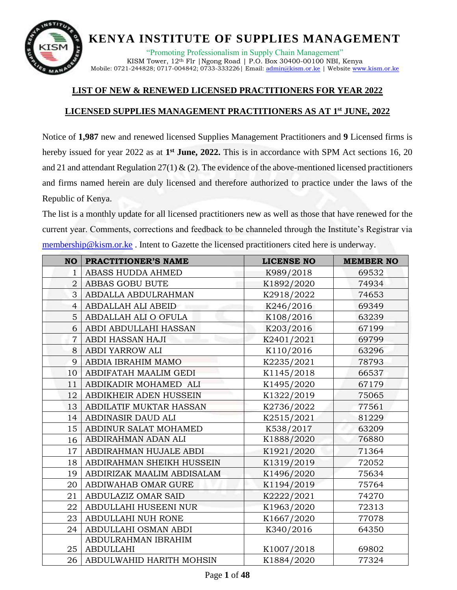

"Promoting Professionalism in Supply Chain Management" KISM Tower, 12th Flr |Ngong Road | P.O. Box 30400-00100 NBI, Kenya Mobile: 0721-244828; 0717-004842; 0733-333226 | Email[: admin@kism.or.ke](mailto:admin@kism.or.ke) | Website [www.kism.or.ke](http://www.kism.or.ke/)

#### **LIST OF NEW & RENEWED LICENSED PRACTITIONERS FOR YEAR 2022**

#### **LICENSED SUPPLIES MANAGEMENT PRACTITIONERS AS AT 1 st JUNE, 2022**

Notice of **1,987** new and renewed licensed Supplies Management Practitioners and **9** Licensed firms is hereby issued for year 2022 as at 1<sup>st</sup> June, 2022. This is in accordance with SPM Act sections 16, 20 and 21 and attendant Regulation  $27(1)$  & (2). The evidence of the above-mentioned licensed practitioners and firms named herein are duly licensed and therefore authorized to practice under the laws of the Republic of Kenya.

The list is a monthly update for all licensed practitioners new as well as those that have renewed for the current year. Comments, corrections and feedback to be channeled through the Institute's Registrar via [membership@kism.or.ke](mailto:membership@kism.or.ke) . Intent to Gazette the licensed practitioners cited here is underway.

| <b>NO</b>       | PRACTITIONER'S NAME        | <b>LICENSE NO</b> | <b>MEMBER NO</b> |
|-----------------|----------------------------|-------------------|------------------|
| 1               | <b>ABASS HUDDA AHMED</b>   | K989/2018         | 69532            |
| $\overline{2}$  | ABBAS GOBU BUTE            | K1892/2020        | 74934            |
| 3               | ABDALLA ABDULRAHMAN        | K2918/2022        | 74653            |
| 4               | <b>ABDALLAH ALI ABEID</b>  | K246/2016         | 69349            |
| 5               | ABDALLAH ALI O OFULA       | K108/2016         | 63239            |
| 6               | ABDI ABDULLAHI HASSAN      | K203/2016         | 67199            |
| $\overline{7}$  | ABDI HASSAN HAJI           | K2401/2021        | 69799            |
| 8               | ABDI YARROW ALI            | K110/2016         | 63296            |
| 9               | ABDIA IBRAHIM MAMO         | K2235/2021        | 78793            |
| 10              | ABDIFATAH MAALIM GEDI      | K1145/2018        | 66537            |
| 11              | ABDIKADIR MOHAMED ALI      | K1495/2020        | 67179            |
| 12              | ABDIKHEIR ADEN HUSSEIN     | K1322/2019        | 75065            |
| 13              | ABDILATIF MUKTAR HASSAN    | K2736/2022        | 77561            |
| 14              | ABDINASIR DAUD ALI         | K2515/2021        | 81229            |
| 15 <sup>1</sup> | ABDINUR SALAT MOHAMED      | K538/2017         | 63209            |
| 16              | ABDIRAHMAN ADAN ALI        | K1888/2020        | 76880            |
| 17              | ABDIRAHMAN HUJALE ABDI     | K1921/2020        | 71364            |
| 18              | ABDIRAHMAN SHEIKH HUSSEIN  | K1319/2019        | 72052            |
| 19              | ABDIRIZAK MAALIM ABDISALAM | K1496/2020        | 75634            |
| 20              | ABDIWAHAB OMAR GURE        | K1194/2019        | 75764            |
| 21              | ABDULAZIZ OMAR SAID        | K2222/2021        | 74270            |
| 22              | ABDULLAHI HUSEENI NUR      | K1963/2020        | 72313            |
| 23              | ABDULLAHI NUH RONE         | K1667/2020        | 77078            |
| 24              | ABDULLAHI OSMAN ABDI       | K340/2016         | 64350            |
|                 | ABDULRAHMAN IBRAHIM        |                   |                  |
| 25              | <b>ABDULLAHI</b>           | K1007/2018        | 69802            |
| 26              | ABDULWAHID HARITH MOHSIN   | K1884/2020        | 77324            |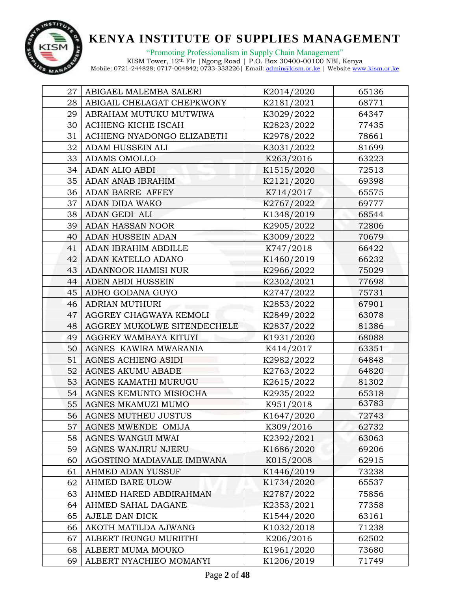

"Promoting Professionalism in Supply Chain Management" KISM Tower, 12th Flr |Ngong Road | P.O. Box 30400-00100 NBI, Kenya

| 27 | ABIGAEL MALEMBA SALERI      | K2014/2020 | 65136 |
|----|-----------------------------|------------|-------|
| 28 | ABIGAIL CHELAGAT CHEPKWONY  | K2181/2021 | 68771 |
| 29 | ABRAHAM MUTUKU MUTWIWA      | K3029/2022 | 64347 |
| 30 | ACHIENG KICHE ISCAH         | K2823/2022 | 77435 |
| 31 | ACHIENG NYADONGO ELIZABETH  | K2978/2022 | 78661 |
| 32 | ADAM HUSSEIN ALI            | K3031/2022 | 81699 |
| 33 | <b>ADAMS OMOLLO</b>         | K263/2016  | 63223 |
| 34 | <b>ADAN ALIO ABDI</b>       | K1515/2020 | 72513 |
| 35 | ADAN ANAB IBRAHIM           | K2121/2020 | 69398 |
| 36 | ADAN BARRE AFFEY            | K714/2017  | 65575 |
| 37 | ADAN DIDA WAKO              | K2767/2022 | 69777 |
| 38 | ADAN GEDI ALI               | K1348/2019 | 68544 |
| 39 | <b>ADAN HASSAN NOOR</b>     | K2905/2022 | 72806 |
| 40 | ADAN HUSSEIN ADAN           | K3009/2022 | 70679 |
| 41 | ADAN IBRAHIM ABDILLE        | K747/2018  | 66422 |
| 42 | ADAN KATELLO ADANO          | K1460/2019 | 66232 |
| 43 | <b>ADANNOOR HAMISI NUR</b>  | K2966/2022 | 75029 |
| 44 | ADEN ABDI HUSSEIN           | K2302/2021 | 77698 |
| 45 | ADHO GODANA GUYO            | K2747/2022 | 75731 |
| 46 | ADRIAN MUTHURI              | K2853/2022 | 67901 |
| 47 | AGGREY CHAGWAYA KEMOLI      | K2849/2022 | 63078 |
| 48 | AGGREY MUKOLWE SITENDECHELE | K2837/2022 | 81386 |
| 49 | AGGREY WAMBAYA KITUYI       | K1931/2020 | 68088 |
| 50 | AGNES KAWIRA MWARANIA       | K414/2017  | 63351 |
| 51 | AGNES ACHIENG ASIDI         | K2982/2022 | 64848 |
| 52 | AGNES AKUMU ABADE           | K2763/2022 | 64820 |
| 53 | AGNES KAMATHI MURUGU        | K2615/2022 | 81302 |
| 54 | AGNES KEMUNTO MISIOCHA      | K2935/2022 | 65318 |
| 55 | AGNES MKAMUZI MUMO          | K951/2018  | 63783 |
| 56 | AGNES MUTHEU JUSTUS         | K1647/2020 | 72743 |
| 57 | AGNES MWENDE OMIJA          | K309/2016  | 62732 |
| 58 | AGNES WANGUI MWAI           | K2392/2021 | 63063 |
| 59 | <b>AGNES WANJIRU NJERU</b>  | K1686/2020 | 69206 |
| 60 | AGOSTINO MADIAVALE IMBWANA  | K015/2008  | 62915 |
| 61 | AHMED ADAN YUSSUF           | K1446/2019 | 73238 |
| 62 | AHMED BARE ULOW             | K1734/2020 | 65537 |
| 63 | AHMED HARED ABDIRAHMAN      | K2787/2022 | 75856 |
| 64 | AHMED SAHAL DAGANE          | K2353/2021 | 77358 |
| 65 | AJELE DAN DICK              | K1544/2020 | 63161 |
| 66 | AKOTH MATILDA AJWANG        | K1032/2018 | 71238 |
| 67 | ALBERT IRUNGU MURIITHI      | K206/2016  | 62502 |
| 68 | ALBERT MUMA MOUKO           | K1961/2020 | 73680 |
| 69 | ALBERT NYACHIEO MOMANYI     | K1206/2019 | 71749 |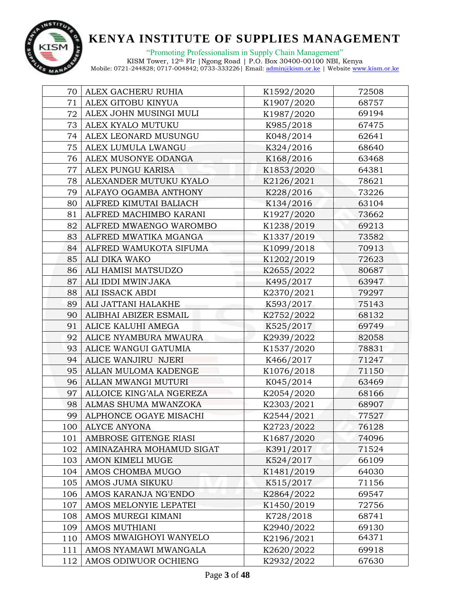

| 70  | ALEX GACHERU RUHIA       | K1592/2020 | 72508 |
|-----|--------------------------|------------|-------|
| 71  | ALEX GITOBU KINYUA       | K1907/2020 | 68757 |
| 72  | ALEX JOHN MUSINGI MULI   | K1987/2020 | 69194 |
| 73  | ALEX KYALO MUTUKU        | K985/2018  | 67475 |
| 74  | ALEX LEONARD MUSUNGU     | K048/2014  | 62641 |
| 75  | ALEX LUMULA LWANGU       | K324/2016  | 68640 |
| 76  | ALEX MUSONYE ODANGA      | K168/2016  | 63468 |
| 77  | ALEX PUNGU KARISA        | K1853/2020 | 64381 |
| 78  | ALEXANDER MUTUKU KYALO   | K2126/2021 | 78621 |
| 79  | ALFAYO OGAMBA ANTHONY    | K228/2016  | 73226 |
| 80  | ALFRED KIMUTAI BALIACH   | K134/2016  | 63104 |
| 81  | ALFRED MACHIMBO KARANI   | K1927/2020 | 73662 |
| 82  | ALFRED MWAENGO WAROMBO   | K1238/2019 | 69213 |
| 83  | ALFRED MWATIKA MGANGA    | K1337/2019 | 73582 |
| 84  | ALFRED WAMUKOTA SIFUMA   | K1099/2018 | 70913 |
| 85  | ALI DIKA WAKO            | K1202/2019 | 72623 |
| 86  | ALI HAMISI MATSUDZO      | K2655/2022 | 80687 |
| 87  | ALI IDDI MWIN'JAKA       | K495/2017  | 63947 |
| 88  | ALI ISSACK ABDI          | K2370/2021 | 79297 |
| 89  | ALI JATTANI HALAKHE      | K593/2017  | 75143 |
| 90  | ALIBHAI ABIZER ESMAIL    | K2752/2022 | 68132 |
| 91  | ALICE KALUHI AMEGA       | K525/2017  | 69749 |
| 92  | ALICE NYAMBURA MWAURA    | K2939/2022 | 82058 |
| 93  | ALICE WANGUI GATUMIA     | K1537/2020 | 78831 |
| 94  | ALICE WANJIRU NJERI      | K466/2017  | 71247 |
| 95  | ALLAN MULOMA KADENGE     | K1076/2018 | 71150 |
| 96  | ALLAN MWANGI MUTURI      | K045/2014  | 63469 |
| 97  | ALLOICE KING'ALA NGEREZA | K2054/2020 | 68166 |
| 98  | ALMAS SHUMA MWANZOKA     | K2303/2021 | 68907 |
| 99  | ALPHONCE OGAYE MISACHI   | K2544/2021 | 77527 |
| 100 | <b>ALYCE ANYONA</b>      | K2723/2022 | 76128 |
| 101 | AMBROSE GITENGE RIASI    | K1687/2020 | 74096 |
| 102 | AMINAZAHRA MOHAMUD SIGAT | K391/2017  | 71524 |
| 103 | AMON KIMELI MUGE         | K524/2017  | 66109 |
| 104 | AMOS CHOMBA MUGO         | K1481/2019 | 64030 |
| 105 | AMOS JUMA SIKUKU         | K515/2017  | 71156 |
| 106 | AMOS KARANJA NG'ENDO     | K2864/2022 | 69547 |
| 107 | AMOS MELONYIE LEPATEI    | K1450/2019 | 72756 |
| 108 | AMOS MUREGI KIMANI       | K728/2018  | 68741 |
| 109 | AMOS MUTHIANI            | K2940/2022 | 69130 |
| 110 | AMOS MWAIGHOYI WANYELO   | K2196/2021 | 64371 |
| 111 | AMOS NYAMAWI MWANGALA    | K2620/2022 | 69918 |
| 112 | AMOS ODIWUOR OCHIENG     | K2932/2022 | 67630 |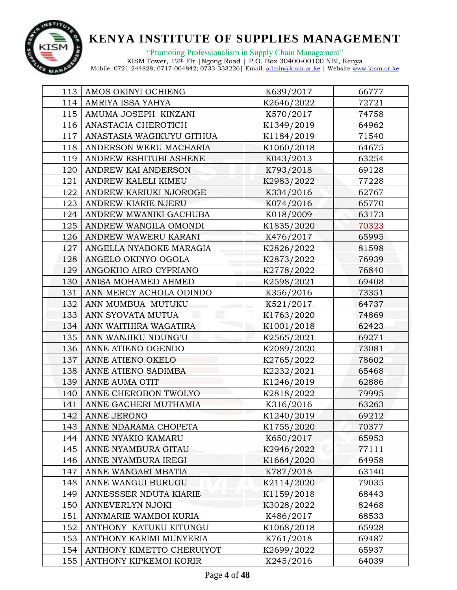

"Promoting Professionalism in Supply Chain Management" KISM Tower, 12th Flr |Ngong Road | P.O. Box 30400-00100 NBI, Kenya

| 113 | AMOS OKINYI OCHIENG       | K639/2017  | 66777 |
|-----|---------------------------|------------|-------|
| 114 | AMRIYA ISSA YAHYA         | K2646/2022 | 72721 |
| 115 | AMUMA JOSEPH KINZANI      | K570/2017  | 74758 |
| 116 | ANASTACIA CHEROTICH       | K1349/2019 | 64962 |
| 117 | ANASTASIA WAGIKUYU GITHUA | K1184/2019 | 71540 |
| 118 | ANDERSON WERU MACHARIA    | K1060/2018 | 64675 |
| 119 | ANDREW ESHITUBI ASHENE    | K043/2013  | 63254 |
| 120 | ANDREW KAI ANDERSON       | K793/2018  | 69128 |
| 121 | ANDREW KALELI KIMEU       | K2983/2022 | 77228 |
| 122 | ANDREW KARIUKI NJOROGE    | K334/2016  | 62767 |
| 123 | ANDREW KIARIE NJERU       | K074/2016  | 65770 |
| 124 | ANDREW MWANIKI GACHUBA    | K018/2009  | 63173 |
| 125 | ANDREW WANGILA OMONDI     | K1835/2020 | 70323 |
| 126 | ANDREW WAWERU KARANI      | K476/2017  | 65995 |
| 127 | ANGELLA NYABOKE MARAGIA   | K2826/2022 | 81598 |
| 128 | ANGELO OKINYO OGOLA       | K2873/2022 | 76939 |
| 129 | ANGOKHO AIRO CYPRIANO     | K2778/2022 | 76840 |
| 130 | ANISA MOHAMED AHMED       | K2598/2021 | 69408 |
| 131 | ANN MERCY ACHOLA ODINDO   | K356/2016  | 73351 |
| 132 | ANN MUMBUA MUTUKU         | K521/2017  | 64737 |
| 133 | ANN SYOVATA MUTUA         | K1763/2020 | 74869 |
| 134 | ANN WAITHIRA WAGATIRA     | K1001/2018 | 62423 |
| 135 | ANN WANJIKU NDUNG'U       | K2565/2021 | 69271 |
| 136 | ANNE ATIENO OGENDO        | K2089/2020 | 73081 |
| 137 | ANNE ATIENO OKELO         | K2765/2022 | 78602 |
| 138 | ANNE ATIENO SADIMBA       | K2232/2021 | 65468 |
| 139 | ANNE AUMA OTIT            | K1246/2019 | 62886 |
| 140 | ANNE CHEROBON TWOLYO      | K2818/2022 | 79995 |
| 141 | ANNE GACHERI MUTHAMIA     | K316/2016  | 63263 |
| 142 | <b>ANNE JERONO</b>        | K1240/2019 | 69212 |
| 143 | ANNE NDARAMA CHOPETA      | K1755/2020 | 70377 |
| 144 | ANNE NYAKIO KAMARU        | K650/2017  | 65953 |
| 145 | ANNE NYAMBURA GITAU       | K2946/2022 | 77111 |
| 146 | ANNE NYAMBURA IREGI       | K1664/2020 | 64958 |
| 147 | ANNE WANGARI MBATIA       | K787/2018  | 63140 |
| 148 | ANNE WANGUI BURUGU        | K2114/2020 | 79035 |
| 149 | ANNESSSER NDUTA KIARIE    | K1159/2018 | 68443 |
| 150 | ANNEVERLYN NJOKI          | K3028/2022 | 82468 |
| 151 | ANNMARIE WAMBOI KURIA     | K486/2017  | 68533 |
| 152 | ANTHONY KATUKU KITUNGU    | K1068/2018 | 65928 |
| 153 | ANTHONY KARIMI MUNYERIA   | K761/2018  | 69487 |
| 154 | ANTHONY KIMETTO CHERUIYOT | K2699/2022 | 65937 |
| 155 | ANTHONY KIPKEMOI KORIR    | K245/2016  | 64039 |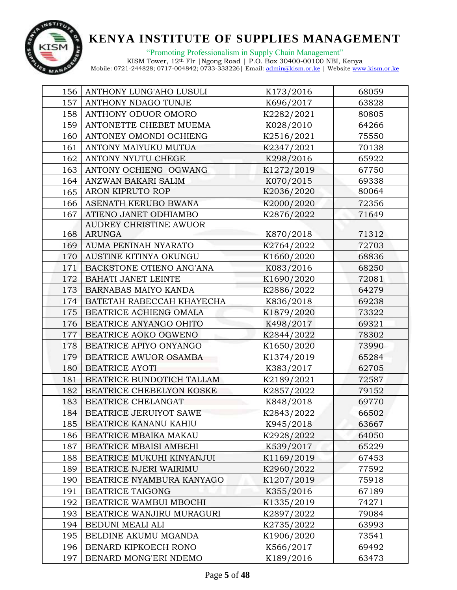

| 156 | ANTHONY LUNG'AHO LUSULI    | K173/2016  | 68059 |
|-----|----------------------------|------------|-------|
| 157 | ANTHONY NDAGO TUNJE        | K696/2017  | 63828 |
| 158 | ANTHONY ODUOR OMORO        | K2282/2021 | 80805 |
| 159 | ANTONETTE CHEBET MUEMA     | K028/2010  | 64266 |
| 160 | ANTONEY OMONDI OCHIENG     | K2516/2021 | 75550 |
| 161 | ANTONY MAIYUKU MUTUA       | K2347/2021 | 70138 |
| 162 | ANTONY NYUTU CHEGE         | K298/2016  | 65922 |
| 163 | ANTONY OCHIENG OGWANG      | K1272/2019 | 67750 |
| 164 | ANZWAN BAKARI SALIM        | K070/2015  | 69338 |
| 165 | ARON KIPRUTO ROP           | K2036/2020 | 80064 |
| 166 | ASENATH KERUBO BWANA       | K2000/2020 | 72356 |
| 167 | ATIENO JANET ODHIAMBO      | K2876/2022 | 71649 |
|     | AUDREY CHRISTINE AWUOR     |            |       |
| 168 | <b>ARUNGA</b>              | K870/2018  | 71312 |
| 169 | AUMA PENINAH NYARATO       | K2764/2022 | 72703 |
| 170 | AUSTINE KITINYA OKUNGU     | K1660/2020 | 68836 |
| 171 | BACKSTONE OTIENO ANG'ANA   | K083/2016  | 68250 |
| 172 | <b>BAHATI JANET LEINTE</b> | K1690/2020 | 72081 |
| 173 | BARNABAS MAIYO KANDA       | K2886/2022 | 64279 |
| 174 | BATETAH RABECCAH KHAYECHA  | K836/2018  | 69238 |
| 175 | BEATRICE ACHIENG OMALA     | K1879/2020 | 73322 |
| 176 | BEATRICE ANYANGO OHITO     | K498/2017  | 69321 |
| 177 | BEATRICE AOKO OGWENO       | K2844/2022 | 78302 |
| 178 | BEATRICE APIYO ONYANGO     | K1650/2020 | 73990 |
| 179 | BEATRICE AWUOR OSAMBA      | K1374/2019 | 65284 |
| 180 | <b>BEATRICE AYOTI</b>      | K383/2017  | 62705 |
| 181 | BEATRICE BUNDOTICH TALLAM  | K2189/2021 | 72587 |
| 182 | BEATRICE CHEBELYON KOSKE   | K2857/2022 | 79152 |
| 183 | BEATRICE CHELANGAT         | K848/2018  | 69770 |
| 184 | BEATRICE JERUIYOT SAWE     | K2843/2022 | 66502 |
| 185 | BEATRICE KANANU KAHIU      | K945/2018  | 63667 |
| 186 | BEATRICE MBAIKA MAKAU      | K2928/2022 | 64050 |
| 187 | BEATRICE MBAISI AMBEHI     | K539/2017  | 65229 |
| 188 | BEATRICE MUKUHI KINYANJUI  | K1169/2019 | 67453 |
| 189 | BEATRICE NJERI WAIRIMU     | K2960/2022 | 77592 |
| 190 | BEATRICE NYAMBURA KANYAGO  | K1207/2019 | 75918 |
| 191 | BEATRICE TAIGONG           | K355/2016  | 67189 |
| 192 | BEATRICE WAMBUI MBOCHI     | K1335/2019 | 74271 |
| 193 | BEATRICE WANJIRU MURAGURI  | K2897/2022 | 79084 |
| 194 | BEDUNI MEALI ALI           | K2735/2022 | 63993 |
| 195 | BELDINE AKUMU MGANDA       | K1906/2020 | 73541 |
| 196 | BENARD KIPKOECH RONO       | K566/2017  | 69492 |
| 197 | BENARD MONG'ERI NDEMO      | K189/2016  | 63473 |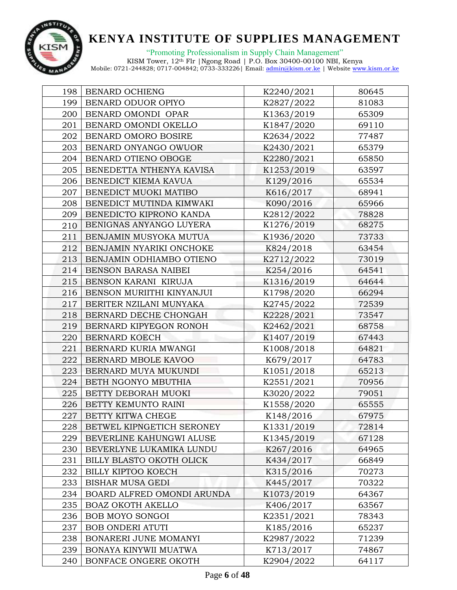

"Promoting Professionalism in Supply Chain Management"

| 198 | BENARD OCHIENG             | K2240/2021 | 80645 |
|-----|----------------------------|------------|-------|
| 199 | BENARD ODUOR OPIYO         | K2827/2022 | 81083 |
| 200 | BENARD OMONDI OPAR         | K1363/2019 | 65309 |
| 201 | BENARD OMONDI OKELLO       | K1847/2020 | 69110 |
| 202 | BENARD OMORO BOSIRE        | K2634/2022 | 77487 |
| 203 | BENARD ONYANGO OWUOR       | K2430/2021 | 65379 |
| 204 | BENARD OTIENO OBOGE        | K2280/2021 | 65850 |
| 205 | BENEDETTA NTHENYA KAVISA   | K1253/2019 | 63597 |
| 206 | BENEDICT KIEMA KAVUA       | K129/2016  | 65534 |
| 207 | BENEDICT MUOKI MATIBO      | K616/2017  | 68941 |
| 208 | BENEDICT MUTINDA KIMWAKI   | K090/2016  | 65966 |
| 209 | BENEDICTO KIPRONO KANDA    | K2812/2022 | 78828 |
| 210 | BENIGNAS ANYANGO LUYERA    | K1276/2019 | 68275 |
| 211 | BENJAMIN MUSYOKA MUTUA     | K1936/2020 | 73733 |
| 212 | BENJAMIN NYARIKI ONCHOKE   | K824/2018  | 63454 |
| 213 | BENJAMIN ODHIAMBO OTIENO   | K2712/2022 | 73019 |
| 214 | BENSON BARASA NAIBEI       | K254/2016  | 64541 |
| 215 | BENSON KARANI KIRUJA       | K1316/2019 | 64644 |
| 216 | BENSON MURIITHI KINYANJUI  | K1798/2020 | 66294 |
| 217 | BERITER NZILANI MUNYAKA    | K2745/2022 | 72539 |
| 218 | BERNARD DECHE CHONGAH      | K2228/2021 | 73547 |
| 219 | BERNARD KIPYEGON RONOH     | K2462/2021 | 68758 |
| 220 | BERNARD KOECH              | K1407/2019 | 67443 |
| 221 | BERNARD KURIA MWANGI       | K1008/2018 | 64821 |
| 222 | BERNARD MBOLE KAVOO        | K679/2017  | 64783 |
| 223 | BERNARD MUYA MUKUNDI       | K1051/2018 | 65213 |
| 224 | BETH NGONYO MBUTHIA        | K2551/2021 | 70956 |
| 225 | BETTY DEBORAH MUOKI        | K3020/2022 | 79051 |
| 226 | BETTY KEMUNTO RAINI        | K1558/2020 | 65555 |
| 227 | BETTY KITWA CHEGE          | K148/2016  | 67975 |
| 228 | BETWEL KIPNGETICH SERONEY  | K1331/2019 | 72814 |
| 229 | BEVERLINE KAHUNGWI ALUSE   | K1345/2019 | 67128 |
| 230 | BEVERLYNE LUKAMIKA LUNDU   | K267/2016  | 64965 |
| 231 | BILLY BLASTO OKOTH OLICK   | K434/2017  | 66849 |
| 232 | BILLY KIPTOO KOECH         | K315/2016  | 70273 |
| 233 | <b>BISHAR MUSA GEDI</b>    | K445/2017  | 70322 |
| 234 | BOARD ALFRED OMONDI ARUNDA | K1073/2019 | 64367 |
| 235 | <b>BOAZ OKOTH AKELLO</b>   | K406/2017  | 63567 |
| 236 | BOB MOYO SONGOI            | K2351/2021 | 78343 |
| 237 | <b>BOB ONDERI ATUTI</b>    | K185/2016  | 65237 |
| 238 | BONARERI JUNE MOMANYI      | K2987/2022 | 71239 |
| 239 | BONAYA KINYWII MUATWA      | K713/2017  | 74867 |
| 240 | BONFACE ONGERE OKOTH       | K2904/2022 | 64117 |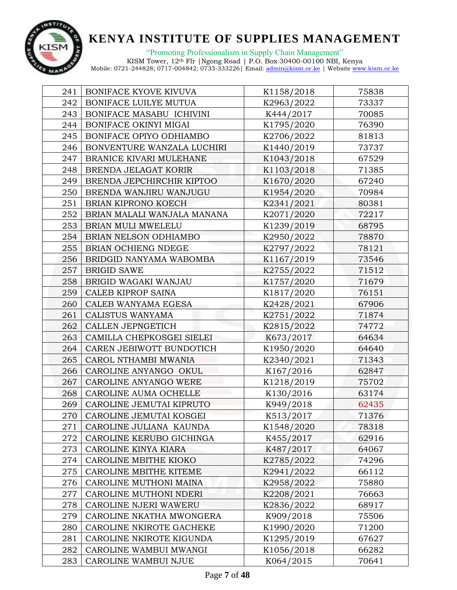

| 241 | BONIFACE KYOVE KIVUVA       | K1158/2018 | 75838 |
|-----|-----------------------------|------------|-------|
| 242 | BONIFACE LUILYE MUTUA       | K2963/2022 | 73337 |
| 243 | BONIFACE MASABU ICHIVINI    | K444/2017  | 70085 |
| 244 | BONIFACE OKINYI MIGAI       | K1795/2020 | 76390 |
| 245 | BONIFACE OPIYO ODHIAMBO     | K2706/2022 | 81813 |
| 246 | BONVENTURE WANZALA LUCHIRI  | K1440/2019 | 73737 |
| 247 | BRANICE KIVARI MULEHANE     | K1043/2018 | 67529 |
| 248 | BRENDA JELAGAT KORIR        | K1103/2018 | 71385 |
| 249 | BRENDA JEPCHIRCHIR KIPTOO   | K1670/2020 | 67240 |
| 250 | BRENDA WANJIRU WANJUGU      | K1954/2020 | 70984 |
| 251 | BRIAN KIPRONO KOECH         | K2341/2021 | 80381 |
| 252 | BRIAN MALALI WANJALA MANANA | K2071/2020 | 72217 |
| 253 | BRIAN MULI MWELELU          | K1239/2019 | 68795 |
| 254 | BRIAN NELSON ODHIAMBO       | K2950/2022 | 78870 |
| 255 | BRIAN OCHIENG NDEGE         | K2797/2022 | 78121 |
| 256 | BRIDGID NANYAMA WABOMBA     | K1167/2019 | 73546 |
| 257 | <b>BRIGID SAWE</b>          | K2755/2022 | 71512 |
| 258 | BRIGID WAGAKI WANJAU        | K1757/2020 | 71679 |
| 259 | CALEB KIPROP SAINA          | K1817/2020 | 76151 |
| 260 | CALEB WANYAMA EGESA         | K2428/2021 | 67906 |
| 261 | CALISTUS WANYAMA            | K2751/2022 | 71874 |
| 262 | CALLEN JEPNGETICH           | K2815/2022 | 74772 |
| 263 | CAMILLA CHEPKOSGEI SIELEI   | K673/2017  | 64634 |
| 264 | CAREN JEBIWOTT BUNDOTICH    | K1950/2020 | 64640 |
| 265 | CAROL NTHAMBI MWANIA        | K2340/2021 | 71343 |
| 266 | CAROLINE ANYANGO OKUL       | K167/2016  | 62847 |
| 267 | CAROLINE ANYANGO WERE       | K1218/2019 | 75702 |
| 268 | CAROLINE AUMA OCHELLE       | K130/2016  | 63174 |
| 269 | CAROLINE JEMUTAI KIPRUTO    | K949/2018  | 62435 |
| 270 | CAROLINE JEMUTAI KOSGEI     | K513/2017  | 71376 |
| 271 | CAROLINE JULIANA KAUNDA     | K1548/2020 | 78318 |
| 272 | CAROLINE KERUBO GICHINGA    | K455/2017  | 62916 |
| 273 | CAROLINE KINYA KIARA        | K487/2017  | 64067 |
| 274 | CAROLINE MBITHE KIOKO       | K2785/2022 | 74296 |
| 275 | CAROLINE MBITHE KITEME      | K2941/2022 | 66112 |
| 276 | CAROLINE MUTHONI MAINA      | K2958/2022 | 75880 |
| 277 | CAROLINE MUTHONI NDERI      | K2208/2021 | 76663 |
| 278 | CAROLINE NJERI WAWERU       | K2836/2022 | 68917 |
| 279 | CAROLINE NKATHA MWONGERA    | K909/2018  | 75506 |
| 280 | CAROLINE NKIROTE GACHEKE    | K1990/2020 | 71200 |
| 281 | CAROLINE NKIROTE KIGUNDA    | K1295/2019 | 67627 |
| 282 | CAROLINE WAMBUI MWANGI      | K1056/2018 | 66282 |
| 283 | CAROLINE WAMBUI NJUE        | K064/2015  | 70641 |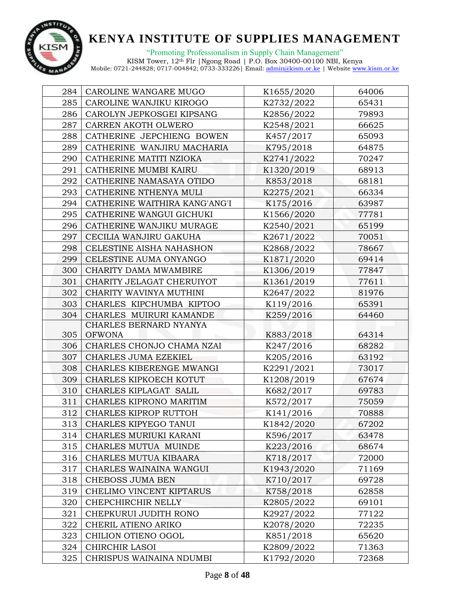

| 284 | CAROLINE WANGARE MUGO         | K1655/2020 | 64006 |
|-----|-------------------------------|------------|-------|
| 285 | CAROLINE WANJIKU KIROGO       | K2732/2022 | 65431 |
| 286 | CAROLYN JEPKOSGEI KIPSANG     | K2856/2022 | 79893 |
| 287 | CARREN AKOTH OLWERO           | K2548/2021 | 66625 |
| 288 | CATHERINE JEPCHIENG BOWEN     | K457/2017  | 65093 |
| 289 | CATHERINE WANJIRU MACHARIA    | K795/2018  | 64875 |
| 290 | CATHERINE MATITI NZIOKA       | K2741/2022 | 70247 |
| 291 | CATHERINE MUMBI KAIRU         | K1320/2019 | 68913 |
| 292 | CATHERINE NAMASAYA OTIDO      | K853/2018  | 68181 |
| 293 | CATHERINE NTHENYA MULI        | K2275/2021 | 66334 |
| 294 | CATHERINE WAITHIRA KANG'ANG'I | K175/2016  | 63987 |
| 295 | CATHERINE WANGUI GICHUKI      | K1566/2020 | 77781 |
| 296 | CATHERINE WANJIKU MURAGE      | K2540/2021 | 65199 |
| 297 | CECILIA WANJIRU GAKUHA        | K2671/2022 | 70051 |
| 298 | CELESTINE AISHA NAHASHON      | K2868/2022 | 78667 |
| 299 | CELESTINE AUMA ONYANGO        | K1871/2020 | 69414 |
| 300 | CHARITY DAMA MWAMBIRE         | K1306/2019 | 77847 |
| 301 | CHARITY JELAGAT CHERUIYOT     | K1361/2019 | 77611 |
| 302 | CHARITY WAVINYA MUTHINI       | K2647/2022 | 81976 |
| 303 | CHARLES KIPCHUMBA KIPTOO      | K119/2016  | 65391 |
| 304 | CHARLES MUIRURI KAMANDE       | K259/2016  | 64460 |
|     | CHARLES BERNARD NYANYA        |            |       |
| 305 | <b>OFWONA</b>                 | K883/2018  | 64314 |
| 306 | CHARLES CHONJO CHAMA NZAI     | K247/2016  | 68282 |
| 307 | CHARLES JUMA EZEKIEL          | K205/2016  | 63192 |
| 308 | CHARLES KIBERENGE MWANGI      | K2291/2021 | 73017 |
| 309 | CHARLES KIPKOECH KOTUT        | K1208/2019 | 67674 |
| 310 | CHARLES KIPLAGAT SALIL        | K682/2017  | 69783 |
| 311 | CHARLES KIPRONO MARITIM       | K572/2017  | 75059 |
| 312 | CHARLES KIPROP RUTTOH         | K141/2016  | 70888 |
| 313 | CHARLES KIPYEGO TANUI         | K1842/2020 | 67202 |
| 314 | CHARLES MURIUKI KARANI        | K596/2017  | 63478 |
| 315 | CHARLES MUTUA MUINDE          | K223/2016  | 68674 |
| 316 | CHARLES MUTUA KIBAARA         | K718/2017  | 72000 |
| 317 | CHARLES WAINAINA WANGUI       | K1943/2020 | 71169 |
| 318 | CHEBOSS JUMA BEN              | K710/2017  | 69728 |
| 319 | CHELIMO VINCENT KIPTARUS      | K758/2018  | 62858 |
| 320 | CHEPCHIRCHIR NELLY            | K2805/2022 | 69101 |
| 321 | CHEPKURUI JUDITH RONO         | K2927/2022 | 77122 |
| 322 | CHERIL ATIENO ARIKO           | K2078/2020 | 72235 |
| 323 | CHILION OTIENO OGOL           | K851/2018  | 65620 |
| 324 | CHIRCHIR LASOI                | K2809/2022 | 71363 |
| 325 | CHRISPUS WAINAINA NDUMBI      | K1792/2020 | 72368 |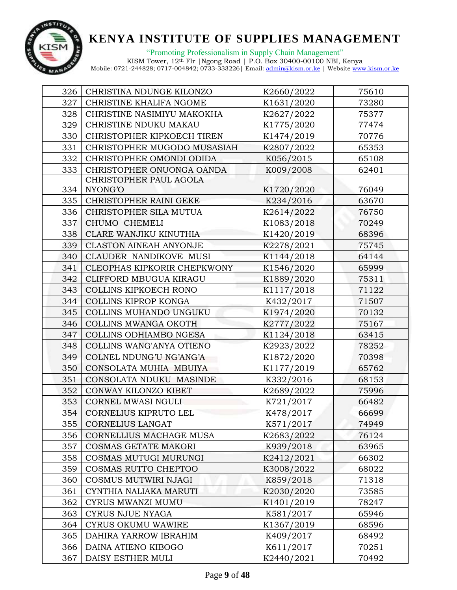

"Promoting Professionalism in Supply Chain Management" KISM Tower, 12th Flr |Ngong Road | P.O. Box 30400-00100 NBI, Kenya

| 326 | CHRISTINA NDUNGE KILONZO      | K2660/2022 | 75610 |
|-----|-------------------------------|------------|-------|
| 327 | CHRISTINE KHALIFA NGOME       | K1631/2020 | 73280 |
| 328 | CHRISTINE NASIMIYU MAKOKHA    | K2627/2022 | 75377 |
| 329 | CHRISTINE NDUKU MAKAU         | K1775/2020 | 77474 |
| 330 | CHRISTOPHER KIPKOECH TIREN    | K1474/2019 | 70776 |
| 331 | CHRISTOPHER MUGODO MUSASIAH   | K2807/2022 | 65353 |
| 332 | CHRISTOPHER OMONDI ODIDA      | K056/2015  | 65108 |
| 333 | CHRISTOPHER ONUONGA OANDA     | K009/2008  | 62401 |
|     | CHRISTOPHER PAUL AGOLA        |            |       |
| 334 | NYONG'O                       | K1720/2020 | 76049 |
| 335 | CHRISTOPHER RAINI GEKE        | K234/2016  | 63670 |
| 336 | CHRISTOPHER SILA MUTUA        | K2614/2022 | 76750 |
| 337 | CHUMO CHEMELI                 | K1083/2018 | 70249 |
| 338 | CLARE WANJIKU KINUTHIA        | K1420/2019 | 68396 |
| 339 | <b>CLASTON AINEAH ANYONJE</b> | K2278/2021 | 75745 |
| 340 | CLAUDER NANDIKOVE MUSI        | K1144/2018 | 64144 |
| 341 | CLEOPHAS KIPKORIR CHEPKWONY   | K1546/2020 | 65999 |
| 342 | CLIFFORD MBUGUA KIRAGU        | K1889/2020 | 75311 |
| 343 | COLLINS KIPKOECH RONO         | K1117/2018 | 71122 |
| 344 | COLLINS KIPROP KONGA          | K432/2017  | 71507 |
| 345 | COLLINS MUHANDO UNGUKU        | K1974/2020 | 70132 |
| 346 | COLLINS MWANGA OKOTH          | K2777/2022 | 75167 |
| 347 | COLLINS ODHIAMBO NGESA        | K1124/2018 | 63415 |
| 348 | COLLINS WANG'ANYA OTIENO      | K2923/2022 | 78252 |
| 349 | COLNEL NDUNG'U NG'ANG'A       | K1872/2020 | 70398 |
| 350 | CONSOLATA MUHIA MBUIYA        | K1177/2019 | 65762 |
| 351 | CONSOLATA NDUKU MASINDE       | K332/2016  | 68153 |
| 352 | CONWAY KILONZO KIBET          | K2689/2022 | 75996 |
| 353 | CORNEL MWASI NGULI            | K721/2017  | 66482 |
| 354 | CORNELIUS KIPRUTO LEL         | K478/2017  | 66699 |
| 355 | <b>CORNELIUS LANGAT</b>       | K571/2017  | 74949 |
| 356 | CORNELLIUS MACHAGE MUSA       | K2683/2022 | 76124 |
| 357 | COSMAS GETATE MAKORI          | K939/2018  | 63965 |
| 358 | COSMAS MUTUGI MURUNGI         | K2412/2021 | 66302 |
| 359 | <b>COSMAS RUTTO CHEPTOO</b>   | K3008/2022 | 68022 |
| 360 | COSMUS MUTWIRI NJAGI          | K859/2018  | 71318 |
| 361 | CYNTHIA NALIAKA MARUTI        | K2030/2020 | 73585 |
| 362 | CYRUS MWANZI MUMU             | K1401/2019 | 78247 |
| 363 | CYRUS NJUE NYAGA              | K581/2017  | 65946 |
| 364 | <b>CYRUS OKUMU WAWIRE</b>     | K1367/2019 | 68596 |
| 365 | DAHIRA YARROW IBRAHIM         | K409/2017  | 68492 |
| 366 | DAINA ATIENO KIBOGO           | K611/2017  | 70251 |
| 367 | DAISY ESTHER MULI             | K2440/2021 | 70492 |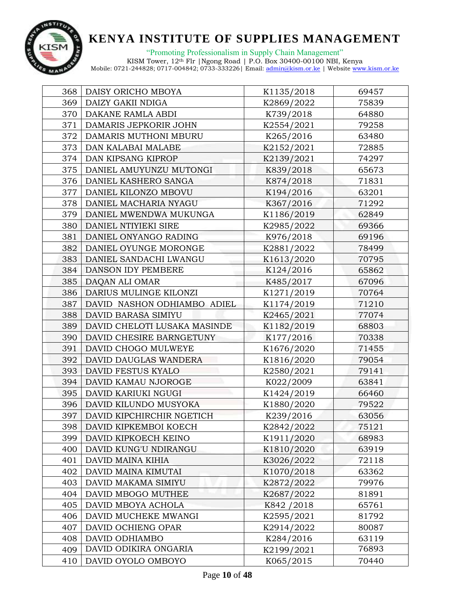

| 368 | DAISY ORICHO MBOYA           | K1135/2018  | 69457 |
|-----|------------------------------|-------------|-------|
| 369 | DAIZY GAKII NDIGA            | K2869/2022  | 75839 |
| 370 | DAKANE RAMLA ABDI            | K739/2018   | 64880 |
| 371 | DAMARIS JEPKORIR JOHN        | K2554/2021  | 79258 |
| 372 | DAMARIS MUTHONI MBURU        | K265/2016   | 63480 |
| 373 | DAN KALABAI MALABE           | K2152/2021  | 72885 |
| 374 | DAN KIPSANG KIPROP           | K2139/2021  | 74297 |
| 375 | DANIEL AMUYUNZU MUTONGI      | K839/2018   | 65673 |
| 376 | DANIEL KASHERO SANGA         | K874/2018   | 71831 |
| 377 | DANIEL KILONZO MBOVU         | K194/2016   | 63201 |
| 378 | DANIEL MACHARIA NYAGU        | K367/2016   | 71292 |
| 379 | DANIEL MWENDWA MUKUNGA       | K1186/2019  | 62849 |
| 380 | DANIEL NTIYIEKI SIRE         | K2985/2022  | 69366 |
| 381 | DANIEL ONYANGO RADING        | K976/2018   | 69196 |
| 382 | DANIEL OYUNGE MORONGE        | K2881/2022  | 78499 |
| 383 | DANIEL SANDACHI LWANGU       | K1613/2020  | 70795 |
| 384 | DANSON IDY PEMBERE           | K124/2016   | 65862 |
| 385 | DAQAN ALI OMAR               | K485/2017   | 67096 |
| 386 | DARIUS MULINGE KILONZI       | K1271/2019  | 70764 |
| 387 | DAVID NASHON ODHIAMBO ADIEL  | K1174/2019  | 71210 |
| 388 | DAVID BARASA SIMIYU          | K2465/2021  | 77074 |
| 389 | DAVID CHELOTI LUSAKA MASINDE | K1182/2019  | 68803 |
| 390 | DAVID CHESIRE BARNGETUNY     | K177/2016   | 70338 |
| 391 | DAVID CHOGO MULWEYE          | K1676/2020  | 71455 |
| 392 | DAVID DAUGLAS WANDERA        | K1816/2020  | 79054 |
| 393 | DAVID FESTUS KYALO           | K2580/2021  | 79141 |
| 394 | DAVID KAMAU NJOROGE          | K022/2009   | 63841 |
| 395 | DAVID KARIUKI NGUGI          | K1424/2019  | 66460 |
| 396 | DAVID KILUNDO MUSYOKA        | K1880/2020  | 79522 |
| 397 | DAVID KIPCHIRCHIR NGETICH    | K239/2016   | 63056 |
| 398 | DAVID KIPKEMBOI KOECH        | K2842/2022  | 75121 |
| 399 | DAVID KIPKOECH KEINO         | K1911/2020  | 68983 |
| 400 | DAVID KUNG'U NDIRANGU        | K1810/2020  | 63919 |
| 401 | DAVID MAINA KIHIA            | K3026/2022  | 72118 |
| 402 | DAVID MAINA KIMUTAI          | K1070/2018  | 63362 |
| 403 | DAVID MAKAMA SIMIYU          | K2872/2022  | 79976 |
| 404 | DAVID MBOGO MUTHEE           | K2687/2022  | 81891 |
| 405 | DAVID MBOYA ACHOLA           | K842 / 2018 | 65761 |
| 406 | DAVID MUCHEKE MWANGI         | K2595/2021  | 81792 |
| 407 | DAVID OCHIENG OPAR           | K2914/2022  | 80087 |
| 408 | DAVID ODHIAMBO               | K284/2016   | 63119 |
| 409 | DAVID ODIKIRA ONGARIA        | K2199/2021  | 76893 |
| 410 | DAVID OYOLO OMBOYO           | K065/2015   | 70440 |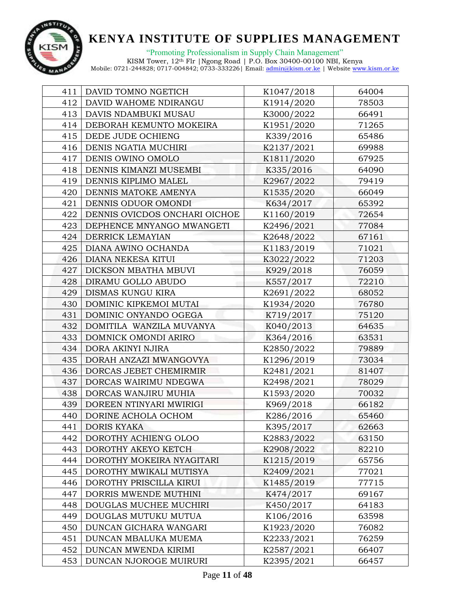

"Promoting Professionalism in Supply Chain Management" KISM Tower, 12th Flr |Ngong Road | P.O. Box 30400-00100 NBI, Kenya

| 411 | DAVID TOMNO NGETICH           | K1047/2018 | 64004 |
|-----|-------------------------------|------------|-------|
| 412 | DAVID WAHOME NDIRANGU         | K1914/2020 | 78503 |
| 413 | DAVIS NDAMBUKI MUSAU          | K3000/2022 | 66491 |
| 414 | DEBORAH KEMUNTO MOKEIRA       | K1951/2020 | 71265 |
| 415 | DEDE JUDE OCHIENG             | K339/2016  | 65486 |
| 416 | DENIS NGATIA MUCHIRI          | K2137/2021 | 69988 |
| 417 | DENIS OWINO OMOLO             | K1811/2020 | 67925 |
| 418 | DENNIS KIMANZI MUSEMBI        | K335/2016  | 64090 |
| 419 | DENNIS KIPLIMO MALEL          | K2967/2022 | 79419 |
| 420 | DENNIS MATOKE AMENYA          | K1535/2020 | 66049 |
| 421 | DENNIS ODUOR OMONDI           | K634/2017  | 65392 |
| 422 | DENNIS OVICDOS ONCHARI OICHOE | K1160/2019 | 72654 |
| 423 | DEPHENCE MNYANGO MWANGETI     | K2496/2021 | 77084 |
| 424 | DERRICK LEMAYIAN              | K2648/2022 | 67161 |
| 425 | DIANA AWINO OCHANDA           | K1183/2019 | 71021 |
| 426 | <b>DIANA NEKESA KITUI</b>     | K3022/2022 | 71203 |
| 427 | DICKSON MBATHA MBUVI          | K929/2018  | 76059 |
| 428 | DIRAMU GOLLO ABUDO            | K557/2017  | 72210 |
| 429 | DISMAS KUNGU KIRA             | K2691/2022 | 68052 |
| 430 | DOMINIC KIPKEMOI MUTAI        | K1934/2020 | 76780 |
| 431 | DOMINIC ONYANDO OGEGA         | K719/2017  | 75120 |
| 432 | DOMITILA WANZILA MUVANYA      | K040/2013  | 64635 |
| 433 | DOMNICK OMONDI ARIRO          | K364/2016  | 63531 |
| 434 | DORA AKINYI NJIRA             | K2850/2022 | 79889 |
| 435 | DORAH ANZAZI MWANGOVYA        | K1296/2019 | 73034 |
| 436 | DORCAS JEBET CHEMIRMIR        | K2481/2021 | 81407 |
| 437 | DORCAS WAIRIMU NDEGWA         | K2498/2021 | 78029 |
| 438 | DORCAS WANJIRU MUHIA          | K1593/2020 | 70032 |
| 439 | DOREEN NTINYARI MWIRIGI       | K969/2018  | 66182 |
| 440 | DORINE ACHOLA OCHOM           | K286/2016  | 65460 |
| 441 | DORIS KYAKA                   | K395/2017  | 62663 |
| 442 | DOROTHY ACHIEN'G OLOO         | K2883/2022 | 63150 |
| 443 | DOROTHY AKEYO KETCH           | K2908/2022 | 82210 |
| 444 | DOROTHY MOKEIRA NYAGITARI     | K1215/2019 | 65756 |
| 445 | DOROTHY MWIKALI MUTISYA       | K2409/2021 | 77021 |
| 446 | DOROTHY PRISCILLA KIRUI       | K1485/2019 | 77715 |
| 447 | DORRIS MWENDE MUTHINI         | K474/2017  | 69167 |
| 448 | DOUGLAS MUCHEE MUCHIRI        | K450/2017  | 64183 |
| 449 | DOUGLAS MUTUKU MUTUA          | K106/2016  | 63598 |
| 450 | DUNCAN GICHARA WANGARI        | K1923/2020 | 76082 |
| 451 | DUNCAN MBALUKA MUEMA          | K2233/2021 | 76259 |
| 452 | DUNCAN MWENDA KIRIMI          | K2587/2021 | 66407 |
| 453 | DUNCAN NJOROGE MUIRURI        | K2395/2021 | 66457 |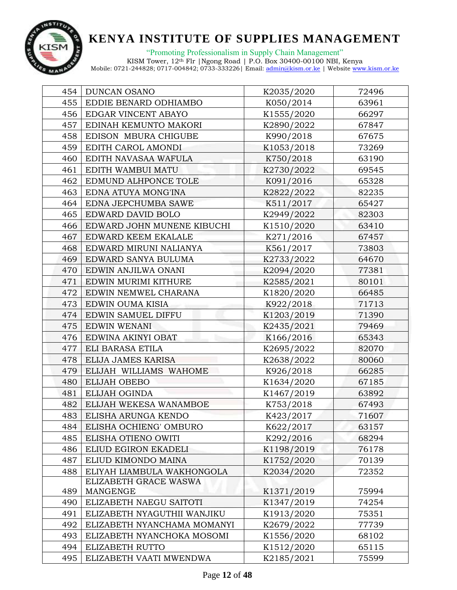

"Promoting Professionalism in Supply Chain Management"

| 454 | <b>DUNCAN OSANO</b>         | K2035/2020 | 72496 |
|-----|-----------------------------|------------|-------|
| 455 | EDDIE BENARD ODHIAMBO       | K050/2014  | 63961 |
| 456 | EDGAR VINCENT ABAYO         | K1555/2020 | 66297 |
| 457 | EDINAH KEMUNTO MAKORI       | K2890/2022 | 67847 |
| 458 | EDISON MBURA CHIGUBE        | K990/2018  | 67675 |
| 459 | EDITH CAROL AMONDI          | K1053/2018 | 73269 |
| 460 | EDITH NAVASAA WAFULA        | K750/2018  | 63190 |
| 461 | EDITH WAMBUI MATU           | K2730/2022 | 69545 |
| 462 | EDMUND ALHPONCE TOLE        | K091/2016  | 65328 |
| 463 | EDNA ATUYA MONG'INA         | K2822/2022 | 82235 |
| 464 | EDNA JEPCHUMBA SAWE         | K511/2017  | 65427 |
| 465 | EDWARD DAVID BOLO           | K2949/2022 | 82303 |
| 466 | EDWARD JOHN MUNENE KIBUCHI  | K1510/2020 | 63410 |
| 467 | EDWARD KEEM EKALALE         | K271/2016  | 67457 |
| 468 | EDWARD MIRUNI NALIANYA      | K561/2017  | 73803 |
| 469 | EDWARD SANYA BULUMA         | K2733/2022 | 64670 |
| 470 | EDWIN ANJILWA ONANI         | K2094/2020 | 77381 |
| 471 | EDWIN MURIMI KITHURE        | K2585/2021 | 80101 |
| 472 | EDWIN NEMWEL CHARANA        | K1820/2020 | 66485 |
| 473 | EDWIN OUMA KISIA            | K922/2018  | 71713 |
| 474 | EDWIN SAMUEL DIFFU          | K1203/2019 | 71390 |
| 475 | EDWIN WENANI                | K2435/2021 | 79469 |
| 476 | EDWINA AKINYI OBAT          | K166/2016  | 65343 |
| 477 | ELI BARASA ETILA            | K2695/2022 | 82070 |
| 478 | ELIJA JAMES KARISA          | K2638/2022 | 80060 |
| 479 | ELIJAH WILLIAMS WAHOME      | K926/2018  | 66285 |
| 480 | ELIJAH OBEBO                | K1634/2020 | 67185 |
| 481 | ELIJAH OGINDA               | K1467/2019 | 63892 |
| 482 | ELIJAH WEKESA WANAMBOE      | K753/2018  | 67493 |
| 483 | ELISHA ARUNGA KENDO         | K423/2017  | 71607 |
| 484 | ELISHA OCHIENG' OMBURO      | K622/2017  | 63157 |
| 485 | ELISHA OTIENO OWITI         | K292/2016  | 68294 |
| 486 | ELIUD EGIRON EKADELI        | K1198/2019 | 76178 |
| 487 | ELIUD KIMONDO MAINA         | K1752/2020 | 70139 |
| 488 | ELIYAH LIAMBULA WAKHONGOLA  | K2034/2020 | 72352 |
|     | ELIZABETH GRACE WASWA       |            |       |
| 489 | MANGENGE                    | K1371/2019 | 75994 |
| 490 | ELIZABETH NAEGU SAITOTI     | K1347/2019 | 74254 |
| 491 | ELIZABETH NYAGUTHII WANJIKU | K1913/2020 | 75351 |
| 492 | ELIZABETH NYANCHAMA MOMANYI | K2679/2022 | 77739 |
| 493 | ELIZABETH NYANCHOKA MOSOMI  | K1556/2020 | 68102 |
| 494 | ELIZABETH RUTTO             | K1512/2020 | 65115 |
| 495 | ELIZABETH VAATI MWENDWA     | K2185/2021 | 75599 |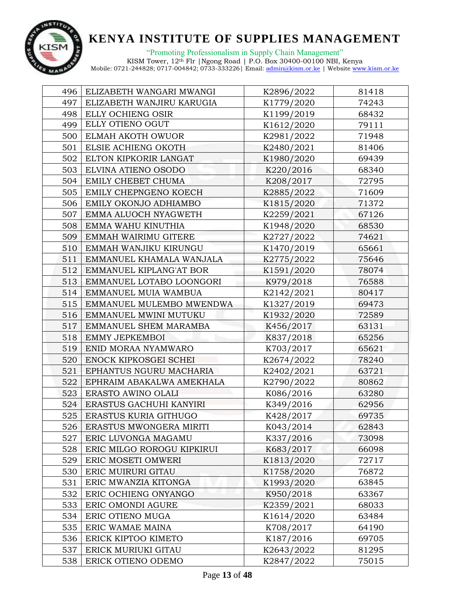

| 496 | ELIZABETH WANGARI MWANGI   | K2896/2022 | 81418 |
|-----|----------------------------|------------|-------|
| 497 | ELIZABETH WANJIRU KARUGIA  | K1779/2020 | 74243 |
| 498 | ELLY OCHIENG OSIR          | K1199/2019 | 68432 |
| 499 | ELLY OTIENO OGUT           | K1612/2020 | 79111 |
| 500 | ELMAH AKOTH OWUOR          | K2981/2022 | 71948 |
| 501 | ELSIE ACHIENG OKOTH        | K2480/2021 | 81406 |
| 502 | ELTON KIPKORIR LANGAT      | K1980/2020 | 69439 |
| 503 | ELVINA ATIENO OSODO        | K220/2016  | 68340 |
| 504 | EMILY CHEBET CHUMA         | K208/2017  | 72795 |
| 505 | EMILY CHEPNGENO KOECH      | K2885/2022 | 71609 |
| 506 | EMILY OKONJO ADHIAMBO      | K1815/2020 | 71372 |
| 507 | EMMA ALUOCH NYAGWETH       | K2259/2021 | 67126 |
| 508 | EMMA WAHU KINUTHIA         | K1948/2020 | 68530 |
| 509 | EMMAH WAIRIMU GITERE       | K2727/2022 | 74621 |
| 510 | EMMAH WANJIKU KIRUNGU      | K1470/2019 | 65661 |
| 511 | EMMANUEL KHAMALA WANJALA   | K2775/2022 | 75646 |
| 512 | EMMANUEL KIPLANG'AT BOR    | K1591/2020 | 78074 |
| 513 | EMMANUEL LOTABO LOONGORI   | K979/2018  | 76588 |
| 514 | EMMANUEL MUIA WAMBUA       | K2142/2021 | 80417 |
| 515 | EMMANUEL MULEMBO MWENDWA   | K1327/2019 | 69473 |
| 516 | EMMANUEL MWINI MUTUKU      | K1932/2020 | 72589 |
| 517 | EMMANUEL SHEM MARAMBA      | K456/2017  | 63131 |
| 518 | EMMY JEPKEMBOI             | K837/2018  | 65256 |
| 519 | ENID MORAA NYAMWARO        | K703/2017  | 65621 |
| 520 | ENOCK KIPKOSGEI SCHEI      | K2674/2022 | 78240 |
| 521 | EPHANTUS NGURU MACHARIA    | K2402/2021 | 63721 |
| 522 | EPHRAIM ABAKALWA AMEKHALA  | K2790/2022 | 80862 |
| 523 | ERASTO AWINO OLALI         | K086/2016  | 63280 |
| 524 | ERASTUS GACHUHI KANYIRI    | K349/2016  | 62956 |
| 525 | ERASTUS KURIA GITHUGO      | K428/2017  | 69735 |
| 526 | ERASTUS MWONGERA MIRITI    | K043/2014  | 62843 |
| 527 | ERIC LUVONGA MAGAMU        | K337/2016  | 73098 |
| 528 | ERIC MILGO ROROGU KIPKIRUI | K683/2017  | 66098 |
| 529 | ERIC MOSETI OMWERI         | K1813/2020 | 72717 |
| 530 | ERIC MUIRURI GITAU         | K1758/2020 | 76872 |
| 531 | ERIC MWANZIA KITONGA       | K1993/2020 | 63845 |
| 532 | ERIC OCHIENG ONYANGO       | K950/2018  | 63367 |
| 533 | ERIC OMONDI AGURE          | K2359/2021 | 68033 |
| 534 | ERIC OTIENO MUGA           | K1614/2020 | 63484 |
| 535 | ERIC WAMAE MAINA           | K708/2017  | 64190 |
| 536 | ERICK KIPTOO KIMETO        | K187/2016  | 69705 |
| 537 | ERICK MURIUKI GITAU        | K2643/2022 | 81295 |
| 538 | ERICK OTIENO ODEMO         | K2847/2022 | 75015 |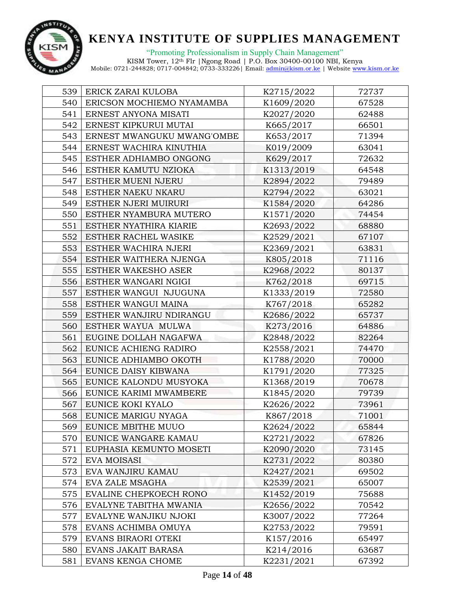

| 539 | ERICK ZARAI KULOBA         | K2715/2022 | 72737 |
|-----|----------------------------|------------|-------|
| 540 | ERICSON MOCHIEMO NYAMAMBA  | K1609/2020 | 67528 |
| 541 | ERNEST ANYONA MISATI       | K2027/2020 | 62488 |
| 542 | ERNEST KIPKURUI MUTAI      | K665/2017  | 66501 |
| 543 | ERNEST MWANGUKU MWANG'OMBE | K653/2017  | 71394 |
| 544 | ERNEST WACHIRA KINUTHIA    | K019/2009  | 63041 |
| 545 | ESTHER ADHIAMBO ONGONG     | K629/2017  | 72632 |
| 546 | ESTHER KAMUTU NZIOKA       | K1313/2019 | 64548 |
| 547 | ESTHER MUENI NJERU         | K2894/2022 | 79489 |
| 548 | ESTHER NAEKU NKARU         | K2794/2022 | 63021 |
| 549 | ESTHER NJERI MUIRURI       | K1584/2020 | 64286 |
| 550 | ESTHER NYAMBURA MUTERO     | K1571/2020 | 74454 |
| 551 | ESTHER NYATHIRA KIARIE     | K2693/2022 | 68880 |
| 552 | ESTHER RACHEL WASIKE       | K2529/2021 | 67107 |
| 553 | ESTHER WACHIRA NJERI       | K2369/2021 | 63831 |
| 554 | ESTHER WAITHERA NJENGA     | K805/2018  | 71116 |
| 555 | <b>ESTHER WAKESHO ASER</b> | K2968/2022 | 80137 |
| 556 | ESTHER WANGARI NGIGI       | K762/2018  | 69715 |
| 557 | ESTHER WANGUI NJUGUNA      | K1333/2019 | 72580 |
| 558 | ESTHER WANGUI MAINA        | K767/2018  | 65282 |
| 559 | ESTHER WANJIRU NDIRANGU    | K2686/2022 | 65737 |
| 560 | ESTHER WAYUA MULWA         | K273/2016  | 64886 |
| 561 | EUGINE DOLLAH NAGAFWA      | K2848/2022 | 82264 |
| 562 | EUNICE ACHIENG RADIRO      | K2558/2021 | 74470 |
| 563 | EUNICE ADHIAMBO OKOTH      | K1788/2020 | 70000 |
| 564 | EUNICE DAISY KIBWANA       | K1791/2020 | 77325 |
| 565 | EUNICE KALONDU MUSYOKA     | K1368/2019 | 70678 |
| 566 | EUNICE KARIMI MWAMBERE     | K1845/2020 | 79739 |
| 567 | EUNICE KOKI KYALO          | K2626/2022 | 73961 |
| 568 | EUNICE MARIGU NYAGA        | K867/2018  | 71001 |
| 569 | EUNICE MBITHE MUUO         | K2624/2022 | 65844 |
| 570 | EUNICE WANGARE KAMAU       | K2721/2022 | 67826 |
| 571 | EUPHASIA KEMUNTO MOSETI    | K2090/2020 | 73145 |
| 572 | <b>EVA MOISASI</b>         | K2731/2022 | 80380 |
| 573 | EVA WANJIRU KAMAU          | K2427/2021 | 69502 |
| 574 | EVA ZALE MSAGHA            | K2539/2021 | 65007 |
| 575 | EVALINE CHEPKOECH RONO     | K1452/2019 | 75688 |
| 576 | EVALYNE TABITHA MWANIA     | K2656/2022 | 70542 |
| 577 | EVALYNE WANJIKU NJOKI      | K3007/2022 | 77264 |
| 578 | EVANS ACHIMBA OMUYA        | K2753/2022 | 79591 |
| 579 | EVANS BIRAORI OTEKI        | K157/2016  | 65497 |
| 580 | EVANS JAKAIT BARASA        | K214/2016  | 63687 |
| 581 | EVANS KENGA CHOME          | K2231/2021 | 67392 |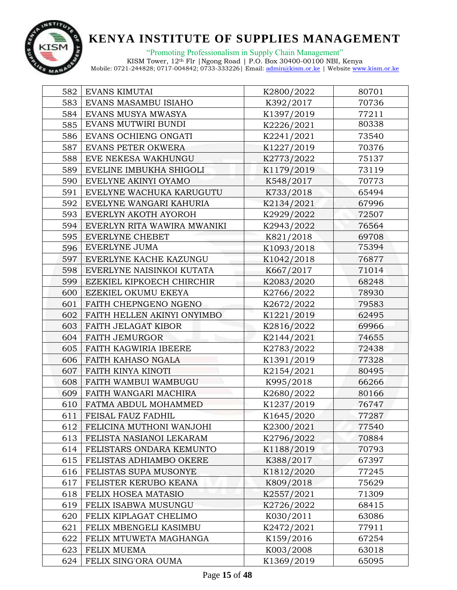

"Promoting Professionalism in Supply Chain Management"

| 582 | EVANS KIMUTAI               | K2800/2022 | 80701 |
|-----|-----------------------------|------------|-------|
| 583 | EVANS MASAMBU ISIAHO        | K392/2017  | 70736 |
| 584 | EVANS MUSYA MWASYA          | K1397/2019 | 77211 |
| 585 | EVANS MUTWIRI BUNDI         | K2226/2021 | 80338 |
| 586 | EVANS OCHIENG ONGATI        | K2241/2021 | 73540 |
| 587 | EVANS PETER OKWERA          | K1227/2019 | 70376 |
| 588 | EVE NEKESA WAKHUNGU         | K2773/2022 | 75137 |
| 589 | EVELINE IMBUKHA SHIGOLI     | K1179/2019 | 73119 |
| 590 | EVELYNE AKINYI OYAMO        | K548/2017  | 70773 |
| 591 | EVELYNE WACHUKA KARUGUTU    | K733/2018  | 65494 |
| 592 | EVELYNE WANGARI KAHURIA     | K2134/2021 | 67996 |
| 593 | EVERLYN AKOTH AYOROH        | K2929/2022 | 72507 |
| 594 | EVERLYN RITA WAWIRA MWANIKI | K2943/2022 | 76564 |
| 595 | <b>EVERLYNE CHEBET</b>      | K821/2018  | 69708 |
| 596 | EVERLYNE JUMA               | K1093/2018 | 75394 |
| 597 | EVERLYNE KACHE KAZUNGU      | K1042/2018 | 76877 |
| 598 | EVERLYNE NAISINKOI KUTATA   | K667/2017  | 71014 |
| 599 | EZEKIEL KIPKOECH CHIRCHIR   | K2083/2020 | 68248 |
| 600 | EZEKIEL OKUMU EKEYA         | K2766/2022 | 78930 |
| 601 | FAITH CHEPNGENO NGENO       | K2672/2022 | 79583 |
| 602 | FAITH HELLEN AKINYI ONYIMBO | K1221/2019 | 62495 |
| 603 | FAITH JELAGAT KIBOR         | K2816/2022 | 69966 |
| 604 | <b>FAITH JEMURGOR</b>       | K2144/2021 | 74655 |
| 605 | FAITH KAGWIRIA IBEERE       | K2783/2022 | 72438 |
| 606 | FAITH KAHASO NGALA          | K1391/2019 | 77328 |
| 607 | FAITH KINYA KINOTI          | K2154/2021 | 80495 |
| 608 | FAITH WAMBUI WAMBUGU        | K995/2018  | 66266 |
| 609 | FAITH WANGARI MACHIRA       | K2680/2022 | 80166 |
| 610 | FATMA ABDUL MOHAMMED        | K1237/2019 | 76747 |
| 611 | FEISAL FAUZ FADHIL          | K1645/2020 | 77287 |
| 612 | FELICINA MUTHONI WANJOHI    | K2300/2021 | 77540 |
| 613 | FELISTA NASIANOI LEKARAM    | K2796/2022 | 70884 |
| 614 | FELISTARS ONDARA KEMUNTO    | K1188/2019 | 70793 |
| 615 | FELISTAS ADHIAMBO OKERE     | K388/2017  | 67397 |
| 616 | FELISTAS SUPA MUSONYE       | K1812/2020 | 77245 |
| 617 | FELISTER KERUBO KEANA       | K809/2018  | 75629 |
| 618 | FELIX HOSEA MATASIO         | K2557/2021 | 71309 |
| 619 | FELIX ISABWA MUSUNGU        | K2726/2022 | 68415 |
| 620 | FELIX KIPLAGAT CHELIMO      | K030/2011  | 63086 |
| 621 | FELIX MBENGELI KASIMBU      | K2472/2021 | 77911 |
| 622 | FELIX MTUWETA MAGHANGA      | K159/2016  | 67254 |
| 623 | FELIX MUEMA                 | K003/2008  | 63018 |
| 624 | FELIX SING'ORA OUMA         | K1369/2019 | 65095 |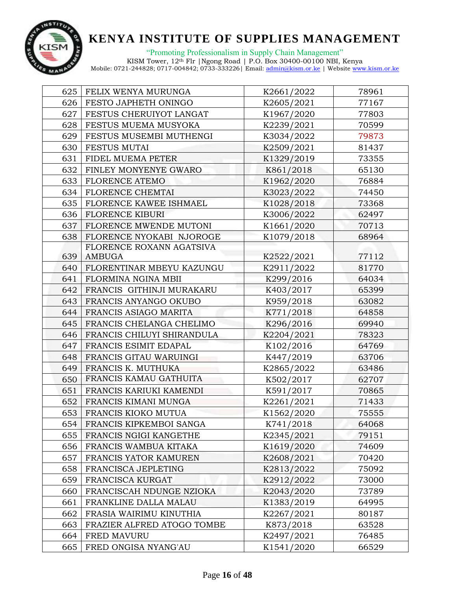

"Promoting Professionalism in Supply Chain Management"

| 625 | FELIX WENYA MURUNGA        | K2661/2022 | 78961 |
|-----|----------------------------|------------|-------|
| 626 | FESTO JAPHETH ONINGO       | K2605/2021 | 77167 |
| 627 | FESTUS CHERUIYOT LANGAT    | K1967/2020 | 77803 |
| 628 | FESTUS MUEMA MUSYOKA       | K2239/2021 | 70599 |
| 629 | FESTUS MUSEMBI MUTHENGI    | K3034/2022 | 79873 |
| 630 | <b>FESTUS MUTAI</b>        | K2509/2021 | 81437 |
| 631 | FIDEL MUEMA PETER          | K1329/2019 | 73355 |
| 632 | FINLEY MONYENYE GWARO      | K861/2018  | 65130 |
| 633 | <b>FLORENCE ATEMO</b>      | K1962/2020 | 76884 |
| 634 | FLORENCE CHEMTAI           | K3023/2022 | 74450 |
| 635 | FLORENCE KAWEE ISHMAEL     | K1028/2018 | 73368 |
| 636 | <b>FLORENCE KIBURI</b>     | K3006/2022 | 62497 |
| 637 | FLORENCE MWENDE MUTONI     | K1661/2020 | 70713 |
| 638 | FLORENCE NYOKABI NJOROGE   | K1079/2018 | 68964 |
|     | FLORENCE ROXANN AGATSIVA   |            |       |
| 639 | AMBUGA                     | K2522/2021 | 77112 |
| 640 | FLORENTINAR MBEYU KAZUNGU  | K2911/2022 | 81770 |
| 641 | FLORMINA NGINA MBII        | K299/2016  | 64034 |
| 642 | FRANCIS GITHINJI MURAKARU  | K403/2017  | 65399 |
| 643 | FRANCIS ANYANGO OKUBO      | K959/2018  | 63082 |
| 644 | FRANCIS ASIAGO MARITA      | K771/2018  | 64858 |
| 645 | FRANCIS CHELANGA CHELIMO   | K296/2016  | 69940 |
| 646 | FRANCIS CHILUYI SHIRANDULA | K2204/2021 | 78323 |
| 647 | FRANCIS ESIMIT EDAPAL      | K102/2016  | 64769 |
| 648 | FRANCIS GITAU WARUINGI     | K447/2019  | 63706 |
| 649 | FRANCIS K. MUTHUKA         | K2865/2022 | 63486 |
| 650 | FRANCIS KAMAU GATHUITA     | K502/2017  | 62707 |
| 651 | FRANCIS KARIUKI KAMENDI    | K591/2017  | 70865 |
| 652 | FRANCIS KIMANI MUNGA       | K2261/2021 | 71433 |
| 653 | FRANCIS KIOKO MUTUA        | K1562/2020 | 75555 |
| 654 | FRANCIS KIPKEMBOI SANGA    | K741/2018  | 64068 |
| 655 | FRANCIS NGIGI KANGETHE     | K2345/2021 | 79151 |
| 656 | FRANCIS WAMBUA KITAKA      | K1619/2020 | 74609 |
| 657 | FRANCIS YATOR KAMUREN      | K2608/2021 | 70420 |
| 658 | FRANCISCA JEPLETING        | K2813/2022 | 75092 |
| 659 | FRANCISCA KURGAT           | K2912/2022 | 73000 |
| 660 | FRANCISCAH NDUNGE NZIOKA   | K2043/2020 | 73789 |
| 661 | FRANKLINE DALLA MALAU      | K1383/2019 | 64995 |
| 662 | FRASIA WAIRIMU KINUTHIA    | K2267/2021 | 80187 |
| 663 | FRAZIER ALFRED ATOGO TOMBE | K873/2018  | 63528 |
| 664 | FRED MAVURU                | K2497/2021 | 76485 |
| 665 | FRED ONGISA NYANG'AU       | K1541/2020 | 66529 |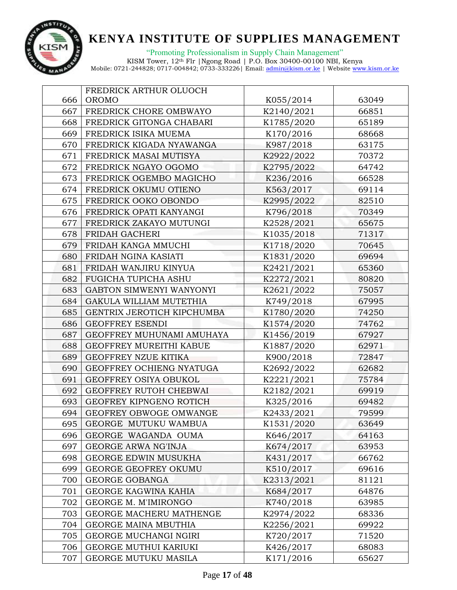

|     | FREDRICK ARTHUR OLUOCH       |            |       |
|-----|------------------------------|------------|-------|
| 666 | <b>OROMO</b>                 | K055/2014  | 63049 |
| 667 | FREDRICK CHORE OMBWAYO       | K2140/2021 | 66851 |
| 668 | FREDRICK GITONGA CHABARI     | K1785/2020 | 65189 |
| 669 | FREDRICK ISIKA MUEMA         | K170/2016  | 68668 |
| 670 | FREDRICK KIGADA NYAWANGA     | K987/2018  | 63175 |
| 671 | FREDRICK MASAI MUTISYA       | K2922/2022 | 70372 |
| 672 | FREDRICK NGAYO OGOMO         | K2795/2022 | 64742 |
| 673 | FREDRICK OGEMBO MAGICHO      | K236/2016  | 66528 |
| 674 | FREDRICK OKUMU OTIENO        | K563/2017  | 69114 |
| 675 | FREDRICK OOKO OBONDO         | K2995/2022 | 82510 |
| 676 | FREDRICK OPATI KANYANGI      | K796/2018  | 70349 |
| 677 | FREDRICK ZAKAYO MUTUNGI      | K2528/2021 | 65675 |
| 678 | FRIDAH GACHERI               | K1035/2018 | 71317 |
| 679 | FRIDAH KANGA MMUCHI          | K1718/2020 | 70645 |
| 680 | FRIDAH NGINA KASIATI         | K1831/2020 | 69694 |
| 681 | FRIDAH WANJIRU KINYUA        | K2421/2021 | 65360 |
| 682 | FUGICHA TUPICHA ASHU         | K2272/2021 | 80820 |
| 683 | GABTON SIMWENYI WANYONYI     | K2621/2022 | 75057 |
| 684 | GAKULA WILLIAM MUTETHIA      | K749/2018  | 67995 |
| 685 | GENTRIX JEROTICH KIPCHUMBA   | K1780/2020 | 74250 |
| 686 | <b>GEOFFREY ESENDI</b>       | K1574/2020 | 74762 |
| 687 | GEOFFREY MUHUNAMI AMUHAYA    | K1456/2019 | 67927 |
| 688 | GEOFFREY MUREITHI KABUE      | K1887/2020 | 62971 |
| 689 | GEOFFREY NZUE KITIKA         | K900/2018  | 72847 |
| 690 | GEOFFREY OCHIENG NYATUGA     | K2692/2022 | 62682 |
| 691 | GEOFFREY OSIYA OBUKOL        | K2221/2021 | 75784 |
| 692 | GEOFFREY RUTOH CHEBWAI       | K2182/2021 | 69919 |
| 693 | GEOFREY KIPNGENO ROTICH      | K325/2016  | 69482 |
| 694 | GEOFREY OBWOGE OMWANGE       | K2433/2021 | 79599 |
| 695 | GEORGE MUTUKU WAMBUA         | K1531/2020 | 63649 |
| 696 | GEORGE WAGANDA OUMA          | K646/2017  | 64163 |
| 697 | <b>GEORGE ARWA NG'INJA</b>   | K674/2017  | 63953 |
| 698 | <b>GEORGE EDWIN MUSUKHA</b>  | K431/2017  | 66762 |
| 699 | GEORGE GEOFREY OKUMU         | K510/2017  | 69616 |
| 700 | <b>GEORGE GOBANGA</b>        | K2313/2021 | 81121 |
| 701 | GEORGE KAGWINA KAHIA         | K684/2017  | 64876 |
| 702 | GEORGE M. M'IMIRONGO         | K740/2018  | 63985 |
| 703 | GEORGE MACHERU MATHENGE      | K2974/2022 | 68336 |
| 704 | GEORGE MAINA MBUTHIA         | K2256/2021 | 69922 |
| 705 | GEORGE MUCHANGI NGIRI        | K720/2017  | 71520 |
| 706 | <b>GEORGE MUTHUI KARIUKI</b> | K426/2017  | 68083 |
| 707 | GEORGE MUTUKU MASILA         | K171/2016  | 65627 |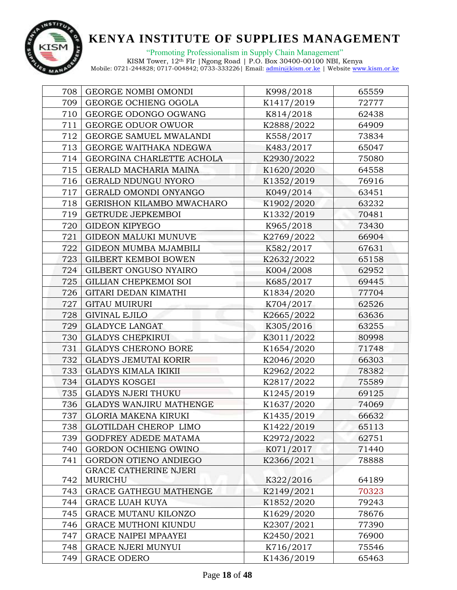

"Promoting Professionalism in Supply Chain Management" KISM Tower, 12th Flr |Ngong Road | P.O. Box 30400-00100 NBI, Kenya

| 708 | GEORGE NOMBI OMONDI          | K998/2018  | 65559 |
|-----|------------------------------|------------|-------|
| 709 | GEORGE OCHIENG OGOLA         | K1417/2019 | 72777 |
| 710 | GEORGE ODONGO OGWANG         | K814/2018  | 62438 |
| 711 | GEORGE ODUOR OWUOR           | K2888/2022 | 64909 |
| 712 | GEORGE SAMUEL MWALANDI       | K558/2017  | 73834 |
| 713 | GEORGE WAITHAKA NDEGWA       | K483/2017  | 65047 |
| 714 | GEORGINA CHARLETTE ACHOLA    | K2930/2022 | 75080 |
| 715 | GERALD MACHARIA MAINA        | K1620/2020 | 64558 |
| 716 | GERALD NDUNGU NYORO          | K1352/2019 | 76916 |
| 717 | GERALD OMONDI ONYANGO        | K049/2014  | 63451 |
| 718 | GERISHON KILAMBO MWACHARO    | K1902/2020 | 63232 |
| 719 | <b>GETRUDE JEPKEMBOI</b>     | K1332/2019 | 70481 |
| 720 | <b>GIDEON KIPYEGO</b>        | K965/2018  | 73430 |
| 721 | GIDEON MALUKI MUNUVE         | K2769/2022 | 66904 |
| 722 | <b>GIDEON MUMBA MJAMBILI</b> | K582/2017  | 67631 |
| 723 | GILBERT KEMBOI BOWEN         | K2632/2022 | 65158 |
| 724 | GILBERT ONGUSO NYAIRO        | K004/2008  | 62952 |
| 725 | GILLIAN CHEPKEMOI SOI        | K685/2017  | 69445 |
| 726 | GITARI DEDAN KIMATHI         | K1834/2020 | 77704 |
| 727 | <b>GITAU MUIRURI</b>         | K704/2017  | 62526 |
| 728 | <b>GIVINAL EJILO</b>         | K2665/2022 | 63636 |
| 729 | <b>GLADYCE LANGAT</b>        | K305/2016  | 63255 |
| 730 | <b>GLADYS CHEPKIRUI</b>      | K3011/2022 | 80998 |
| 731 | <b>GLADYS CHERONO BORE</b>   | K1654/2020 | 71748 |
| 732 | <b>GLADYS JEMUTAI KORIR</b>  | K2046/2020 | 66303 |
| 733 | <b>GLADYS KIMALA IKIKII</b>  | K2962/2022 | 78382 |
| 734 | <b>GLADYS KOSGEI</b>         | K2817/2022 | 75589 |
| 735 | <b>GLADYS NJERI THUKU</b>    | K1245/2019 | 69125 |
| 736 | GLADYS WANJIRU MATHENGE      | K1637/2020 | 74069 |
| 737 | <b>GLORIA MAKENA KIRUKI</b>  | K1435/2019 | 66632 |
| 738 | GLOTILDAH CHEROP LIMO        | K1422/2019 | 65113 |
| 739 | GODFREY ADEDE MATAMA         | K2972/2022 | 62751 |
| 740 | GORDON OCHIENG OWINO         | K071/2017  | 71440 |
| 741 | GORDON OTIENO ANDIEGO        | K2366/2021 | 78888 |
|     | <b>GRACE CATHERINE NJERI</b> |            |       |
| 742 | MURICHU                      | K322/2016  | 64189 |
| 743 | GRACE GATHEGU MATHENGE       | K2149/2021 | 70323 |
| 744 | <b>GRACE LUAH KUYA</b>       | K1852/2020 | 79243 |
| 745 | GRACE MUTANU KILONZO         | K1629/2020 | 78676 |
| 746 | <b>GRACE MUTHONI KIUNDU</b>  | K2307/2021 | 77390 |
| 747 | <b>GRACE NAIPEI MPAAYEI</b>  | K2450/2021 | 76900 |
| 748 | <b>GRACE NJERI MUNYUI</b>    | K716/2017  | 75546 |
| 749 | <b>GRACE ODERO</b>           | K1436/2019 | 65463 |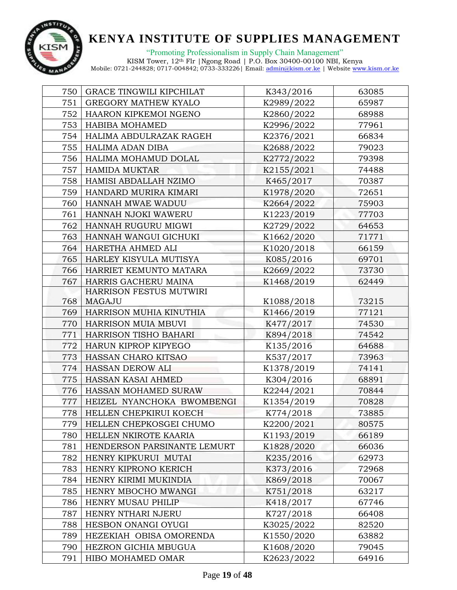

| 750 | <b>GRACE TINGWILI KIPCHILAT</b> | K343/2016  | 63085 |
|-----|---------------------------------|------------|-------|
| 751 | <b>GREGORY MATHEW KYALO</b>     | K2989/2022 | 65987 |
| 752 | HAARON KIPKEMOI NGENO           | K2860/2022 | 68988 |
| 753 | <b>HABIBA MOHAMED</b>           | K2996/2022 | 77961 |
| 754 | HALIMA ABDULRAZAK RAGEH         | K2376/2021 | 66834 |
| 755 | HALIMA ADAN DIBA                | K2688/2022 | 79023 |
| 756 | HALIMA MOHAMUD DOLAL            | K2772/2022 | 79398 |
| 757 | <b>HAMIDA MUKTAR</b>            | K2155/2021 | 74488 |
| 758 | HAMISI ABDALLAH NZIMO           | K465/2017  | 70387 |
| 759 | HANDARD MURIRA KIMARI           | K1978/2020 | 72651 |
| 760 | HANNAH MWAE WADUU               | K2664/2022 | 75903 |
| 761 | HANNAH NJOKI WAWERU             | K1223/2019 | 77703 |
| 762 | HANNAH RUGURU MIGWI             | K2729/2022 | 64653 |
| 763 | HANNAH WANGUI GICHUKI           | K1662/2020 | 71771 |
| 764 | HARETHA AHMED ALI               | K1020/2018 | 66159 |
| 765 | HARLEY KISYULA MUTISYA          | K085/2016  | 69701 |
| 766 | HARRIET KEMUNTO MATARA          | K2669/2022 | 73730 |
| 767 | HARRIS GACHERU MAINA            | K1468/2019 | 62449 |
|     | HARRISON FESTUS MUTWIRI         |            |       |
| 768 | MAGAJU                          | K1088/2018 | 73215 |
| 769 | HARRISON MUHIA KINUTHIA         | K1466/2019 | 77121 |
| 770 | HARRISON MUIA MBUVI             | K477/2017  | 74530 |
| 771 | HARRISON TISHO BAHARI           | K894/2018  | 74542 |
| 772 | HARUN KIPROP KIPYEGO            | K135/2016  | 64688 |
| 773 | HASSAN CHARO KITSAO             | K537/2017  | 73963 |
| 774 | HASSAN DEROW ALI                | K1378/2019 | 74141 |
| 775 | HASSAN KASAI AHMED              | K304/2016  | 68891 |
| 776 | HASSAN MOHAMED SURAW            | K2244/2021 | 70844 |
| 777 | HEIZEL NYANCHOKA BWOMBENGI      | K1354/2019 | 70828 |
| 778 | HELLEN CHEPKIRUI KOECH          | K774/2018  | 73885 |
| 779 | HELLEN CHEPKOSGEI CHUMO         | K2200/2021 | 80575 |
| 780 | HELLEN NKIROTE KAARIA           | K1193/2019 | 66189 |
| 781 | HENDERSON PARSINANTE LEMURT     | K1828/2020 | 66036 |
| 782 | HENRY KIPKURUI MUTAI            | K235/2016  | 62973 |
| 783 | HENRY KIPRONO KERICH            | K373/2016  | 72968 |
| 784 | HENRY KIRIMI MUKINDIA           | K869/2018  | 70067 |
| 785 | HENRY MBOCHO MWANGI             | K751/2018  | 63217 |
| 786 | HENRY MUSAU PHILIP              | K418/2017  | 67746 |
| 787 | HENRY NTHARI NJERU              | K727/2018  | 66408 |
| 788 | HESBON ONANGI OYUGI             | K3025/2022 | 82520 |
| 789 | HEZEKIAH OBISA OMORENDA         | K1550/2020 | 63882 |
| 790 | HEZRON GICHIA MBUGUA            | K1608/2020 | 79045 |
| 791 | HIBO MOHAMED OMAR               | K2623/2022 | 64916 |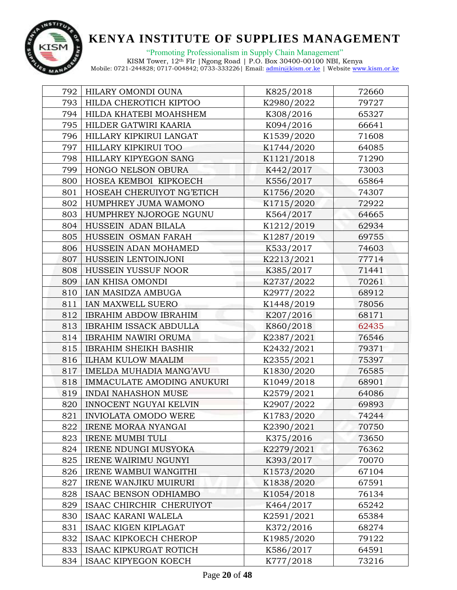

"Promoting Professionalism in Supply Chain Management" KISM Tower, 12th Flr |Ngong Road | P.O. Box 30400-00100 NBI, Kenya

| 792 | HILARY OMONDI OUNA                | K825/2018  | 72660 |
|-----|-----------------------------------|------------|-------|
| 793 | HILDA CHEROTICH KIPTOO            | K2980/2022 | 79727 |
| 794 | HILDA KHATEBI MOAHSHEM            | K308/2016  | 65327 |
| 795 | HILDER GATWIRI KAARIA             | K094/2016  | 66641 |
| 796 | HILLARY KIPKIRUI LANGAT           | K1539/2020 | 71608 |
| 797 | HILLARY KIPKIRUI TOO              | K1744/2020 | 64085 |
| 798 | HILLARY KIPYEGON SANG             | K1121/2018 | 71290 |
| 799 | HONGO NELSON OBURA                | K442/2017  | 73003 |
| 800 | HOSEA KEMBOI KIPKOECH             | K556/2017  | 65864 |
| 801 | HOSEAH CHERUIYOT NG'ETICH         | K1756/2020 | 74307 |
| 802 | HUMPHREY JUMA WAMONO              | K1715/2020 | 72922 |
| 803 | HUMPHREY NJOROGE NGUNU            | K564/2017  | 64665 |
| 804 | HUSSEIN ADAN BILALA               | K1212/2019 | 62934 |
| 805 | HUSSEIN OSMAN FARAH               | K1287/2019 | 69755 |
| 806 | HUSSEIN ADAN MOHAMED              | K533/2017  | 74603 |
| 807 | HUSSEIN LENTOINJONI               | K2213/2021 | 77714 |
| 808 | HUSSEIN YUSSUF NOOR               | K385/2017  | 71441 |
| 809 | IAN KHISA OMONDI                  | K2737/2022 | 70261 |
| 810 | IAN MASIDZA AMBUGA                | K2977/2022 | 68912 |
| 811 | IAN MAXWELL SUERO                 | K1448/2019 | 78056 |
| 812 | <b>IBRAHIM ABDOW IBRAHIM</b>      | K207/2016  | 68171 |
| 813 | <b>IBRAHIM ISSACK ABDULLA</b>     | K860/2018  | 62435 |
| 814 | <b>IBRAHIM NAWIRI ORUMA</b>       | K2387/2021 | 76546 |
| 815 | <b>IBRAHIM SHEIKH BASHIR</b>      | K2432/2021 | 79371 |
| 816 | <b>ILHAM KULOW MAALIM</b>         | K2355/2021 | 75397 |
| 817 | IMELDA MUHADIA MANG'AVU           | K1830/2020 | 76585 |
| 818 | <b>IMMACULATE AMODING ANUKURI</b> | K1049/2018 | 68901 |
| 819 | <b>INDAI NAHASHON MUSE</b>        | K2579/2021 | 64086 |
| 820 | <b>INNOCENT NGUYAI KELVIN</b>     | K2907/2022 | 69893 |
| 821 | INVIOLATA OMODO WERE              | K1783/2020 | 74244 |
| 822 | <b>IRENE MORAA NYANGAI</b>        | K2390/2021 | 70750 |
| 823 | <b>IRENE MUMBI TULI</b>           | K375/2016  | 73650 |
| 824 | <b>IRENE NDUNGI MUSYOKA</b>       | K2279/2021 | 76362 |
| 825 | <b>IRENE WAIRIMU NGUNYI</b>       | K393/2017  | 70070 |
| 826 | IRENE WAMBUI WANGITHI             | K1573/2020 | 67104 |
| 827 | <b>IRENE WANJIKU MUIRURI</b>      | K1838/2020 | 67591 |
| 828 | ISAAC BENSON ODHIAMBO             | K1054/2018 | 76134 |
| 829 | ISAAC CHIRCHIR CHERUIYOT          | K464/2017  | 65242 |
| 830 | <b>ISAAC KARANI WALELA</b>        | K2591/2021 | 65384 |
| 831 | ISAAC KIGEN KIPLAGAT              | K372/2016  | 68274 |
| 832 | ISAAC KIPKOECH CHEROP             | K1985/2020 | 79122 |
| 833 | <b>ISAAC KIPKURGAT ROTICH</b>     | K586/2017  | 64591 |
| 834 | <b>ISAAC KIPYEGON KOECH</b>       | K777/2018  | 73216 |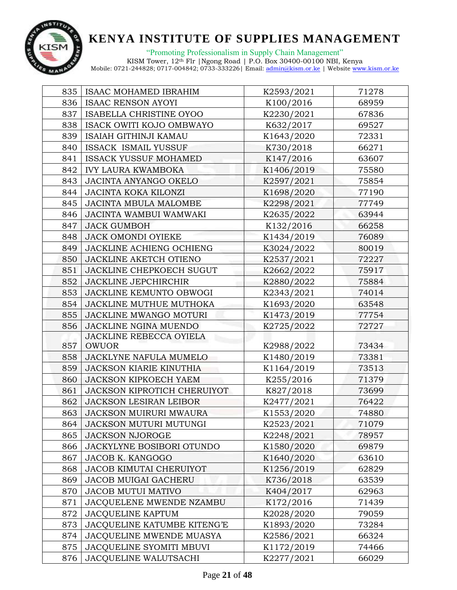

| 835 | ISAAC MOHAMED IBRAHIM              | K2593/2021 | 71278 |
|-----|------------------------------------|------------|-------|
| 836 | <b>ISAAC RENSON AYOYI</b>          | K100/2016  | 68959 |
| 837 | ISABELLA CHRISTINE OYOO            | K2230/2021 | 67836 |
| 838 | ISACK OWITI KOJO OMBWAYO           | K632/2017  | 69527 |
| 839 | <b>ISAIAH GITHINJI KAMAU</b>       | K1643/2020 | 72331 |
| 840 | ISSACK ISMAIL YUSSUF               | K730/2018  | 66271 |
| 841 | <b>ISSACK YUSSUF MOHAMED</b>       | K147/2016  | 63607 |
| 842 | <b>IVY LAURA KWAMBOKA</b>          | K1406/2019 | 75580 |
| 843 | JACINTA ANYANGO OKELO              | K2597/2021 | 75854 |
| 844 | JACINTA KOKA KILONZI               | K1698/2020 | 77190 |
| 845 | JACINTA MBULA MALOMBE              | K2298/2021 | 77749 |
| 846 | <b>JACINTA WAMBUI WAMWAKI</b>      | K2635/2022 | 63944 |
| 847 | <b>JACK GUMBOH</b>                 | K132/2016  | 66258 |
| 848 | JACK OMONDI OYIEKE                 | K1434/2019 | 76089 |
| 849 | JACKLINE ACHIENG OCHIENG           | K3024/2022 | 80019 |
| 850 | JACKLINE AKETCH OTIENO             | K2537/2021 | 72227 |
| 851 | <b>JACKLINE CHEPKOECH SUGUT</b>    | K2662/2022 | 75917 |
| 852 | <b>JACKLINE JEPCHIRCHIR</b>        | K2880/2022 | 75884 |
| 853 | JACKLINE KEMUNTO OBWOGI            | K2343/2021 | 74014 |
| 854 | JACKLINE MUTHUE MUTHOKA            | K1693/2020 | 63548 |
| 855 | JACKLINE MWANGO MOTURI             | K1473/2019 | 77754 |
| 856 | JACKLINE NGINA MUENDO              | K2725/2022 | 72727 |
|     | JACKLINE REBECCA OYIELA            |            |       |
| 857 | OWUOR                              | K2988/2022 | 73434 |
| 858 | JACKLYNE NAFULA MUMELO             | K1480/2019 | 73381 |
| 859 | <b>JACKSON KIARIE KINUTHIA</b>     | K1164/2019 | 73513 |
| 860 | JACKSON KIPKOECH YAEM              | K255/2016  | 71379 |
| 861 | JACKSON KIPROTICH CHERUIYOT        | K827/2018  | 73699 |
| 862 | <b>JACKSON LESIRAN LEIBOR</b>      | K2477/2021 | 76422 |
| 863 | <b>JACKSON MUIRURI MWAURA</b>      | K1553/2020 | 74880 |
| 864 | JACKSON MUTURI MUTUNGI             | K2523/2021 | 71079 |
| 865 | <b>JACKSON NJOROGE</b>             | K2248/2021 | 78957 |
| 866 | <b>JACKYLYNE BOSIBORI OTUNDO</b>   | K1580/2020 | 69879 |
| 867 | <b>JACOB K. KANGOGO</b>            | K1640/2020 | 63610 |
| 868 | <b>JACOB KIMUTAI CHERUIYOT</b>     | K1256/2019 | 62829 |
| 869 | <b>JACOB MUIGAI GACHERU</b>        | K736/2018  | 63539 |
| 870 | <b>JACOB MUTUI MATIVO</b>          | K404/2017  | 62963 |
| 871 | JACQUELENE MWENDE NZAMBU           | K172/2016  | 71439 |
| 872 | <b>JACQUELINE KAPTUM</b>           | K2028/2020 | 79059 |
| 873 | <b>JACQUELINE KATUMBE KITENG'E</b> | K1893/2020 | 73284 |
| 874 | <b>JACQUELINE MWENDE MUASYA</b>    | K2586/2021 | 66324 |
| 875 | <b>JACQUELINE SYOMITI MBUVI</b>    | K1172/2019 | 74466 |
| 876 | JACQUELINE WALUTSACHI              | K2277/2021 | 66029 |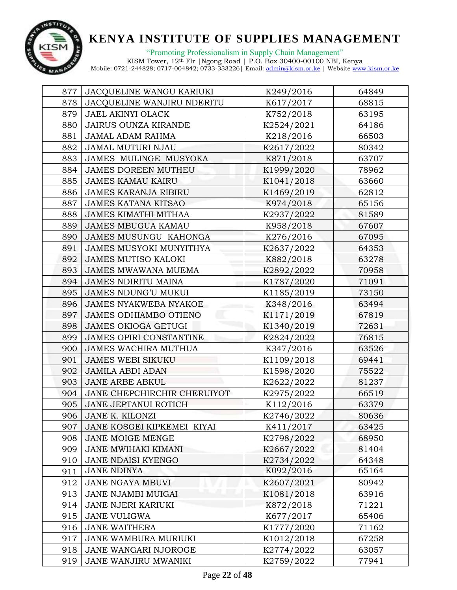

"Promoting Professionalism in Supply Chain Management"

| 877 | JACQUELINE WANGU KARIUKI       | K249/2016  | 64849 |
|-----|--------------------------------|------------|-------|
| 878 | JACQUELINE WANJIRU NDERITU     | K617/2017  | 68815 |
| 879 | JAEL AKINYI OLACK              | K752/2018  | 63195 |
| 880 | <b>JAIRUS OUNZA KIRANDE</b>    | K2524/2021 | 64186 |
| 881 | JAMAL ADAM RAHMA               | K218/2016  | 66503 |
| 882 | JAMAL MUTURI NJAU              | K2617/2022 | 80342 |
| 883 | JAMES MULINGE MUSYOKA          | K871/2018  | 63707 |
| 884 | <b>JAMES DOREEN MUTHEU</b>     | K1999/2020 | 78962 |
| 885 | <b>JAMES KAMAU KAIRU</b>       | K1041/2018 | 63660 |
| 886 | <b>JAMES KARANJA RIBIRU</b>    | K1469/2019 | 62812 |
| 887 | <b>JAMES KATANA KITSAO</b>     | K974/2018  | 65156 |
| 888 | <b>JAMES KIMATHI MITHAA</b>    | K2937/2022 | 81589 |
| 889 | <b>JAMES MBUGUA KAMAU</b>      | K958/2018  | 67607 |
| 890 | JAMES MUSUNGU KAHONGA          | K276/2016  | 67095 |
| 891 | <b>JAMES MUSYOKI MUNYITHYA</b> | K2637/2022 | 64353 |
| 892 | <b>JAMES MUTISO KALOKI</b>     | K882/2018  | 63278 |
| 893 | <b>JAMES MWAWANA MUEMA</b>     | K2892/2022 | 70958 |
| 894 | <b>JAMES NDIRITU MAINA</b>     | K1787/2020 | 71091 |
| 895 | <b>JAMES NDUNG'U MUKUI</b>     | K1185/2019 | 73150 |
| 896 | <b>JAMES NYAKWEBA NYAKOE</b>   | K348/2016  | 63494 |
| 897 | JAMES ODHIAMBO OTIENO          | K1171/2019 | 67819 |
| 898 | <b>JAMES OKIOGA GETUGI</b>     | K1340/2019 | 72631 |
| 899 | <b>JAMES OPIRI CONSTANTINE</b> | K2824/2022 | 76815 |
| 900 | <b>JAMES WACHIRA MUTHUA</b>    | K347/2016  | 63526 |
| 901 | <b>JAMES WEBI SIKUKU</b>       | K1109/2018 | 69441 |
| 902 | <b>JAMILA ABDI ADAN</b>        | K1598/2020 | 75522 |
| 903 | <b>JANE ARBE ABKUL</b>         | K2622/2022 | 81237 |
| 904 | JANE CHEPCHIRCHIR CHERUIYOT    | K2975/2022 | 66519 |
| 905 | <b>JANE JEPTANUI ROTICH</b>    | K112/2016  | 63379 |
| 906 | JANE K. KILONZI                | K2746/2022 | 80636 |
| 907 | JANE KOSGEI KIPKEMEI KIYAI     | K411/2017  | 63425 |
| 908 | JANE MOIGE MENGE               | K2798/2022 | 68950 |
| 909 | JANE MWIHAKI KIMANI            | K2667/2022 | 81404 |
| 910 | JANE NDAISI KYENGO             | K2734/2022 | 64348 |
| 911 | <b>JANE NDINYA</b>             | K092/2016  | 65164 |
| 912 | JANE NGAYA MBUVI               | K2607/2021 | 80942 |
| 913 | JANE NJAMBI MUIGAI             | K1081/2018 | 63916 |
| 914 | <b>JANE NJERI KARIUKI</b>      | K872/2018  | 71221 |
| 915 | JANE VULIGWA                   | K677/2017  | 65406 |
| 916 | <b>JANE WAITHERA</b>           | K1777/2020 | 71162 |
| 917 | JANE WAMBURA MURIUKI           | K1012/2018 | 67258 |
| 918 | JANE WANGARI NJOROGE           | K2774/2022 | 63057 |
| 919 | JANE WANJIRU MWANIKI           | K2759/2022 | 77941 |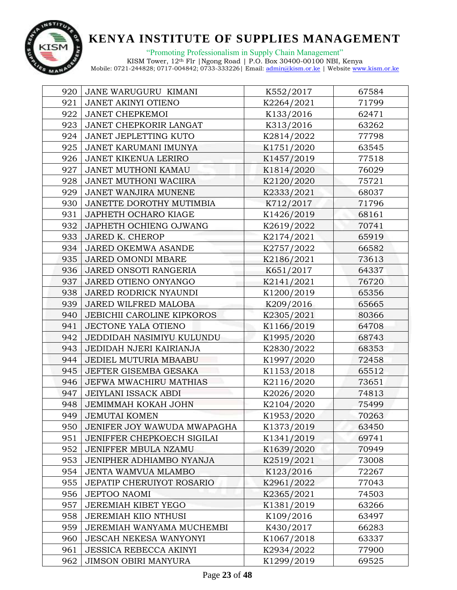

"Promoting Professionalism in Supply Chain Management" KISM Tower, 12th Flr |Ngong Road | P.O. Box 30400-00100 NBI, Kenya

| 920 | JANE WARUGURU KIMANI              | K552/2017  | 67584 |
|-----|-----------------------------------|------------|-------|
| 921 | JANET AKINYI OTIENO               | K2264/2021 | 71799 |
| 922 | <b>JANET CHEPKEMOI</b>            | K133/2016  | 62471 |
| 923 | JANET CHEPKORIR LANGAT            | K313/2016  | 63262 |
| 924 | <b>JANET JEPLETTING KUTO</b>      | K2814/2022 | 77798 |
| 925 | JANET KARUMANI IMUNYA             | K1751/2020 | 63545 |
| 926 | <b>JANET KIKENUA LERIRO</b>       | K1457/2019 | 77518 |
| 927 | JANET MUTHONI KAMAU               | K1814/2020 | 76029 |
| 928 | <b>JANET MUTHONI WACIIRA</b>      | K2120/2020 | 75721 |
| 929 | JANET WANJIRA MUNENE              | K2333/2021 | 68037 |
| 930 | JANETTE DOROTHY MUTIMBIA          | K712/2017  | 71796 |
| 931 | JAPHETH OCHARO KIAGE              | K1426/2019 | 68161 |
| 932 | JAPHETH OCHIENG OJWANG            | K2619/2022 | 70741 |
| 933 | <b>JARED K. CHEROP</b>            | K2174/2021 | 65919 |
| 934 | <b>JARED OKEMWA ASANDE</b>        | K2757/2022 | 66582 |
| 935 | JARED OMONDI MBARE                | K2186/2021 | 73613 |
| 936 | JARED ONSOTI RANGERIA             | K651/2017  | 64337 |
| 937 | JARED OTIENO ONYANGO              | K2141/2021 | 76720 |
| 938 | JARED RODRICK NYAUNDI             | K1200/2019 | 65356 |
| 939 | JARED WILFRED MALOBA              | K209/2016  | 65665 |
| 940 | <b>JEBICHII CAROLINE KIPKOROS</b> | K2305/2021 | 80366 |
| 941 | JECTONE YALA OTIENO               | K1166/2019 | 64708 |
| 942 | JEDDIDAH NASIMIYU KULUNDU         | K1995/2020 | 68743 |
| 943 | JEDIDAH NJERI KAIRIANJA           | K2830/2022 | 68353 |
| 944 | JEDIEL MUTURIA MBAABU             | K1997/2020 | 72458 |
| 945 | JEFTER GISEMBA GESAKA             | K1153/2018 | 65512 |
| 946 | JEFWA MWACHIRU MATHIAS            | K2116/2020 | 73651 |
| 947 | <b>JEIYLANI ISSACK ABDI</b>       | K2026/2020 | 74813 |
| 948 | JEMIMMAH KOKAH JOHN               | K2104/2020 | 75499 |
| 949 | <b>JEMUTAI KOMEN</b>              | K1953/2020 | 70263 |
| 950 | JENIFER JOY WAWUDA MWAPAGHA       | K1373/2019 | 63450 |
| 951 | JENIFFER CHEPKOECH SIGILAI        | K1341/2019 | 69741 |
| 952 | JENIFFER MBULA NZAMU              | K1639/2020 | 70949 |
| 953 | JENIPHER ADHIAMBO NYANJA          | K2519/2021 | 73008 |
| 954 | <b>JENTA WAMVUA MLAMBO</b>        | K123/2016  | 72267 |
| 955 | <b>JEPATIP CHERUIYOT ROSARIO</b>  | K2961/2022 | 77043 |
| 956 | <b>JEPTOO NAOMI</b>               | K2365/2021 | 74503 |
| 957 | <b>JEREMIAH KIBET YEGO</b>        | K1381/2019 | 63266 |
| 958 | <b>JEREMIAH KIIO NTHUSI</b>       | K109/2016  | 63497 |
| 959 | JEREMIAH WANYAMA MUCHEMBI         | K430/2017  | 66283 |
| 960 | <b>JESCAH NEKESA WANYONYI</b>     | K1067/2018 | 63337 |
| 961 | <b>JESSICA REBECCA AKINYI</b>     | K2934/2022 | 77900 |
| 962 | <b>JIMSON OBIRI MANYURA</b>       | K1299/2019 | 69525 |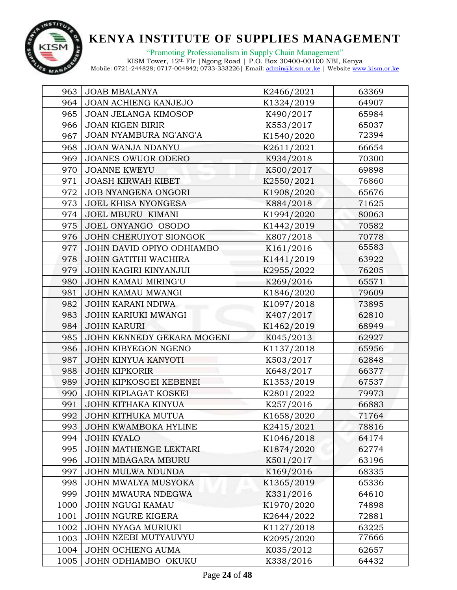

"Promoting Professionalism in Supply Chain Management"

| 963  | <b>JOAB MBALANYA</b>       | K2466/2021 | 63369 |
|------|----------------------------|------------|-------|
| 964  | JOAN ACHIENG KANJEJO       | K1324/2019 | 64907 |
| 965  | JOAN JELANGA KIMOSOP       | K490/2017  | 65984 |
| 966  | <b>JOAN KIGEN BIRIR</b>    | K553/2017  | 65037 |
| 967  | JOAN NYAMBURA NG'ANG'A     | K1540/2020 | 72394 |
| 968  | JOAN WANJA NDANYU          | K2611/2021 | 66654 |
| 969  | <b>JOANES OWUOR ODERO</b>  | K934/2018  | 70300 |
| 970  | <b>JOANNE KWEYU</b>        | K500/2017  | 69898 |
| 971  | <b>JOASH KIRWAH KIBET</b>  | K2550/2021 | 76860 |
| 972  | JOB NYANGENA ONGORI        | K1908/2020 | 65676 |
| 973  | <b>JOEL KHISA NYONGESA</b> | K884/2018  | 71625 |
| 974  | <b>JOEL MBURU KIMANI</b>   | K1994/2020 | 80063 |
| 975  | JOEL ONYANGO OSODO         | K1442/2019 | 70582 |
| 976  | JOHN CHERUIYOT SIONGOK     | K807/2018  | 70778 |
| 977  | JOHN DAVID OPIYO ODHIAMBO  | K161/2016  | 65583 |
| 978  | JOHN GATITHI WACHIRA       | K1441/2019 | 63922 |
| 979  | JOHN KAGIRI KINYANJUI      | K2955/2022 | 76205 |
| 980  | JOHN KAMAU MIRING'U        | K269/2016  | 65571 |
| 981  | JOHN KAMAU MWANGI          | K1846/2020 | 79609 |
| 982  | <b>JOHN KARANI NDIWA</b>   | K1097/2018 | 73895 |
| 983  | JOHN KARIUKI MWANGI        | K407/2017  | 62810 |
| 984  | <b>JOHN KARURI</b>         | K1462/2019 | 68949 |
| 985  | JOHN KENNEDY GEKARA MOGENI | K045/2013  | 62927 |
| 986  | JOHN KIBYEGON NGENO        | K1137/2018 | 65956 |
| 987  | JOHN KINYUA KANYOTI        | K503/2017  | 62848 |
| 988  | <b>JOHN KIPKORIR</b>       | K648/2017  | 66377 |
| 989  | JOHN KIPKOSGEI KEBENEI     | K1353/2019 | 67537 |
| 990  | JOHN KIPLAGAT KOSKEI       | K2801/2022 | 79973 |
| 991  | <b>JOHN KITHAKA KINYUA</b> | K257/2016  | 66883 |
| 992  | JOHN KITHUKA MUTUA         | K1658/2020 | 71764 |
| 993  | JOHN KWAMBOKA HYLINE       | K2415/2021 | 78816 |
| 994  | <b>JOHN KYALO</b>          | K1046/2018 | 64174 |
| 995  | JOHN MATHENGE LEKTARI      | K1874/2020 | 62774 |
| 996  | JOHN MBAGARA MBURU         | K501/2017  | 63196 |
| 997  | <b>JOHN MULWA NDUNDA</b>   | K169/2016  | 68335 |
| 998  | JOHN MWALYA MUSYOKA        | K1365/2019 | 65336 |
| 999  | JOHN MWAURA NDEGWA         | K331/2016  | 64610 |
| 1000 | JOHN NGUGI KAMAU           | K1970/2020 | 74898 |
| 1001 | JOHN NGURE KIGERA          | K2644/2022 | 72881 |
| 1002 | JOHN NYAGA MURIUKI         | K1127/2018 | 63225 |
| 1003 | JOHN NZEBI MUTYAUVYU       | K2095/2020 | 77666 |
| 1004 | JOHN OCHIENG AUMA          | K035/2012  | 62657 |
| 1005 | JOHN ODHIAMBO OKUKU        | K338/2016  | 64432 |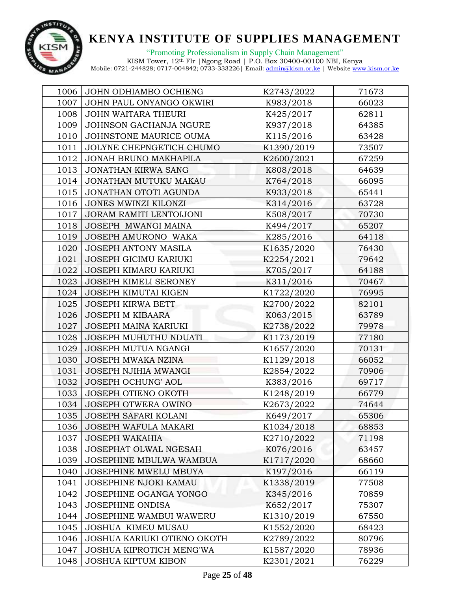

"Promoting Professionalism in Supply Chain Management" KISM Tower, 12th Flr |Ngong Road | P.O. Box 30400-00100 NBI, Kenya

| 1006 | JOHN ODHIAMBO OCHIENG              | K2743/2022 | 71673 |
|------|------------------------------------|------------|-------|
| 1007 | JOHN PAUL ONYANGO OKWIRI           | K983/2018  | 66023 |
| 1008 | JOHN WAITARA THEURI                | K425/2017  | 62811 |
| 1009 | JOHNSON GACHANJA NGURE             | K937/2018  | 64385 |
| 1010 | JOHNSTONE MAURICE OUMA             | K115/2016  | 63428 |
| 1011 | JOLYNE CHEPNGETICH CHUMO           | K1390/2019 | 73507 |
| 1012 | <b>JONAH BRUNO MAKHAPILA</b>       | K2600/2021 | 67259 |
| 1013 | <b>JONATHAN KIRWA SANG</b>         | K808/2018  | 64639 |
| 1014 | JONATHAN MUTUKU MAKAU              | K764/2018  | 66095 |
| 1015 | JONATHAN OTOTI AGUNDA              | K933/2018  | 65441 |
| 1016 | JONES MWINZI KILONZI               | K314/2016  | 63728 |
| 1017 | JORAM RAMITI LENTOIJONI            | K508/2017  | 70730 |
| 1018 | JOSEPH MWANGI MAINA                | K494/2017  | 65207 |
| 1019 | JOSEPH AMURONO WAKA                | K285/2016  | 64118 |
| 1020 | JOSEPH ANTONY MASILA               | K1635/2020 | 76430 |
| 1021 | <b>JOSEPH GICIMU KARIUKI</b>       | K2254/2021 | 79642 |
| 1022 | JOSEPH KIMARU KARIUKI              | K705/2017  | 64188 |
| 1023 | JOSEPH KIMELI SERONEY              | K311/2016  | 70467 |
| 1024 | JOSEPH KIMUTAI KIGEN               | K1722/2020 | 76995 |
| 1025 | <b>JOSEPH KIRWA BETT</b>           | K2700/2022 | 82101 |
| 1026 | <b>JOSEPH M KIBAARA</b>            | K063/2015  | 63789 |
| 1027 | JOSEPH MAINA KARIUKI               | K2738/2022 | 79978 |
| 1028 | JOSEPH MUHUTHU NDUATI              | K1173/2019 | 77180 |
| 1029 | JOSEPH MUTUA NGANGI                | K1657/2020 | 70131 |
| 1030 | <b>JOSEPH MWAKA NZINA</b>          | K1129/2018 | 66052 |
| 1031 | JOSEPH NJIHIA MWANGI               | K2854/2022 | 70906 |
| 1032 | <b>JOSEPH OCHUNG' AOL</b>          | K383/2016  | 69717 |
| 1033 | JOSEPH OTIENO OKOTH                | K1248/2019 | 66779 |
| 1034 | JOSEPH OTWERA OWINO                | K2673/2022 | 74644 |
| 1035 | JOSEPH SAFARI KOLANI               | K649/2017  | 65306 |
| 1036 | JOSEPH WAFULA MAKARI               | K1024/2018 | 68853 |
| 1037 | <b>JOSEPH WAKAHIA</b>              | K2710/2022 | 71198 |
| 1038 | JOSEPHAT OLWAL NGESAH              | K076/2016  | 63457 |
| 1039 | JOSEPHINE MBULWA WAMBUA            | K1717/2020 | 68660 |
| 1040 | <b>JOSEPHINE MWELU MBUYA</b>       | K197/2016  | 66119 |
| 1041 | JOSEPHINE NJOKI KAMAU              | K1338/2019 | 77508 |
| 1042 | JOSEPHINE OGANGA YONGO             | K345/2016  | 70859 |
| 1043 | <b>JOSEPHINE ONDISA</b>            | K652/2017  | 75307 |
| 1044 | <b>JOSEPHINE WAMBUI WAWERU</b>     | K1310/2019 | 67550 |
| 1045 | JOSHUA KIMEU MUSAU                 | K1552/2020 | 68423 |
| 1046 | <b>JOSHUA KARIUKI OTIENO OKOTH</b> | K2789/2022 | 80796 |
| 1047 | JOSHUA KIPROTICH MENG'WA           | K1587/2020 | 78936 |
| 1048 | <b>JOSHUA KIPTUM KIBON</b>         | K2301/2021 | 76229 |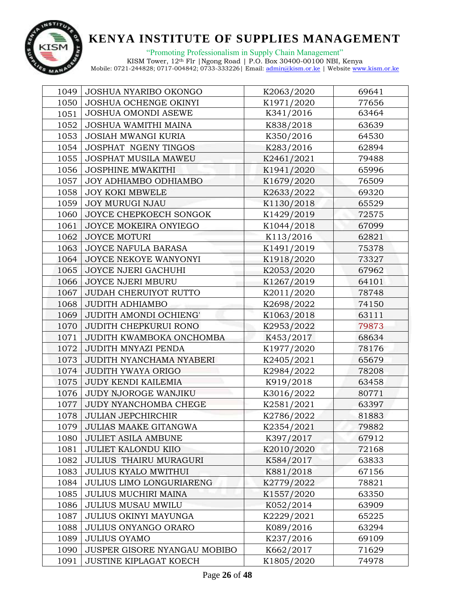

"Promoting Professionalism in Supply Chain Management" KISM Tower, 12th Flr |Ngong Road | P.O. Box 30400-00100 NBI, Kenya

| 1049 | <b>JOSHUA NYARIBO OKONGO</b>  | K2063/2020 | 69641 |
|------|-------------------------------|------------|-------|
| 1050 | JOSHUA OCHENGE OKINYI         | K1971/2020 | 77656 |
| 1051 | JOSHUA OMONDI ASEWE           | K341/2016  | 63464 |
| 1052 | JOSHUA WAMITHI MAINA          | K838/2018  | 63639 |
| 1053 | <b>JOSIAH MWANGI KURIA</b>    | K350/2016  | 64530 |
| 1054 | JOSPHAT NGENY TINGOS          | K283/2016  | 62894 |
| 1055 | JOSPHAT MUSILA MAWEU          | K2461/2021 | 79488 |
| 1056 | <b>JOSPHINE MWAKITHI</b>      | K1941/2020 | 65996 |
| 1057 | <b>JOY ADHIAMBO ODHIAMBO</b>  | K1679/2020 | 76509 |
| 1058 | <b>JOY KOKI MBWELE</b>        | K2633/2022 | 69320 |
| 1059 | <b>JOY MURUGI NJAU</b>        | K1130/2018 | 65529 |
| 1060 | JOYCE CHEPKOECH SONGOK        | K1429/2019 | 72575 |
| 1061 | JOYCE MOKEIRA ONYIEGO         | K1044/2018 | 67099 |
| 1062 | <b>JOYCE MOTURI</b>           | K113/2016  | 62821 |
| 1063 | JOYCE NAFULA BARASA           | K1491/2019 | 75378 |
| 1064 | JOYCE NEKOYE WANYONYI         | K1918/2020 | 73327 |
| 1065 | JOYCE NJERI GACHUHI           | K2053/2020 | 67962 |
| 1066 | <b>JOYCE NJERI MBURU</b>      | K1267/2019 | 64101 |
| 1067 | <b>JUDAH CHERUIYOT RUTTO</b>  | K2011/2020 | 78748 |
| 1068 | <b>JUDITH ADHIAMBO</b>        | K2698/2022 | 74150 |
| 1069 | JUDITH AMONDI OCHIENG'        | K1063/2018 | 63111 |
| 1070 | JUDITH CHEPKURUI RONO         | K2953/2022 | 79873 |
| 1071 | JUDITH KWAMBOKA ONCHOMBA      | K453/2017  | 68634 |
| 1072 | JUDITH MNYAZI PENDA           | K1977/2020 | 78176 |
| 1073 | JUDITH NYANCHAMA NYABERI      | K2405/2021 | 65679 |
| 1074 | JUDITH YWAYA ORIGO            | K2984/2022 | 78208 |
| 1075 | <b>JUDY KENDI KAILEMIA</b>    | K919/2018  | 63458 |
| 1076 | JUDY NJOROGE WANJIKU          | K3016/2022 | 80771 |
| 1077 | JUDY NYANCHOMBA CHEGE         | K2581/2021 | 63397 |
| 1078 | <b>JULIAN JEPCHIRCHIR</b>     | K2786/2022 | 81883 |
| 1079 | <b>JULIAS MAAKE GITANGWA</b>  | K2354/2021 | 79882 |
| 1080 | <b>JULIET ASILA AMBUNE</b>    | K397/2017  | 67912 |
| 1081 | <b>JULIET KALONDU KIIO</b>    | K2010/2020 | 72168 |
| 1082 | <b>JULIUS THAIRU MURAGURI</b> | K584/2017  | 63833 |
| 1083 | <b>JULIUS KYALO MWITHUI</b>   | K881/2018  | 67156 |
| 1084 | JULIUS LIMO LONGURIARENG      | K2779/2022 | 78821 |
| 1085 | <b>JULIUS MUCHIRI MAINA</b>   | K1557/2020 | 63350 |
| 1086 | <b>JULIUS MUSAU MWILU</b>     | K052/2014  | 63909 |
| 1087 | <b>JULIUS OKINYI MAYUNGA</b>  | K2229/2021 | 65225 |
| 1088 | JULIUS ONYANGO ORARO          | K089/2016  | 63294 |
| 1089 | <b>JULIUS OYAMO</b>           | K237/2016  | 69109 |
| 1090 | JUSPER GISORE NYANGAU MOBIBO  | K662/2017  | 71629 |
| 1091 | <b>JUSTINE KIPLAGAT KOECH</b> | K1805/2020 | 74978 |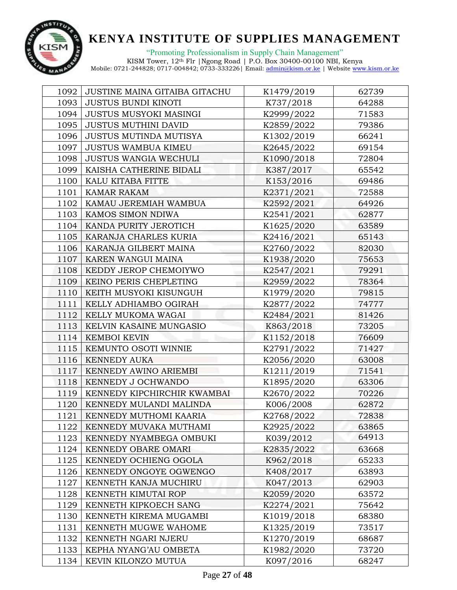

| 1092 | JUSTINE MAINA GITAIBA GITACHU | K1479/2019 | 62739 |
|------|-------------------------------|------------|-------|
| 1093 | <b>JUSTUS BUNDI KINOTI</b>    | K737/2018  | 64288 |
| 1094 | JUSTUS MUSYOKI MASINGI        | K2999/2022 | 71583 |
| 1095 | <b>JUSTUS MUTHINI DAVID</b>   | K2859/2022 | 79386 |
| 1096 | JUSTUS MUTINDA MUTISYA        | K1302/2019 | 66241 |
| 1097 | <b>JUSTUS WAMBUA KIMEU</b>    | K2645/2022 | 69154 |
| 1098 | <b>JUSTUS WANGIA WECHULI</b>  | K1090/2018 | 72804 |
| 1099 | KAISHA CATHERINE BIDALI       | K387/2017  | 65542 |
| 1100 | KALU KITABA FITTE             | K153/2016  | 69486 |
| 1101 | KAMAR RAKAM                   | K2371/2021 | 72588 |
| 1102 | KAMAU JEREMIAH WAMBUA         | K2592/2021 | 64926 |
| 1103 | KAMOS SIMON NDIWA             | K2541/2021 | 62877 |
| 1104 | KANDA PURITY JEROTICH         | K1625/2020 | 63589 |
| 1105 | KARANJA CHARLES KURIA         | K2416/2021 | 65143 |
| 1106 | KARANJA GILBERT MAINA         | K2760/2022 | 82030 |
| 1107 | KAREN WANGUI MAINA            | K1938/2020 | 75653 |
| 1108 | KEDDY JEROP CHEMOIYWO         | K2547/2021 | 79291 |
| 1109 | KEINO PERIS CHEPLETING        | K2959/2022 | 78364 |
| 1110 | KEITH MUSYOKI KISUNGUH        | K1979/2020 | 79815 |
| 1111 | KELLY ADHIAMBO OGIRAH         | K2877/2022 | 74777 |
| 1112 | KELLY MUKOMA WAGAI            | K2484/2021 | 81426 |
| 1113 | KELVIN KASAINE MUNGASIO       | K863/2018  | 73205 |
| 1114 | <b>KEMBOI KEVIN</b>           | K1152/2018 | 76609 |
| 1115 | KEMUNTO OSOTI WINNIE          | K2791/2022 | 71427 |
| 1116 | <b>KENNEDY AUKA</b>           | K2056/2020 | 63008 |
| 1117 | KENNEDY AWINO ARIEMBI         | K1211/2019 | 71541 |
| 1118 | KENNEDY J OCHWANDO            | K1895/2020 | 63306 |
| 1119 | KENNEDY KIPCHIRCHIR KWAMBAI   | K2670/2022 | 70226 |
| 1120 | KENNEDY MULANDI MALINDA       | K006/2008  | 62872 |
| 1121 | KENNEDY MUTHOMI KAARIA        | K2768/2022 | 72838 |
| 1122 | KENNEDY MUVAKA MUTHAMI        | K2925/2022 | 63865 |
| 1123 | KENNEDY NYAMBEGA OMBUKI       | K039/2012  | 64913 |
| 1124 | KENNEDY OBARE OMARI           | K2835/2022 | 63668 |
| 1125 | KENNEDY OCHIENG OGOLA         | K962/2018  | 65233 |
| 1126 | KENNEDY ONGOYE OGWENGO        | K408/2017  | 63893 |
| 1127 | KENNETH KANJA MUCHIRU         | K047/2013  | 62903 |
| 1128 | KENNETH KIMUTAI ROP           | K2059/2020 | 63572 |
| 1129 | KENNETH KIPKOECH SANG         | K2274/2021 | 75642 |
| 1130 | KENNETH KIREMA MUGAMBI        | K1019/2018 | 68380 |
| 1131 | KENNETH MUGWE WAHOME          | K1325/2019 | 73517 |
| 1132 | KENNETH NGARI NJERU           | K1270/2019 | 68687 |
| 1133 | KEPHA NYANG'AU OMBETA         | K1982/2020 | 73720 |
| 1134 | KEVIN KILONZO MUTUA           | K097/2016  | 68247 |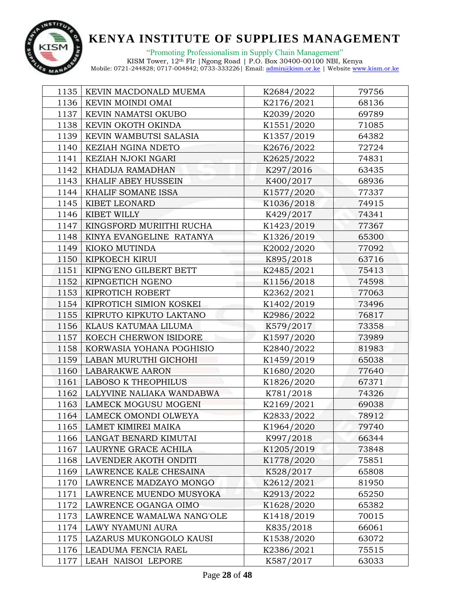

"Promoting Professionalism in Supply Chain Management" KISM Tower, 12th Flr |Ngong Road | P.O. Box 30400-00100 NBI, Kenya

| 1135 | KEVIN MACDONALD MUEMA      | K2684/2022 | 79756 |
|------|----------------------------|------------|-------|
| 1136 | KEVIN MOINDI OMAI          | K2176/2021 | 68136 |
| 1137 | KEVIN NAMATSI OKUBO        | K2039/2020 | 69789 |
| 1138 | KEVIN OKOTH OKINDA         | K1551/2020 | 71085 |
| 1139 | KEVIN WAMBUTSI SALASIA     | K1357/2019 | 64382 |
| 1140 | KEZIAH NGINA NDETO         | K2676/2022 | 72724 |
| 1141 | KEZIAH NJOKI NGARI         | K2625/2022 | 74831 |
| 1142 | KHADIJA RAMADHAN           | K297/2016  | 63435 |
| 1143 | <b>KHALIF ABEY HUSSEIN</b> | K400/2017  | 68936 |
| 1144 | KHALIF SOMANE ISSA         | K1577/2020 | 77337 |
| 1145 | KIBET LEONARD              | K1036/2018 | 74915 |
| 1146 | KIBET WILLY                | K429/2017  | 74341 |
| 1147 | KINGSFORD MURIITHI RUCHA   | K1423/2019 | 77367 |
| 1148 | KINYA EVANGELINE RATANYA   | K1326/2019 | 65300 |
| 1149 | KIOKO MUTINDA              | K2002/2020 | 77092 |
| 1150 | KIPKOECH KIRUI             | K895/2018  | 63716 |
| 1151 | KIPNG'ENO GILBERT BETT     | K2485/2021 | 75413 |
| 1152 | KIPNGETICH NGENO           | K1156/2018 | 74598 |
| 1153 | KIPROTICH ROBERT           | K2362/2021 | 77063 |
| 1154 | KIPROTICH SIMION KOSKEI    | K1402/2019 | 73496 |
| 1155 | KIPRUTO KIPKUTO LAKTANO    | K2986/2022 | 76817 |
| 1156 | KLAUS KATUMAA LILUMA       | K579/2017  | 73358 |
| 1157 | KOECH CHERWON ISIDORE      | K1597/2020 | 73989 |
| 1158 | KORWASIA YOHANA POGHISIO   | K2840/2022 | 81983 |
| 1159 | LABAN MURUTHI GICHOHI      | K1459/2019 | 65038 |
| 1160 | <b>LABARAKWE AARON</b>     | K1680/2020 | 77640 |
| 1161 | <b>LABOSO K THEOPHILUS</b> | K1826/2020 | 67371 |
| 1162 | LALYVINE NALIAKA WANDABWA  | K781/2018  | 74326 |
| 1163 | LAMECK MOGUSU MOGENI       | K2169/2021 | 69038 |
| 1164 | LAMECK OMONDI OLWEYA       | K2833/2022 | 78912 |
| 1165 | LAMET KIMIREI MAIKA        | K1964/2020 | 79740 |
| 1166 | LANGAT BENARD KIMUTAI      | K997/2018  | 66344 |
| 1167 | LAURYNE GRACE ACHILA       | K1205/2019 | 73848 |
| 1168 | LAVENDER AKOTH ONDITI      | K1778/2020 | 75851 |
| 1169 | LAWRENCE KALE CHESAINA     | K528/2017  | 65808 |
| 1170 | LAWRENCE MADZAYO MONGO     | K2612/2021 | 81950 |
| 1171 | LAWRENCE MUENDO MUSYOKA    | K2913/2022 | 65250 |
| 1172 | LAWRENCE OGANGA OIMO       | K1628/2020 | 65382 |
| 1173 | LAWRENCE WAMALWA NANG'OLE  | K1418/2019 | 70015 |
| 1174 | LAWY NYAMUNI AURA          | K835/2018  | 66061 |
| 1175 | LAZARUS MUKONGOLO KAUSI    | K1538/2020 | 63072 |
| 1176 | LEADUMA FENCIA RAEL        | K2386/2021 | 75515 |
| 1177 | LEAH NAISOI LEPORE         | K587/2017  | 63033 |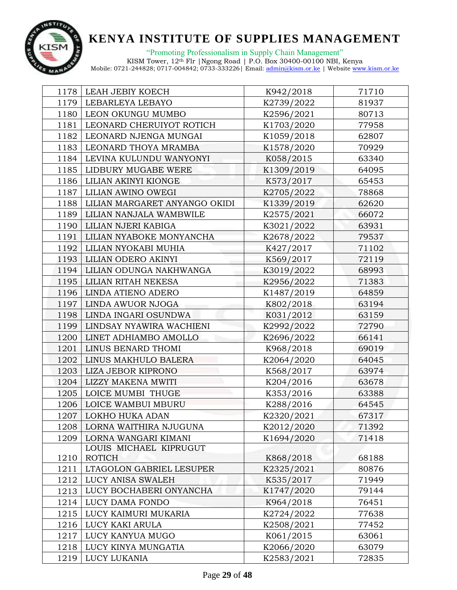

"Promoting Professionalism in Supply Chain Management" KISM Tower, 12th Flr |Ngong Road | P.O. Box 30400-00100 NBI, Kenya

|      | 1178   LEAH JEBIY KOECH       | K942/2018  | 71710 |
|------|-------------------------------|------------|-------|
| 1179 | LEBARLEYA LEBAYO              | K2739/2022 | 81937 |
| 1180 | LEON OKUNGU MUMBO             | K2596/2021 | 80713 |
| 1181 | LEONARD CHERUIYOT ROTICH      | K1703/2020 | 77958 |
| 1182 | LEONARD NJENGA MUNGAI         | K1059/2018 | 62807 |
| 1183 | LEONARD THOYA MRAMBA          | K1578/2020 | 70929 |
| 1184 | LEVINA KULUNDU WANYONYI       | K058/2015  | 63340 |
| 1185 | LIDBURY MUGABE WERE           | K1309/2019 | 64095 |
| 1186 | LILIAN AKINYI KIONGE          | K573/2017  | 65453 |
| 1187 | LILIAN AWINO OWEGI            | K2705/2022 | 78868 |
| 1188 | LILIAN MARGARET ANYANGO OKIDI | K1339/2019 | 62620 |
| 1189 | LILIAN NANJALA WAMBWILE       | K2575/2021 | 66072 |
| 1190 | LILIAN NJERI KABIGA           | K3021/2022 | 63931 |
| 1191 | LILIAN NYABOKE MONYANCHA      | K2678/2022 | 79537 |
| 1192 | LILIAN NYOKABI MUHIA          | K427/2017  | 71102 |
| 1193 | LILIAN ODERO AKINYI           | K569/2017  | 72119 |
| 1194 | LILIAN ODUNGA NAKHWANGA       | K3019/2022 | 68993 |
| 1195 | LILIAN RITAH NEKESA           | K2956/2022 | 71383 |
| 1196 | LINDA ATIENO ADERO            | K1487/2019 | 64859 |
| 1197 | LINDA AWUOR NJOGA             | K802/2018  | 63194 |
| 1198 | LINDA INGARI OSUNDWA          | K031/2012  | 63159 |
| 1199 | LINDSAY NYAWIRA WACHIENI      | K2992/2022 | 72790 |
| 1200 | LINET ADHIAMBO AMOLLO         | K2696/2022 | 66141 |
| 1201 | LINUS BENARD THOMI            | K968/2018  | 69019 |
| 1202 | LINUS MAKHULO BALERA          | K2064/2020 | 64045 |
| 1203 | LIZA JEBOR KIPRONO            | K568/2017  | 63974 |
| 1204 | LIZZY MAKENA MWITI            | K204/2016  | 63678 |
| 1205 | LOICE MUMBI THUGE             | K353/2016  | 63388 |
| 1206 | LOICE WAMBUI MBURU            | K288/2016  | 64545 |
| 1207 | LOKHO HUKA ADAN               | K2320/2021 | 67317 |
| 1208 | LORNA WAITHIRA NJUGUNA        | K2012/2020 | 71392 |
| 1209 | LORNA WANGARI KIMANI          | K1694/2020 | 71418 |
|      | LOUIS MICHAEL KIPRUGUT        |            |       |
| 1210 | ROTICH                        | K868/2018  | 68188 |
| 1211 | LTAGOLON GABRIEL LESUPER      | K2325/2021 | 80876 |
| 1212 | LUCY ANISA SWALEH             | K535/2017  | 71949 |
| 1213 | LUCY BOCHABERI ONYANCHA       | K1747/2020 | 79144 |
| 1214 | LUCY DAMA FONDO               | K964/2018  | 76451 |
| 1215 | LUCY KAIMURI MUKARIA          | K2724/2022 | 77638 |
| 1216 | LUCY KAKI ARULA               | K2508/2021 | 77452 |
| 1217 | LUCY KANYUA MUGO              | K061/2015  | 63061 |
| 1218 | LUCY KINYA MUNGATIA           | K2066/2020 | 63079 |
| 1219 | LUCY LUKANIA                  | K2583/2021 | 72835 |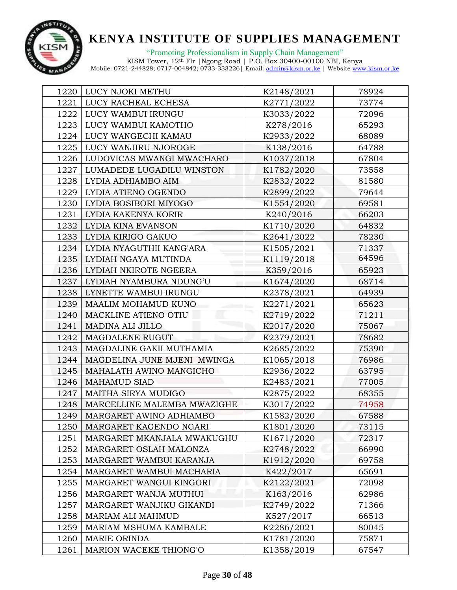

"Promoting Professionalism in Supply Chain Management"

|      | 1220   LUCY NJOKI METHU      | K2148/2021 | 78924 |
|------|------------------------------|------------|-------|
| 1221 | LUCY RACHEAL ECHESA          | K2771/2022 | 73774 |
|      | 1222   LUCY WAMBUI IRUNGU    | K3033/2022 | 72096 |
| 1223 | LUCY WAMBUI KAMOTHO          | K278/2016  | 65293 |
|      | 1224   LUCY WANGECHI KAMAU   | K2933/2022 | 68089 |
| 1225 | LUCY WANJIRU NJOROGE         | K138/2016  | 64788 |
| 1226 | LUDOVICAS MWANGI MWACHARO    | K1037/2018 | 67804 |
| 1227 | LUMADEDE LUGADILU WINSTON    | K1782/2020 | 73558 |
| 1228 | LYDIA ADHIAMBO AIM           | K2832/2022 | 81580 |
| 1229 | LYDIA ATIENO OGENDO          | K2899/2022 | 79644 |
| 1230 | LYDIA BOSIBORI MIYOGO        | K1554/2020 | 69581 |
|      | 1231   LYDIA KAKENYA KORIR   | K240/2016  | 66203 |
|      | 1232   LYDIA KINA EVANSON    | K1710/2020 | 64832 |
|      | 1233   LYDIA KIRIGO GAKUO    | K2641/2022 | 78230 |
| 1234 | LYDIA NYAGUTHII KANG'ARA     | K1505/2021 | 71337 |
|      | 1235   LYDIAH NGAYA MUTINDA  | K1119/2018 | 64596 |
|      | 1236   LYDIAH NKIROTE NGEERA | K359/2016  | 65923 |
| 1237 | LYDIAH NYAMBURA NDUNG'U      | K1674/2020 | 68714 |
| 1238 | LYNETTE WAMBUI IRUNGU        | K2378/2021 | 64939 |
| 1239 | MAALIM MOHAMUD KUNO          | K2271/2021 | 65623 |
| 1240 | MACKLINE ATIENO OTIU         | K2719/2022 | 71211 |
| 1241 | MADINA ALI JILLO             | K2017/2020 | 75067 |
| 1242 | MAGDALENE RUGUT              | K2379/2021 | 78682 |
| 1243 | MAGDALINE GAKII MUTHAMIA     | K2685/2022 | 75390 |
| 1244 | MAGDELINA JUNE MJENI MWINGA  | K1065/2018 | 76986 |
| 1245 | MAHALATH AWINO MANGICHO      | K2936/2022 | 63795 |
| 1246 | <b>MAHAMUD SIAD</b>          | K2483/2021 | 77005 |
| 1247 | MAITHA SIRYA MUDIGO          | K2875/2022 | 68355 |
| 1248 | MARCELLINE MALEMBA MWAZIGHE  | K3017/2022 | 74958 |
| 1249 | MARGARET AWINO ADHIAMBO      | K1582/2020 | 67588 |
| 1250 | MARGARET KAGENDO NGARI       | K1801/2020 | 73115 |
| 1251 | MARGARET MKANJALA MWAKUGHU   | K1671/2020 | 72317 |
| 1252 | MARGARET OSLAH MALONZA       | K2748/2022 | 66990 |
| 1253 | MARGARET WAMBUI KARANJA      | K1912/2020 | 69758 |
| 1254 | MARGARET WAMBUI MACHARIA     | K422/2017  | 65691 |
| 1255 | MARGARET WANGUI KINGORI      | K2122/2021 | 72098 |
| 1256 | MARGARET WANJA MUTHUI        | K163/2016  | 62986 |
| 1257 | MARGARET WANJIKU GIKANDI     | K2749/2022 | 71366 |
| 1258 | <b>MARIAM ALI MAHMUD</b>     | K527/2017  | 66513 |
| 1259 | MARIAM MSHUMA KAMBALE        | K2286/2021 | 80045 |
| 1260 | <b>MARIE ORINDA</b>          | K1781/2020 | 75871 |
| 1261 | MARION WACEKE THIONG'O       | K1358/2019 | 67547 |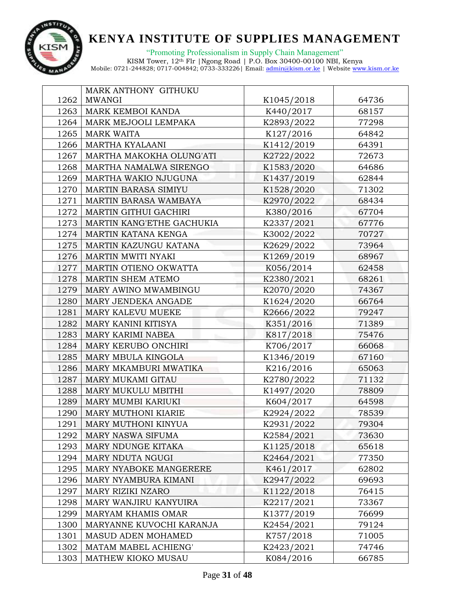

|      | MARK ANTHONY GITHUKU         |            |       |
|------|------------------------------|------------|-------|
| 1262 | <b>MWANGI</b>                | K1045/2018 | 64736 |
| 1263 | MARK KEMBOI KANDA            | K440/2017  | 68157 |
| 1264 | MARK MEJOOLI LEMPAKA         | K2893/2022 | 77298 |
| 1265 | <b>MARK WAITA</b>            | K127/2016  | 64842 |
| 1266 | <b>MARTHA KYALAANI</b>       | K1412/2019 | 64391 |
| 1267 | MARTHA MAKOKHA OLUNG'ATI     | K2722/2022 | 72673 |
| 1268 | MARTHA NAMALWA SIRENGO       | K1583/2020 | 64686 |
| 1269 | MARTHA WAKIO NJUGUNA         | K1437/2019 | 62844 |
| 1270 | <b>MARTIN BARASA SIMIYU</b>  | K1528/2020 | 71302 |
| 1271 | MARTIN BARASA WAMBAYA        | K2970/2022 | 68434 |
| 1272 | <b>MARTIN GITHUI GACHIRI</b> | K380/2016  | 67704 |
| 1273 | MARTIN KANG'ETHE GACHUKIA    | K2337/2021 | 67776 |
| 1274 | MARTIN KATANA KENGA          | K3002/2022 | 70727 |
| 1275 | MARTIN KAZUNGU KATANA        | K2629/2022 | 73964 |
| 1276 | <b>MARTIN MWITI NYAKI</b>    | K1269/2019 | 68967 |
| 1277 | MARTIN OTIENO OKWATTA        | K056/2014  | 62458 |
| 1278 | MARTIN SHEM ATEMO            | K2380/2021 | 68261 |
| 1279 | MARY AWINO MWAMBINGU         | K2070/2020 | 74367 |
| 1280 | MARY JENDEKA ANGADE          | K1624/2020 | 66764 |
| 1281 | MARY KALEVU MUEKE            | K2666/2022 | 79247 |
| 1282 | MARY KANINI KITISYA          | K351/2016  | 71389 |
| 1283 | <b>MARY KARIMI NABEA</b>     | K817/2018  | 75476 |
| 1284 | MARY KERUBO ONCHIRI          | K706/2017  | 66068 |
| 1285 | MARY MBULA KINGOLA           | K1346/2019 | 67160 |
| 1286 | MARY MKAMBURI MWATIKA        | K216/2016  | 65063 |
| 1287 | MARY MUKAMI GITAU            | K2780/2022 | 71132 |
| 1288 | MARY MUKULU MBITHI           | K1497/2020 | 78809 |
| 1289 | MARY MUMBI KARIUKI           | K604/2017  | 64598 |
| 1290 | <b>MARY MUTHONI KIARIE</b>   | K2924/2022 | 78539 |
| 1291 | MARY MUTHONI KINYUA          | K2931/2022 | 79304 |
| 1292 | MARY NASWA SIFUMA            | K2584/2021 | 73630 |
| 1293 | MARY NDUNGE KITAKA           | K1125/2018 | 65618 |
| 1294 | MARY NDUTA NGUGI             | K2464/2021 | 77350 |
| 1295 | MARY NYABOKE MANGERERE       | K461/2017  | 62802 |
| 1296 | MARY NYAMBURA KIMANI         | K2947/2022 | 69693 |
| 1297 | MARY RIZIKI NZARO            | K1122/2018 | 76415 |
| 1298 | MARY WANJIRU KANYUIRA        | K2217/2021 | 73367 |
| 1299 | MARYAM KHAMIS OMAR           | K1377/2019 | 76699 |
| 1300 | MARYANNE KUVOCHI KARANJA     | K2454/2021 | 79124 |
| 1301 | MASUD ADEN MOHAMED           | K757/2018  | 71005 |
| 1302 | MATAM MABEL ACHIENG'         | K2423/2021 | 74746 |
| 1303 | MATHEW KIOKO MUSAU           | K084/2016  | 66785 |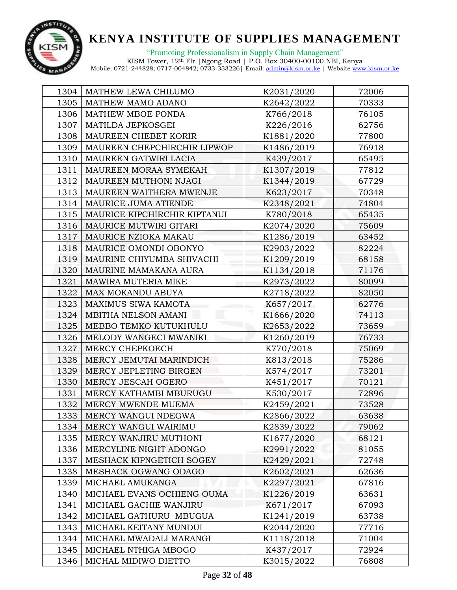

| 1304 | MATHEW LEWA CHILUMO          | K2031/2020 | 72006 |
|------|------------------------------|------------|-------|
| 1305 | MATHEW MAMO ADANO            | K2642/2022 | 70333 |
| 1306 | MATHEW MBOE PONDA            | K766/2018  | 76105 |
| 1307 | MATILDA JEPKOSGEI            | K226/2016  | 62756 |
| 1308 | MAUREEN CHEBET KORIR         | K1881/2020 | 77800 |
| 1309 | MAUREEN CHEPCHIRCHIR LIPWOP  | K1486/2019 | 76918 |
| 1310 | MAUREEN GATWIRI LACIA        | K439/2017  | 65495 |
| 1311 | MAUREEN MORAA SYMEKAH        | K1307/2019 | 77812 |
| 1312 | MAUREEN MUTHONI NJAGI        | K1344/2019 | 67729 |
| 1313 | MAUREEN WAITHERA MWENJE      | K623/2017  | 70348 |
| 1314 | MAURICE JUMA ATIENDE         | K2348/2021 | 74804 |
| 1315 | MAURICE KIPCHIRCHIR KIPTANUI | K780/2018  | 65435 |
| 1316 | MAURICE MUTWIRI GITARI       | K2074/2020 | 75609 |
| 1317 | MAURICE NZIOKA MAKAU         | K1286/2019 | 63452 |
| 1318 | MAURICE OMONDI OBONYO        | K2903/2022 | 82224 |
| 1319 | MAURINE CHIYUMBA SHIVACHI    | K1209/2019 | 68158 |
| 1320 | MAURINE MAMAKANA AURA        | K1134/2018 | 71176 |
| 1321 | MAWIRA MUTERIA MIKE          | K2973/2022 | 80099 |
| 1322 | MAX MOKANDU ABUYA            | K2718/2022 | 82050 |
| 1323 | MAXIMUS SIWA KAMOTA          | K657/2017  | 62776 |
| 1324 | MBITHA NELSON AMANI          | K1666/2020 | 74113 |
| 1325 | MEBBO TEMKO KUTUKHULU        | K2653/2022 | 73659 |
| 1326 | MELODY WANGECI MWANIKI       | K1260/2019 | 76733 |
| 1327 | MERCY CHEPKOECH              | K770/2018  | 75069 |
| 1328 | MERCY JEMUTAI MARINDICH      | K813/2018  | 75286 |
| 1329 | MERCY JEPLETING BIRGEN       | K574/2017  | 73201 |
| 1330 | MERCY JESCAH OGERO           | K451/2017  | 70121 |
| 1331 | MERCY KATHAMBI MBURUGU       | K530/2017  | 72896 |
| 1332 | MERCY MWENDE MUEMA           | K2459/2021 | 73528 |
| 1333 | MERCY WANGUI NDEGWA          | K2866/2022 | 63638 |
| 1334 | MERCY WANGUI WAIRIMU         | K2839/2022 | 79062 |
| 1335 | MERCY WANJIRU MUTHONI        | K1677/2020 | 68121 |
| 1336 | MERCYLINE NIGHT ADONGO       | K2991/2022 | 81055 |
| 1337 | MESHACK KIPNGETICH SOGEY     | K2429/2021 | 72748 |
| 1338 | MESHACK OGWANG ODAGO         | K2602/2021 | 62636 |
| 1339 | MICHAEL AMUKANGA             | K2297/2021 | 67816 |
| 1340 | MICHAEL EVANS OCHIENG OUMA   | K1226/2019 | 63631 |
| 1341 | MICHAEL GACHIE WANJIRU       | K671/2017  | 67093 |
| 1342 | MICHAEL GATHURU MBUGUA       | K1241/2019 | 63738 |
| 1343 | MICHAEL KEITANY MUNDUI       | K2044/2020 | 77716 |
| 1344 | MICHAEL MWADALI MARANGI      | K1118/2018 | 71004 |
| 1345 | MICHAEL NTHIGA MBOGO         | K437/2017  | 72924 |
| 1346 | MICHAL MIDIWO DIETTO         | K3015/2022 | 76808 |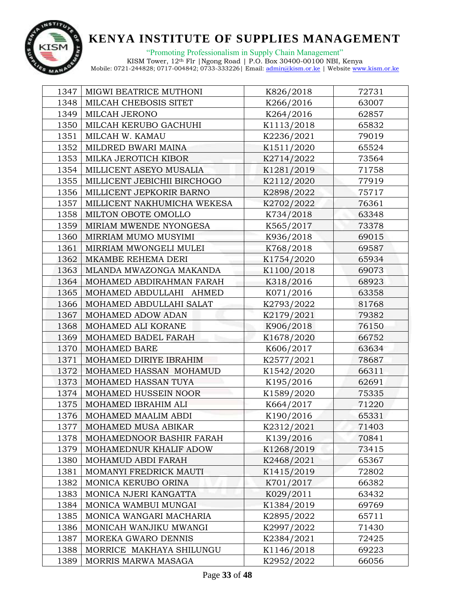

"Promoting Professionalism in Supply Chain Management" KISM Tower, 12th Flr |Ngong Road | P.O. Box 30400-00100 NBI, Kenya

| 1347 | MIGWI BEATRICE MUTHONI      | K826/2018  | 72731 |
|------|-----------------------------|------------|-------|
| 1348 | MILCAH CHEBOSIS SITET       | K266/2016  | 63007 |
| 1349 | MILCAH JERONO               | K264/2016  | 62857 |
| 1350 | MILCAH KERUBO GACHUHI       | K1113/2018 | 65832 |
| 1351 | MILCAH W. KAMAU             | K2236/2021 | 79019 |
| 1352 | MILDRED BWARI MAINA         | K1511/2020 | 65524 |
| 1353 | MILKA JEROTICH KIBOR        | K2714/2022 | 73564 |
| 1354 | MILLICENT ASEYO MUSALIA     | K1281/2019 | 71758 |
| 1355 | MILLICENT JEBICHII BIRCHOGO | K2112/2020 | 77919 |
| 1356 | MILLICENT JEPKORIR BARNO    | K2898/2022 | 75717 |
| 1357 | MILLICENT NAKHUMICHA WEKESA | K2702/2022 | 76361 |
| 1358 | MILTON OBOTE OMOLLO         | K734/2018  | 63348 |
| 1359 | MIRIAM MWENDE NYONGESA      | K565/2017  | 73378 |
| 1360 | MIRRIAM MUMO MUSYIMI        | K936/2018  | 69015 |
| 1361 | MIRRIAM MWONGELI MULEI      | K768/2018  | 69587 |
| 1362 | MKAMBE REHEMA DERI          | K1754/2020 | 65934 |
| 1363 | MLANDA MWAZONGA MAKANDA     | K1100/2018 | 69073 |
| 1364 | MOHAMED ABDIRAHMAN FARAH    | K318/2016  | 68923 |
| 1365 | MOHAMED ABDULLAHI AHMED     | K071/2016  | 63358 |
| 1366 | MOHAMED ABDULLAHI SALAT     | K2793/2022 | 81768 |
| 1367 | MOHAMED ADOW ADAN           | K2179/2021 | 79382 |
| 1368 | MOHAMED ALI KORANE          | K906/2018  | 76150 |
| 1369 | MOHAMED BADEL FARAH         | K1678/2020 | 66752 |
| 1370 | MOHAMED BARE                | K606/2017  | 63634 |
| 1371 | MOHAMED DIRIYE IBRAHIM      | K2577/2021 | 78687 |
| 1372 | MOHAMED HASSAN MOHAMUD      | K1542/2020 | 66311 |
| 1373 | MOHAMED HASSAN TUYA         | K195/2016  | 62691 |
| 1374 | MOHAMED HUSSEIN NOOR        | K1589/2020 | 75335 |
| 1375 | MOHAMED IBRAHIM ALI         | K664/2017  | 71220 |
| 1376 | MOHAMED MAALIM ABDI         | K190/2016  | 65331 |
| 1377 | MOHAMED MUSA ABIKAR         | K2312/2021 | 71403 |
| 1378 | MOHAMEDNOOR BASHIR FARAH    | K139/2016  | 70841 |
| 1379 | MOHAMEDNUR KHALIF ADOW      | K1268/2019 | 73415 |
| 1380 | MOHAMUD ABDI FARAH          | K2468/2021 | 65367 |
| 1381 | MOMANYI FREDRICK MAUTI      | K1415/2019 | 72802 |
| 1382 | MONICA KERUBO ORINA         | K701/2017  | 66382 |
| 1383 | MONICA NJERI KANGATTA       | K029/2011  | 63432 |
| 1384 | MONICA WAMBUI MUNGAI        | K1384/2019 | 69769 |
| 1385 | MONICA WANGARI MACHARIA     | K2895/2022 | 65711 |
| 1386 | MONICAH WANJIKU MWANGI      | K2997/2022 | 71430 |
| 1387 | MOREKA GWARO DENNIS         | K2384/2021 | 72425 |
| 1388 | MORRICE MAKHAYA SHILUNGU    | K1146/2018 | 69223 |
| 1389 | MORRIS MARWA MASAGA         | K2952/2022 | 66056 |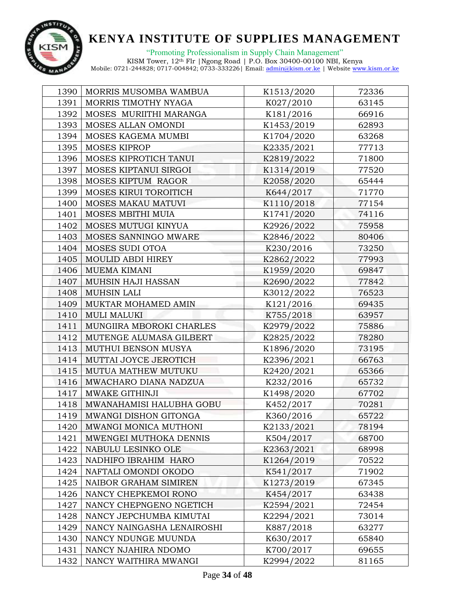

| 1390 | MORRIS MUSOMBA WAMBUA      | K1513/2020 | 72336 |
|------|----------------------------|------------|-------|
| 1391 | MORRIS TIMOTHY NYAGA       | K027/2010  | 63145 |
| 1392 | MOSES MURIITHI MARANGA     | K181/2016  | 66916 |
| 1393 | MOSES ALLAN OMONDI         | K1453/2019 | 62893 |
| 1394 | MOSES KAGEMA MUMBI         | K1704/2020 | 63268 |
| 1395 | MOSES KIPROP               | K2335/2021 | 77713 |
| 1396 | MOSES KIPROTICH TANUI      | K2819/2022 | 71800 |
| 1397 | MOSES KIPTANUI SIRGOI      | K1314/2019 | 77520 |
| 1398 | MOSES KIPTUM RAGOR         | K2058/2020 | 65444 |
| 1399 | MOSES KIRUI TOROITICH      | K644/2017  | 71770 |
| 1400 | MOSES MAKAU MATUVI         | K1110/2018 | 77154 |
| 1401 | MOSES MBITHI MUIA          | K1741/2020 | 74116 |
| 1402 | MOSES MUTUGI KINYUA        | K2926/2022 | 75958 |
| 1403 | MOSES SANNINGO MWARE       | K2846/2022 | 80406 |
| 1404 | MOSES SUDI OTOA            | K230/2016  | 73250 |
| 1405 | MOULID ABDI HIREY          | K2862/2022 | 77993 |
| 1406 | <b>MUEMA KIMANI</b>        | K1959/2020 | 69847 |
| 1407 | MUHSIN HAJI HASSAN         | K2690/2022 | 77842 |
| 1408 | <b>MUHSIN LALI</b>         | K3012/2022 | 76523 |
| 1409 | MUKTAR MOHAMED AMIN        | K121/2016  | 69435 |
| 1410 | <b>MULI MALUKI</b>         | K755/2018  | 63957 |
| 1411 | MUNGIIRA MBOROKI CHARLES   | K2979/2022 | 75886 |
| 1412 | MUTENGE ALUMASA GILBERT    | K2825/2022 | 78280 |
| 1413 | MUTHUI BENSON MUSYA        | K1896/2020 | 73195 |
| 1414 | MUTTAI JOYCE JEROTICH      | K2396/2021 | 66763 |
| 1415 | MUTUA MATHEW MUTUKU        | K2420/2021 | 65366 |
| 1416 | MWACHARO DIANA NADZUA      | K232/2016  | 65732 |
| 1417 | <b>MWAKE GITHINJI</b>      | K1498/2020 | 67702 |
| 1418 | MWANAHAMISI HALUBHA GOBU   | K452/2017  | 70281 |
| 1419 | MWANGI DISHON GITONGA      | K360/2016  | 65722 |
| 1420 | MWANGI MONICA MUTHONI      | K2133/2021 | 78194 |
| 1421 | MWENGEI MUTHOKA DENNIS     | K504/2017  | 68700 |
| 1422 | NABULU LESINKO OLE         | K2363/2021 | 68998 |
| 1423 | NADHIFO IBRAHIM HARO       | K1264/2019 | 70522 |
| 1424 | NAFTALI OMONDI OKODO       | K541/2017  | 71902 |
| 1425 | NAIBOR GRAHAM SIMIREN      | K1273/2019 | 67345 |
| 1426 | NANCY CHEPKEMOI RONO       | K454/2017  | 63438 |
| 1427 | NANCY CHEPNGENO NGETICH    | K2594/2021 | 72454 |
| 1428 | NANCY JEPCHUMBA KIMUTAI    | K2294/2021 | 73014 |
| 1429 | NANCY NAINGASHA LENAIROSHI | K887/2018  | 63277 |
| 1430 | NANCY NDUNGE MUUNDA        | K630/2017  | 65840 |
| 1431 | NANCY NJAHIRA NDOMO        | K700/2017  | 69655 |
| 1432 | NANCY WAITHIRA MWANGI      | K2994/2022 | 81165 |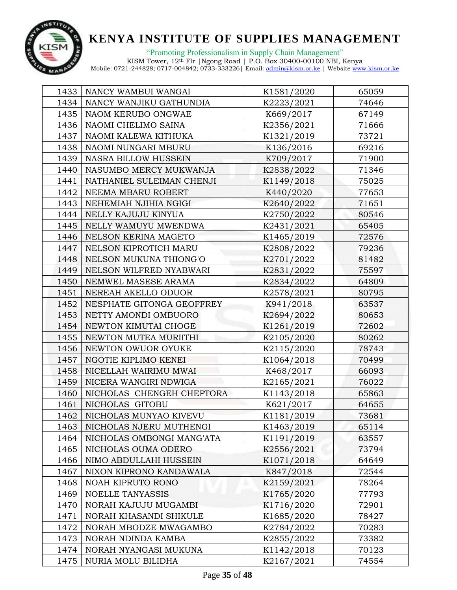

"Promoting Professionalism in Supply Chain Management"

| 1433 | NANCY WAMBUI WANGAI         | K1581/2020 | 65059 |
|------|-----------------------------|------------|-------|
| 1434 | NANCY WANJIKU GATHUNDIA     | K2223/2021 | 74646 |
| 1435 | NAOM KERUBO ONGWAE          | K669/2017  | 67149 |
| 1436 | NAOMI CHELIMO SAINA         | K2356/2021 | 71666 |
| 1437 | NAOMI KALEWA KITHUKA        | K1321/2019 | 73721 |
| 1438 | NAOMI NUNGARI MBURU         | K136/2016  | 69216 |
| 1439 | <b>NASRA BILLOW HUSSEIN</b> | K709/2017  | 71900 |
| 1440 | NASUMBO MERCY MUKWANJA      | K2838/2022 | 71346 |
| 1441 | NATHANIEL SULEIMAN CHENJI   | K1149/2018 | 75025 |
| 1442 | NEEMA MBARU ROBERT          | K440/2020  | 77653 |
| 1443 | NEHEMIAH NJIHIA NGIGI       | K2640/2022 | 71651 |
| 1444 | NELLY KAJUJU KINYUA         | K2750/2022 | 80546 |
| 1445 | NELLY WAMUYU MWENDWA        | K2431/2021 | 65405 |
| 1446 | NELSON KERINA MAGETO        | K1465/2019 | 72576 |
| 1447 | NELSON KIPROTICH MARU       | K2808/2022 | 79236 |
| 1448 | NELSON MUKUNA THIONG'O      | K2701/2022 | 81482 |
| 1449 | NELSON WILFRED NYABWARI     | K2831/2022 | 75597 |
| 1450 | NEMWEL MASESE ARAMA         | K2834/2022 | 64809 |
| 1451 | NEREAH AKELLO ODUOR         | K2578/2021 | 80795 |
| 1452 | NESPHATE GITONGA GEOFFREY   | K941/2018  | 63537 |
| 1453 | NETTY AMONDI OMBUORO        | K2694/2022 | 80653 |
| 1454 | NEWTON KIMUTAI CHOGE        | K1261/2019 | 72602 |
| 1455 | NEWTON MUTEA MURIITHI       | K2105/2020 | 80262 |
| 1456 | NEWTON OWUOR OYUKE          | K2115/2020 | 78743 |
| 1457 | NGOTIE KIPLIMO KENEI        | K1064/2018 | 70499 |
| 1458 | NICELLAH WAIRIMU MWAI       | K468/2017  | 66093 |
| 1459 | NICERA WANGIRI NDWIGA       | K2165/2021 | 76022 |
| 1460 | NICHOLAS CHENGEH CHEPTORA   | K1143/2018 | 65863 |
| 1461 | NICHOLAS GITOBU             | K621/2017  | 64655 |
| 1462 | NICHOLAS MUNYAO KIVEVU      | K1181/2019 | 73681 |
| 1463 | NICHOLAS NJERU MUTHENGI     | K1463/2019 | 65114 |
| 1464 | NICHOLAS OMBONGI MANG'ATA   | K1191/2019 | 63557 |
| 1465 | NICHOLAS OUMA ODERO         | K2556/2021 | 73794 |
| 1466 | NIMO ABDULLAHI HUSSEIN      | K1071/2018 | 64649 |
| 1467 | NIXON KIPRONO KANDAWALA     | K847/2018  | 72544 |
| 1468 | NOAH KIPRUTO RONO           | K2159/2021 | 78264 |
| 1469 | NOELLE TANYASSIS            | K1765/2020 | 77793 |
| 1470 | NORAH KAJUJU MUGAMBI        | K1716/2020 | 72901 |
| 1471 | NORAH KHASANDI SHIKULE      | K1685/2020 | 78427 |
| 1472 | NORAH MBODZE MWAGAMBO       | K2784/2022 | 70283 |
| 1473 | NORAH NDINDA KAMBA          | K2855/2022 | 73382 |
| 1474 | NORAH NYANGASI MUKUNA       | K1142/2018 | 70123 |
| 1475 | NURIA MOLU BILIDHA          | K2167/2021 | 74554 |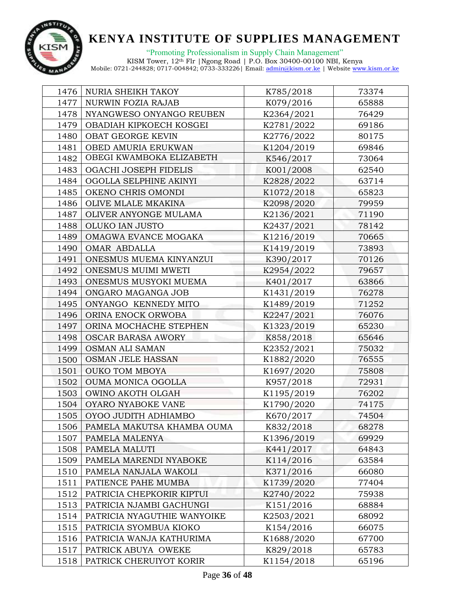

"Promoting Professionalism in Supply Chain Management"

| 1476 | NURIA SHEIKH TAKOY          | K785/2018  | 73374 |
|------|-----------------------------|------------|-------|
| 1477 | NURWIN FOZIA RAJAB          | K079/2016  | 65888 |
| 1478 | NYANGWESO ONYANGO REUBEN    | K2364/2021 | 76429 |
| 1479 | OBADIAH KIPKOECH KOSGEI     | K2781/2022 | 69186 |
| 1480 | OBAT GEORGE KEVIN           | K2776/2022 | 80175 |
| 1481 | OBED AMURIA ERUKWAN         | K1204/2019 | 69846 |
| 1482 | OBEGI KWAMBOKA ELIZABETH    | K546/2017  | 73064 |
| 1483 | OGACHI JOSEPH FIDELIS       | K001/2008  | 62540 |
| 1484 | OGOLLA SELPHINE AKINYI      | K2828/2022 | 63714 |
| 1485 | OKENO CHRIS OMONDI          | K1072/2018 | 65823 |
| 1486 | OLIVE MLALE MKAKINA         | K2098/2020 | 79959 |
| 1487 | OLIVER ANYONGE MULAMA       | K2136/2021 | 71190 |
| 1488 | OLUKO IAN JUSTO             | K2437/2021 | 78142 |
| 1489 | OMAGWA EVANCE MOGAKA        | K1216/2019 | 70665 |
| 1490 | OMAR ABDALLA                | K1419/2019 | 73893 |
| 1491 | ONESMUS MUEMA KINYANZUI     | K390/2017  | 70126 |
| 1492 | ONESMUS MUIMI MWETI         | K2954/2022 | 79657 |
| 1493 | ONESMUS MUSYOKI MUEMA       | K401/2017  | 63866 |
| 1494 | ONGARO MAGANGA JOB          | K1431/2019 | 76278 |
| 1495 | ONYANGO KENNEDY MITO        | K1489/2019 | 71252 |
| 1496 | ORINA ENOCK ORWOBA          | K2247/2021 | 76076 |
| 1497 | ORINA MOCHACHE STEPHEN      | K1323/2019 | 65230 |
| 1498 | <b>OSCAR BARASA AWORY</b>   | K858/2018  | 65646 |
| 1499 | OSMAN ALI SAMAN             | K2352/2021 | 75032 |
| 1500 | OSMAN JELE HASSAN           | K1882/2020 | 76555 |
| 1501 | <b>OUKO TOM MBOYA</b>       | K1697/2020 | 75808 |
| 1502 | OUMA MONICA OGOLLA          | K957/2018  | 72931 |
| 1503 | OWINO AKOTH OLGAH           | K1195/2019 | 76202 |
| 1504 | OYARO NYABOKE VANE          | K1790/2020 | 74175 |
| 1505 | OYOO JUDITH ADHIAMBO        | K670/2017  | 74504 |
| 1506 | PAMELA MAKUTSA KHAMBA OUMA  | K832/2018  | 68278 |
| 1507 | PAMELA MALENYA              | K1396/2019 | 69929 |
| 1508 | PAMELA MALUTI               | K441/2017  | 64843 |
| 1509 | PAMELA MARENDI NYABOKE      | K114/2016  | 63584 |
| 1510 | PAMELA NANJALA WAKOLI       | K371/2016  | 66080 |
| 1511 | PATIENCE PAHE MUMBA         | K1739/2020 | 77404 |
| 1512 | PATRICIA CHEPKORIR KIPTUI   | K2740/2022 | 75938 |
| 1513 | PATRICIA NJAMBI GACHUNGI    | K151/2016  | 68884 |
| 1514 | PATRICIA NYAGUTHIE WANYOIKE | K2503/2021 | 68092 |
| 1515 | PATRICIA SYOMBUA KIOKO      | K154/2016  | 66075 |
| 1516 | PATRICIA WANJA KATHURIMA    | K1688/2020 | 67700 |
| 1517 | PATRICK ABUYA OWEKE         | K829/2018  | 65783 |
| 1518 | PATRICK CHERUIYOT KORIR     | K1154/2018 | 65196 |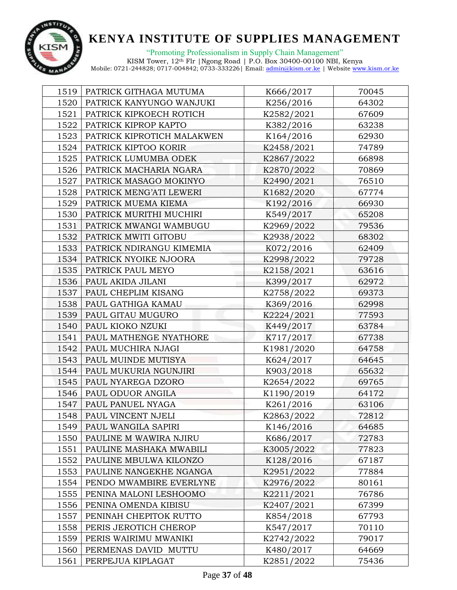

| 1519 | PATRICK GITHAGA MUTUMA     | K666/2017  | 70045 |
|------|----------------------------|------------|-------|
| 1520 | PATRICK KANYUNGO WANJUKI   | K256/2016  | 64302 |
| 1521 | PATRICK KIPKOECH ROTICH    | K2582/2021 | 67609 |
| 1522 | PATRICK KIPROP KAPTO       | K382/2016  | 63238 |
| 1523 | PATRICK KIPROTICH MALAKWEN | K164/2016  | 62930 |
| 1524 | PATRICK KIPTOO KORIR       | K2458/2021 | 74789 |
| 1525 | PATRICK LUMUMBA ODEK       | K2867/2022 | 66898 |
| 1526 | PATRICK MACHARIA NGARA     | K2870/2022 | 70869 |
| 1527 | PATRICK MASAGO MOKINYO     | K2490/2021 | 76510 |
| 1528 | PATRICK MENG'ATI LEWERI    | K1682/2020 | 67774 |
| 1529 | PATRICK MUEMA KIEMA        | K192/2016  | 66930 |
| 1530 | PATRICK MURITHI MUCHIRI    | K549/2017  | 65208 |
| 1531 | PATRICK MWANGI WAMBUGU     | K2969/2022 | 79536 |
| 1532 | PATRICK MWITI GITOBU       | K2938/2022 | 68302 |
| 1533 | PATRICK NDIRANGU KIMEMIA   | K072/2016  | 62409 |
| 1534 | PATRICK NYOIKE NJOORA      | K2998/2022 | 79728 |
| 1535 | PATRICK PAUL MEYO          | K2158/2021 | 63616 |
| 1536 | PAUL AKIDA JILANI          | K399/2017  | 62972 |
| 1537 | PAUL CHEPLIM KISANG        | K2758/2022 | 69373 |
| 1538 | PAUL GATHIGA KAMAU         | K369/2016  | 62998 |
| 1539 | PAUL GITAU MUGURO          | K2224/2021 | 77593 |
| 1540 | PAUL KIOKO NZUKI           | K449/2017  | 63784 |
| 1541 | PAUL MATHENGE NYATHORE     | K717/2017  | 67738 |
| 1542 | PAUL MUCHIRA NJAGI         | K1981/2020 | 64758 |
| 1543 | PAUL MUINDE MUTISYA        | K624/2017  | 64645 |
| 1544 | PAUL MUKURIA NGUNJIRI      | K903/2018  | 65632 |
| 1545 | PAUL NYAREGA DZORO         | K2654/2022 | 69765 |
| 1546 | PAUL ODUOR ANGILA          | K1190/2019 | 64172 |
| 1547 | PAUL PANUEL NYAGA          | K261/2016  | 63106 |
| 1548 | PAUL VINCENT NJELI         | K2863/2022 | 72812 |
| 1549 | PAUL WANGILA SAPIRI        | K146/2016  | 64685 |
| 1550 | PAULINE M WAWIRA NJIRU     | K686/2017  | 72783 |
| 1551 | PAULINE MASHAKA MWABILI    | K3005/2022 | 77823 |
| 1552 | PAULINE MBULWA KILONZO     | K128/2016  | 67187 |
| 1553 | PAULINE NANGEKHE NGANGA    | K2951/2022 | 77884 |
| 1554 | PENDO MWAMBIRE EVERLYNE    | K2976/2022 | 80161 |
| 1555 | PENINA MALONI LESHOOMO     | K2211/2021 | 76786 |
| 1556 | PENINA OMENDA KIBISU       | K2407/2021 | 67399 |
| 1557 | PENINAH CHEPITOK RUTTO     | K854/2018  | 67793 |
| 1558 | PERIS JEROTICH CHEROP      | K547/2017  | 70110 |
| 1559 | PERIS WAIRIMU MWANIKI      | K2742/2022 | 79017 |
| 1560 | PERMENAS DAVID MUTTU       | K480/2017  | 64669 |
| 1561 | PERPEJUA KIPLAGAT          | K2851/2022 | 75436 |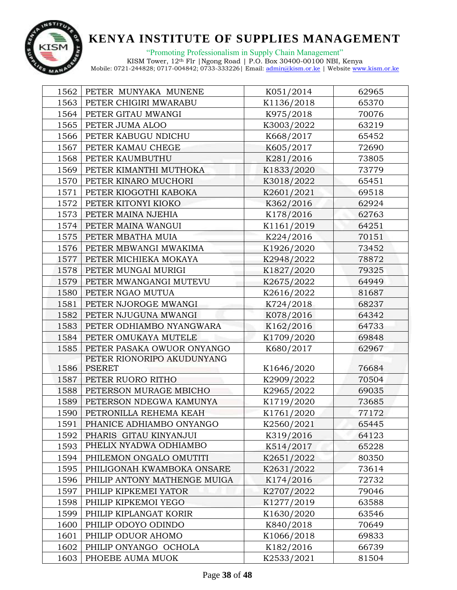

"Promoting Professionalism in Supply Chain Management"

| 1562 | PETER MUNYAKA MUNENE         | K051/2014  | 62965 |  |
|------|------------------------------|------------|-------|--|
| 1563 | PETER CHIGIRI MWARABU        | K1136/2018 | 65370 |  |
| 1564 | PETER GITAU MWANGI           | K975/2018  | 70076 |  |
| 1565 | PETER JUMA ALOO              | K3003/2022 | 63219 |  |
| 1566 | PETER KABUGU NDICHU          | K668/2017  | 65452 |  |
| 1567 | PETER KAMAU CHEGE            | K605/2017  | 72690 |  |
| 1568 | PETER KAUMBUTHU              | K281/2016  | 73805 |  |
| 1569 | PETER KIMANTHI MUTHOKA       | K1833/2020 | 73779 |  |
| 1570 | PETER KINARO MUCHORI         | K3018/2022 | 65451 |  |
| 1571 | PETER KIOGOTHI KABOKA        | K2601/2021 | 69518 |  |
| 1572 | PETER KITONYI KIOKO          | K362/2016  | 62924 |  |
| 1573 | PETER MAINA NJEHIA           | K178/2016  | 62763 |  |
| 1574 | PETER MAINA WANGUI           | K1161/2019 | 64251 |  |
| 1575 | PETER MBATHA MUIA            | K224/2016  | 70151 |  |
| 1576 | PETER MBWANGI MWAKIMA        | K1926/2020 | 73452 |  |
| 1577 | PETER MICHIEKA MOKAYA        | K2948/2022 | 78872 |  |
| 1578 | PETER MUNGAI MURIGI          | K1827/2020 | 79325 |  |
| 1579 | PETER MWANGANGI MUTEVU       | K2675/2022 | 64949 |  |
| 1580 | PETER NGAO MUTUA             | K2616/2022 | 81687 |  |
| 1581 | PETER NJOROGE MWANGI         | K724/2018  | 68237 |  |
| 1582 | PETER NJUGUNA MWANGI         | K078/2016  | 64342 |  |
| 1583 | PETER ODHIAMBO NYANGWARA     | K162/2016  | 64733 |  |
| 1584 | PETER OMUKAYA MUTELE         | K1709/2020 | 69848 |  |
| 1585 | PETER PASAKA OWUOR ONYANGO   | K680/2017  | 62967 |  |
|      | PETER RIONORIPO AKUDUNYANG   |            |       |  |
| 1586 | <b>PSERET</b>                | K1646/2020 | 76684 |  |
| 1587 | PETER RUORO RITHO            | K2909/2022 | 70504 |  |
| 1588 | PETERSON MURAGE MBICHO       | K2965/2022 | 69035 |  |
| 1589 | PETERSON NDEGWA KAMUNYA      | K1719/2020 | 73685 |  |
| 1590 | PETRONILLA REHEMA KEAH       | K1761/2020 | 77172 |  |
| 1591 | PHANICE ADHIAMBO ONYANGO     | K2560/2021 | 65445 |  |
| 1592 | PHARIS GITAU KINYANJUI       | K319/2016  | 64123 |  |
| 1593 | PHELIX NYADWA ODHIAMBO       | K514/2017  | 65228 |  |
| 1594 | PHILEMON ONGALO OMUTITI      | K2651/2022 | 80350 |  |
| 1595 | PHILIGONAH KWAMBOKA ONSARE   | K2631/2022 | 73614 |  |
| 1596 | PHILIP ANTONY MATHENGE MUIGA | K174/2016  | 72732 |  |
| 1597 | PHILIP KIPKEMEI YATOR        | K2707/2022 | 79046 |  |
| 1598 | PHILIP KIPKEMOI YEGO         | K1277/2019 | 63588 |  |
| 1599 | PHILIP KIPLANGAT KORIR       | K1630/2020 | 63546 |  |
| 1600 | PHILIP ODOYO ODINDO          | K840/2018  | 70649 |  |
| 1601 | PHILIP ODUOR AHOMO           | K1066/2018 | 69833 |  |
| 1602 | PHILIP ONYANGO OCHOLA        | K182/2016  | 66739 |  |
| 1603 | PHOEBE AUMA MUOK             | K2533/2021 | 81504 |  |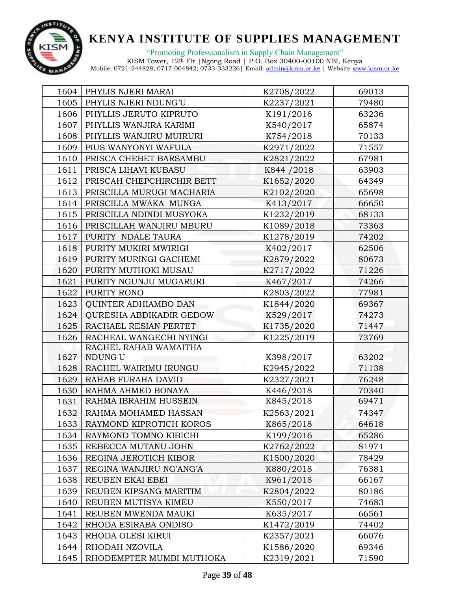

|      | 1604   PHYLIS NJERI MARAI      | K2708/2022  | 69013 |  |
|------|--------------------------------|-------------|-------|--|
| 1605 | PHYLIS NJERI NDUNG'U           | K2237/2021  | 79480 |  |
| 1606 | PHYLLIS JERUTO KIPRUTO         | K191/2016   | 63236 |  |
| 1607 | PHYLLIS WANJIRA KARIMI         | K540/2017   | 65874 |  |
| 1608 | PHYLLIS WANJIRU MUIRURI        | K754/2018   | 70133 |  |
| 1609 | PIUS WANYONYI WAFULA           | K2971/2022  | 71557 |  |
| 1610 | PRISCA CHEBET BARSAMBU         | K2821/2022  | 67981 |  |
| 1611 | PRISCA LIHAVI KUBASU           | K844 / 2018 | 63903 |  |
| 1612 | PRISCAH CHEPCHIRCHIR BETT      | K1652/2020  | 64349 |  |
| 1613 | PRISCILLA MURUGI MACHARIA      | K2102/2020  | 65698 |  |
| 1614 | PRISCILLA MWAKA MUNGA          | K413/2017   | 66650 |  |
| 1615 | PRISCILLA NDINDI MUSYOKA       | K1232/2019  | 68133 |  |
| 1616 | PRISCILLAH WANJIRU MBURU       | K1089/2018  | 73363 |  |
| 1617 | PURITY NDALE TAURA             | K1278/2019  | 74202 |  |
| 1618 | PURITY MUKIRI MWIRIGI          | K402/2017   | 62506 |  |
| 1619 | PURITY MURINGI GACHEMI         | K2879/2022  | 80673 |  |
| 1620 | PURITY MUTHOKI MUSAU           | K2717/2022  | 71226 |  |
| 1621 | PURITY NGUNJU MUGARURI         | K467/2017   | 74266 |  |
| 1622 | PURITY RONO                    | K2803/2022  | 77981 |  |
| 1623 | QUINTER ADHIAMBO DAN           | K1844/2020  | 69367 |  |
| 1624 | <b>QURESHA ABDIKADIR GEDOW</b> | K529/2017   | 74273 |  |
| 1625 | RACHAEL RESIAN PERTET          | K1735/2020  | 71447 |  |
| 1626 | RACHEAL WANGECHI NYINGI        | K1225/2019  | 73769 |  |
|      | RACHEL RAHAB WAMAITHA          |             |       |  |
| 1627 | NDUNG'U                        | K398/2017   | 63202 |  |
| 1628 | RACHEL WAIRIMU IRUNGU          | K2945/2022  | 71138 |  |
| 1629 | RAHAB FURAHA DAVID             | K2327/2021  | 76248 |  |
| 1630 | RAHMA AHMED BONAYA             | K446/2018   | 70340 |  |
| 1631 | RAHMA IBRAHIM HUSSEIN          | K845/2018   | 69471 |  |
| 1632 | RAHMA MOHAMED HASSAN           | K2563/2021  | 74347 |  |
| 1633 | RAYMOND KIPROTICH KOROS        | K865/2018   | 64618 |  |
| 1634 | RAYMOND TOMNO KIBICHI          | K199/2016   | 65286 |  |
| 1635 | REBECCA MUTANU JOHN            | K2762/2022  | 81971 |  |
| 1636 | REGINA JEROTICH KIBOR          | K1500/2020  | 78429 |  |
| 1637 | REGINA WANJIRU NG'ANG'A        | K880/2018   | 76381 |  |
| 1638 | REUBEN EKAI EBEI               | K961/2018   | 66167 |  |
| 1639 | REUBEN KIPSANG MARITIM         | K2804/2022  | 80186 |  |
| 1640 | REUBEN MUTISYA KIMEU           | K550/2017   | 74683 |  |
| 1641 | REUBEN MWENDA MAUKI            | K635/2017   | 66561 |  |
| 1642 | RHODA ESIRABA ONDISO           | K1472/2019  | 74402 |  |
| 1643 | RHODA OLESI KIRUI              | K2357/2021  | 66076 |  |
| 1644 | RHODAH NZOVILA                 | K1586/2020  | 69346 |  |
| 1645 | RHODEMPTER MUMBI MUTHOKA       | K2319/2021  | 71590 |  |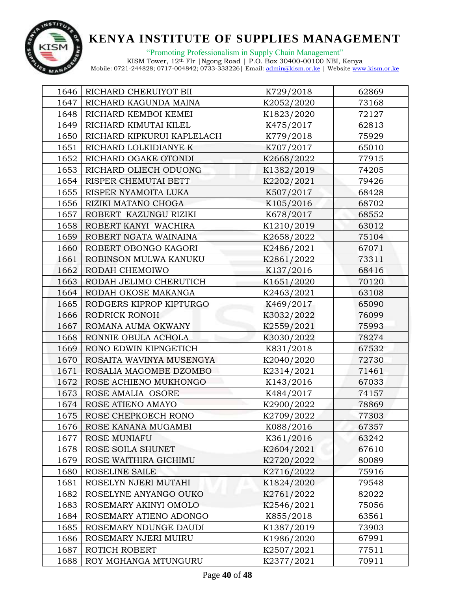

| 1646 | RICHARD CHERUIYOT BII      | K729/2018  | 62869 |  |
|------|----------------------------|------------|-------|--|
| 1647 | RICHARD KAGUNDA MAINA      | K2052/2020 | 73168 |  |
| 1648 | RICHARD KEMBOI KEMEI       | K1823/2020 | 72127 |  |
| 1649 | RICHARD KIMUTAI KILEL      | K475/2017  | 62813 |  |
| 1650 | RICHARD KIPKURUI KAPLELACH | K779/2018  | 75929 |  |
| 1651 | RICHARD LOLKIDIANYE K      | K707/2017  | 65010 |  |
| 1652 | RICHARD OGAKE OTONDI       | K2668/2022 | 77915 |  |
| 1653 | RICHARD OLIECH ODUONG      | K1382/2019 | 74205 |  |
| 1654 | RISPER CHEMUTAI BETT       | K2202/2021 | 79426 |  |
| 1655 | RISPER NYAMOITA LUKA       | K507/2017  | 68428 |  |
| 1656 | RIZIKI MATANO CHOGA        | K105/2016  | 68702 |  |
| 1657 | ROBERT KAZUNGU RIZIKI      | K678/2017  | 68552 |  |
| 1658 | ROBERT KANYI WACHIRA       | K1210/2019 | 63012 |  |
| 1659 | ROBERT NGATA WAINAINA      | K2658/2022 | 75104 |  |
| 1660 | ROBERT OBONGO KAGORI       | K2486/2021 | 67071 |  |
| 1661 | ROBINSON MULWA KANUKU      | K2861/2022 | 73311 |  |
| 1662 | RODAH CHEMOIWO             | K137/2016  | 68416 |  |
| 1663 | RODAH JELIMO CHERUTICH     | K1651/2020 | 70120 |  |
| 1664 | RODAH OKOSE MAKANGA        | K2463/2021 | 63108 |  |
| 1665 | RODGERS KIPROP KIPTURGO    | K469/2017  | 65090 |  |
| 1666 | RODRICK RONOH              | K3032/2022 | 76099 |  |
| 1667 | ROMANA AUMA OKWANY         | K2559/2021 | 75993 |  |
| 1668 | RONNIE OBULA ACHOLA        | K3030/2022 | 78274 |  |
| 1669 | RONO EDWIN KIPNGETICH      | K831/2018  | 67532 |  |
| 1670 | ROSAITA WAVINYA MUSENGYA   | K2040/2020 | 72730 |  |
| 1671 | ROSALIA MAGOMBE DZOMBO     | K2314/2021 | 71461 |  |
| 1672 | ROSE ACHIENO MUKHONGO      | K143/2016  | 67033 |  |
| 1673 | ROSE AMALIA OSORE          | K484/2017  | 74157 |  |
| 1674 | ROSE ATIENO AMAYO          | K2900/2022 | 78869 |  |
| 1675 | ROSE CHEPKOECH RONO        | K2709/2022 | 77303 |  |
| 1676 | ROSE KANANA MUGAMBI        | K088/2016  | 67357 |  |
| 1677 | ROSE MUNIAFU               | K361/2016  | 63242 |  |
| 1678 | ROSE SOILA SHUNET          | K2604/2021 | 67610 |  |
| 1679 | ROSE WAITHIRA GICHIMU      | K2720/2022 | 80089 |  |
| 1680 | ROSELINE SAILE             | K2716/2022 | 75916 |  |
| 1681 | ROSELYN NJERI MUTAHI       | K1824/2020 | 79548 |  |
| 1682 | ROSELYNE ANYANGO OUKO      | K2761/2022 | 82022 |  |
| 1683 | ROSEMARY AKINYI OMOLO      | K2546/2021 | 75056 |  |
| 1684 | ROSEMARY ATIENO ADONGO     | K855/2018  | 63561 |  |
| 1685 | ROSEMARY NDUNGE DAUDI      | K1387/2019 | 73903 |  |
| 1686 | ROSEMARY NJERI MUIRU       | K1986/2020 | 67991 |  |
| 1687 | ROTICH ROBERT              | K2507/2021 | 77511 |  |
| 1688 | ROY MGHANGA MTUNGURU       | K2377/2021 | 70911 |  |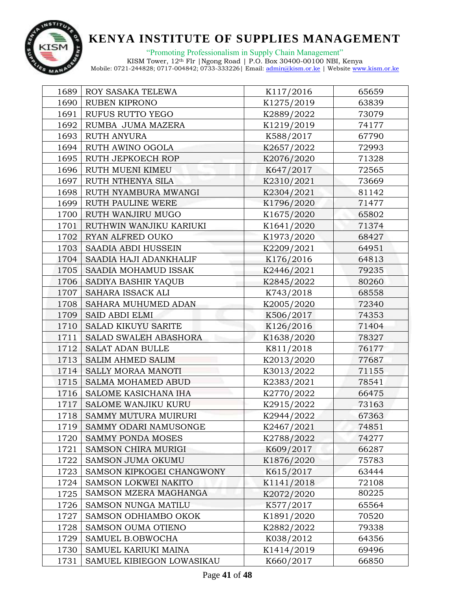

"Promoting Professionalism in Supply Chain Management"

| 1689 | ROY SASAKA TELEWA           | K117/2016  | 65659 |
|------|-----------------------------|------------|-------|
| 1690 | RUBEN KIPRONO               | K1275/2019 | 63839 |
| 1691 | RUFUS RUTTO YEGO            | K2889/2022 | 73079 |
| 1692 | RUMBA JUMA MAZERA           | K1219/2019 | 74177 |
| 1693 | <b>RUTH ANYURA</b>          | K588/2017  | 67790 |
| 1694 | RUTH AWINO OGOLA            | K2657/2022 | 72993 |
| 1695 | RUTH JEPKOECH ROP           | K2076/2020 | 71328 |
| 1696 | RUTH MUENI KIMEU            | K647/2017  | 72565 |
| 1697 | RUTH NTHENYA SILA           | K2310/2021 | 73669 |
| 1698 | RUTH NYAMBURA MWANGI        | K2304/2021 | 81142 |
| 1699 | RUTH PAULINE WERE           | K1796/2020 | 71477 |
| 1700 | RUTH WANJIRU MUGO           | K1675/2020 | 65802 |
| 1701 | RUTHWIN WANJIKU KARIUKI     | K1641/2020 | 71374 |
| 1702 | RYAN ALFRED OUKO            | K1973/2020 | 68427 |
| 1703 | SAADIA ABDI HUSSEIN         | K2209/2021 | 64951 |
| 1704 | SAADIA HAJI ADANKHALIF      | K176/2016  | 64813 |
| 1705 | SAADIA MOHAMUD ISSAK        | K2446/2021 | 79235 |
| 1706 | SADIYA BASHIR YAQUB         | K2845/2022 | 80260 |
| 1707 | SAHARA ISSACK ALI           | K743/2018  | 68558 |
| 1708 | SAHARA MUHUMED ADAN         | K2005/2020 | 72340 |
| 1709 | <b>SAID ABDI ELMI</b>       | K506/2017  | 74353 |
| 1710 | SALAD KIKUYU SARITE         | K126/2016  | 71404 |
| 1711 | SALAD SWALEH ABASHORA       | K1638/2020 | 78327 |
| 1712 | SALAT ADAN BULLE            | K811/2018  | 76177 |
| 1713 | SALIM AHMED SALIM           | K2013/2020 | 77687 |
| 1714 | SALLY MORAA MANOTI          | K3013/2022 | 71155 |
| 1715 | SALMA MOHAMED ABUD          | K2383/2021 | 78541 |
| 1716 | SALOME KASICHANA IHA        | K2770/2022 | 66475 |
| 1717 | SALOME WANJIKU KURU         | K2915/2022 | 73163 |
| 1718 | SAMMY MUTURA MUIRURI        | K2944/2022 | 67363 |
| 1719 | SAMMY ODARI NAMUSONGE       | K2467/2021 | 74851 |
| 1720 | SAMMY PONDA MOSES           | K2788/2022 | 74277 |
| 1721 | <b>SAMSON CHIRA MURIGI</b>  | K609/2017  | 66287 |
| 1722 | <b>SAMSON JUMA OKUMU</b>    | K1876/2020 | 75783 |
| 1723 | SAMSON KIPKOGEI CHANGWONY   | K615/2017  | 63444 |
| 1724 | <b>SAMSON LOKWEI NAKITO</b> | K1141/2018 | 72108 |
| 1725 | SAMSON MZERA MAGHANGA       | K2072/2020 | 80225 |
| 1726 | <b>SAMSON NUNGA MATILU</b>  | K577/2017  | 65564 |
| 1727 | SAMSON ODHIAMBO OKOK        | K1891/2020 | 70520 |
| 1728 | SAMSON OUMA OTIENO          | K2882/2022 | 79338 |
| 1729 | SAMUEL B.OBWOCHA            | K038/2012  | 64356 |
| 1730 | SAMUEL KARIUKI MAINA        | K1414/2019 | 69496 |
| 1731 | SAMUEL KIBIEGON LOWASIKAU   | K660/2017  | 66850 |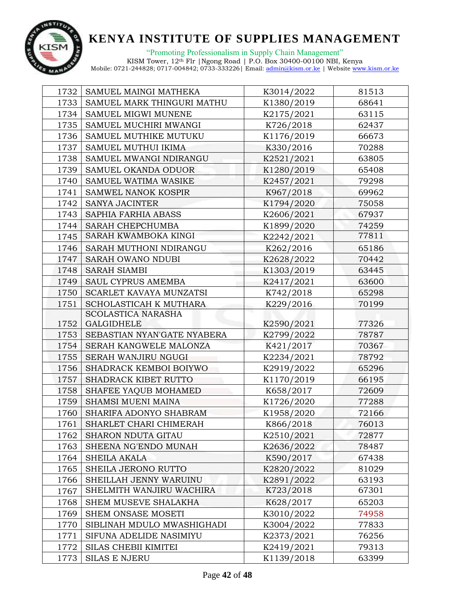

"Promoting Professionalism in Supply Chain Management" KISM Tower, 12th Flr |Ngong Road | P.O. Box 30400-00100 NBI, Kenya

| 1732 | SAMUEL MAINGI MATHEKA       | K3014/2022 | 81513 |
|------|-----------------------------|------------|-------|
| 1733 | SAMUEL MARK THINGURI MATHU  | K1380/2019 | 68641 |
| 1734 | SAMUEL MIGWI MUNENE         | K2175/2021 | 63115 |
| 1735 | SAMUEL MUCHIRI MWANGI       | K726/2018  | 62437 |
| 1736 | SAMUEL MUTHIKE MUTUKU       | K1176/2019 | 66673 |
| 1737 | SAMUEL MUTHUI IKIMA         | K330/2016  | 70288 |
| 1738 | SAMUEL MWANGI NDIRANGU      | K2521/2021 | 63805 |
| 1739 | SAMUEL OKANDA ODUOR         | K1280/2019 | 65408 |
| 1740 | SAMUEL WATIMA WASIKE        | K2457/2021 | 79298 |
| 1741 | SAMWEL NANOK KOSPIR         | K967/2018  | 69962 |
| 1742 | <b>SANYA JACINTER</b>       | K1794/2020 | 75058 |
| 1743 | SAPHIA FARHIA ABASS         | K2606/2021 | 67937 |
| 1744 | SARAH CHEPCHUMBA            | K1899/2020 | 74259 |
| 1745 | SARAH KWAMBOKA KINGI        | K2242/2021 | 77811 |
| 1746 | SARAH MUTHONI NDIRANGU      | K262/2016  | 65186 |
| 1747 | SARAH OWANO NDUBI           | K2628/2022 | 70442 |
| 1748 | <b>SARAH SIAMBI</b>         | K1303/2019 | 63445 |
| 1749 | SAUL CYPRUS AMEMBA          | K2417/2021 | 63600 |
| 1750 | SCARLET KAVAYA MUNZATSI     | K742/2018  | 65298 |
| 1751 | SCHOLASTICAH K MUTHARA      | K229/2016  | 70199 |
|      | <b>SCOLASTICA NARASHA</b>   |            |       |
| 1752 | GALGIDHELE                  | K2590/2021 | 77326 |
| 1753 | SEBASTIAN NYAN'GATE NYABERA | K2799/2022 | 78787 |
| 1754 | SERAH KANGWELE MALONZA      | K421/2017  | 70367 |
| 1755 | SERAH WANJIRU NGUGI         | K2234/2021 | 78792 |
| 1756 | SHADRACK KEMBOI BOIYWO      | K2919/2022 | 65296 |
| 1757 | SHADRACK KIBET RUTTO        | K1170/2019 | 66195 |
| 1758 | SHAFEE YAQUB MOHAMED        | K658/2017  | 72609 |
| 1759 | SHAMSI MUENI MAINA          | K1726/2020 | 77288 |
| 1760 | SHARIFA ADONYO SHABRAM      | K1958/2020 | 72166 |
| 1761 | SHARLET CHARI CHIMERAH      | K866/2018  | 76013 |
| 1762 | SHARON NDUTA GITAU          | K2510/2021 | 72877 |
| 1763 | SHEENA NG'ENDO MUNAH        | K2636/2022 | 78487 |
| 1764 | <b>SHEILA AKALA</b>         | K590/2017  | 67438 |
| 1765 | SHEILA JERONO RUTTO         | K2820/2022 | 81029 |
| 1766 | SHEILLAH JENNY WARUINU      | K2891/2022 | 63193 |
| 1767 | SHELMITH WANJIRU WACHIRA    | K723/2018  | 67301 |
| 1768 | SHEM MUSEVE SHALAKHA        | K628/2017  | 65203 |
| 1769 | SHEM ONSASE MOSETI          | K3010/2022 | 74958 |
| 1770 | SIBLINAH MDULO MWASHIGHADI  | K3004/2022 | 77833 |
| 1771 | SIFUNA ADELIDE NASIMIYU     | K2373/2021 | 76256 |
| 1772 | SILAS CHEBII KIMITEI        | K2419/2021 | 79313 |
| 1773 | <b>SILAS E NJERU</b>        | K1139/2018 | 63399 |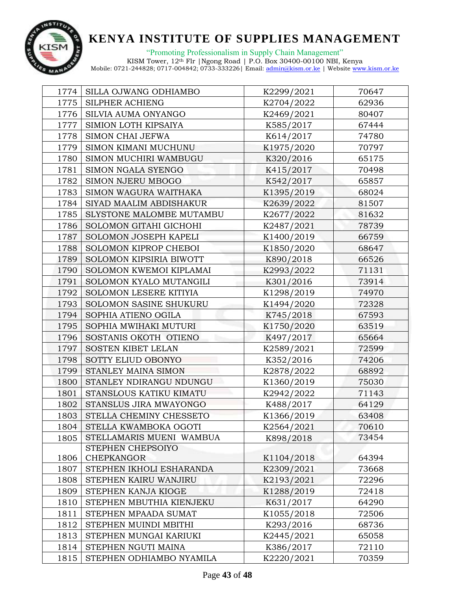

"Promoting Professionalism in Supply Chain Management" KISM Tower, 12th Flr |Ngong Road | P.O. Box 30400-00100 NBI, Kenya

| 1774 | SILLA OJWANG ODHIAMBO    | K2299/2021 | 70647 |  |
|------|--------------------------|------------|-------|--|
| 1775 | SILPHER ACHIENG          | K2704/2022 | 62936 |  |
| 1776 | SILVIA AUMA ONYANGO      | K2469/2021 | 80407 |  |
| 1777 | SIMION LOTH KIPSAIYA     | K585/2017  | 67444 |  |
| 1778 | SIMON CHAI JEFWA         | K614/2017  | 74780 |  |
| 1779 | SIMON KIMANI MUCHUNU     | K1975/2020 | 70797 |  |
| 1780 | SIMON MUCHIRI WAMBUGU    | K320/2016  | 65175 |  |
| 1781 | SIMON NGALA SYENGO       | K415/2017  | 70498 |  |
| 1782 | SIMON NJERU MBOGO        | K542/2017  | 65857 |  |
| 1783 | SIMON WAGURA WAITHAKA    | K1395/2019 | 68024 |  |
| 1784 | SIYAD MAALIM ABDISHAKUR  | K2639/2022 | 81507 |  |
| 1785 | SLYSTONE MALOMBE MUTAMBU | K2677/2022 | 81632 |  |
| 1786 | SOLOMON GITAHI GICHOHI   | K2487/2021 | 78739 |  |
| 1787 | SOLOMON JOSEPH KAPELI    | K1400/2019 | 66759 |  |
| 1788 | SOLOMON KIPROP CHEBOI    | K1850/2020 | 68647 |  |
| 1789 | SOLOMON KIPSIRIA BIWOTT  | K890/2018  | 66526 |  |
| 1790 | SOLOMON KWEMOI KIPLAMAI  | K2993/2022 | 71131 |  |
| 1791 | SOLOMON KYALO MUTANGILI  | K301/2016  | 73914 |  |
| 1792 | SOLOMON LESERE KITIYIA   | K1298/2019 | 74970 |  |
| 1793 | SOLOMON SASINE SHUKURU   | K1494/2020 | 72328 |  |
| 1794 | SOPHIA ATIENO OGILA      | K745/2018  | 67593 |  |
| 1795 | SOPHIA MWIHAKI MUTURI    | K1750/2020 | 63519 |  |
| 1796 | SOSTANIS OKOTH OTIENO    | K497/2017  | 65664 |  |
| 1797 | SOSTEN KIBET LELAN       | K2589/2021 | 72599 |  |
| 1798 | SOTTY ELIUD OBONYO       | K352/2016  | 74206 |  |
| 1799 | STANLEY MAINA SIMON      | K2878/2022 | 68892 |  |
| 1800 | STANLEY NDIRANGU NDUNGU  | K1360/2019 | 75030 |  |
| 1801 | STANSLOUS KATIKU KIMATU  | K2942/2022 | 71143 |  |
| 1802 | STANSLUS JIRA MWAYONGO   | K488/2017  | 64129 |  |
| 1803 | STELLA CHEMINY CHESSETO  | K1366/2019 | 63408 |  |
| 1804 | STELLA KWAMBOKA OGOTI    | K2564/2021 | 70610 |  |
| 1805 | STELLAMARIS MUENI WAMBUA | K898/2018  | 73454 |  |
|      | STEPHEN CHEPSOIYO        |            |       |  |
| 1806 | CHEPKANGOR               | K1104/2018 | 64394 |  |
| 1807 | STEPHEN IKHOLI ESHARANDA | K2309/2021 | 73668 |  |
| 1808 | STEPHEN KAIRU WANJIRU    | K2193/2021 | 72296 |  |
| 1809 | STEPHEN KANJA KIOGE      | K1288/2019 | 72418 |  |
| 1810 | STEPHEN MBUTHIA KIENJEKU | K631/2017  | 64290 |  |
| 1811 | STEPHEN MPAADA SUMAT     | K1055/2018 | 72506 |  |
| 1812 | STEPHEN MUINDI MBITHI    | K293/2016  | 68736 |  |
| 1813 | STEPHEN MUNGAI KARIUKI   | K2445/2021 | 65058 |  |
| 1814 | STEPHEN NGUTI MAINA      | K386/2017  | 72110 |  |
| 1815 | STEPHEN ODHIAMBO NYAMILA | K2220/2021 | 70359 |  |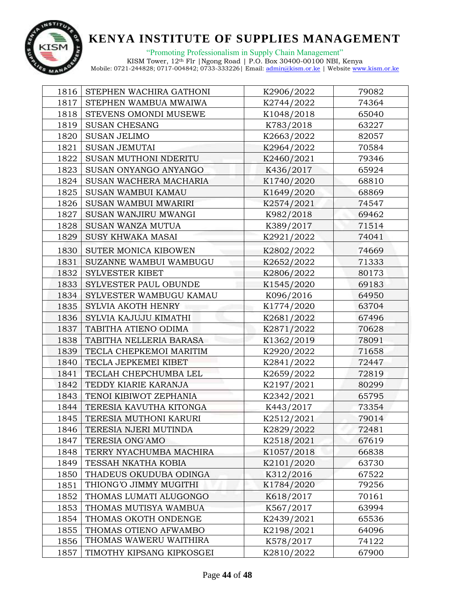

| 1816 | STEPHEN WACHIRA GATHONI      | K2906/2022 | 79082 |  |
|------|------------------------------|------------|-------|--|
| 1817 | STEPHEN WAMBUA MWAIWA        | K2744/2022 | 74364 |  |
| 1818 | STEVENS OMONDI MUSEWE        | K1048/2018 | 65040 |  |
| 1819 | <b>SUSAN CHESANG</b>         | K783/2018  | 63227 |  |
| 1820 | <b>SUSAN JELIMO</b>          | K2663/2022 | 82057 |  |
| 1821 | <b>SUSAN JEMUTAI</b>         | K2964/2022 | 70584 |  |
| 1822 | <b>SUSAN MUTHONI NDERITU</b> | K2460/2021 | 79346 |  |
| 1823 | SUSAN ONYANGO ANYANGO        | K436/2017  | 65924 |  |
| 1824 | SUSAN WACHERA MACHARIA       | K1740/2020 | 68810 |  |
| 1825 | <b>SUSAN WAMBUI KAMAU</b>    | K1649/2020 | 68869 |  |
| 1826 | SUSAN WAMBUI MWARIRI         | K2574/2021 | 74547 |  |
| 1827 | SUSAN WANJIRU MWANGI         | K982/2018  | 69462 |  |
| 1828 | SUSAN WANZA MUTUA            | K389/2017  | 71514 |  |
| 1829 | <b>SUSY KHWAKA MASAI</b>     | K2921/2022 | 74041 |  |
| 1830 | SUTER MONICA KIBOWEN         | K2802/2022 | 74669 |  |
| 1831 | SUZANNE WAMBUI WAMBUGU       | K2652/2022 | 71333 |  |
| 1832 | <b>SYLVESTER KIBET</b>       | K2806/2022 | 80173 |  |
| 1833 | SYLVESTER PAUL OBUNDE        | K1545/2020 | 69183 |  |
| 1834 | SYLVESTER WAMBUGU KAMAU      | K096/2016  | 64950 |  |
| 1835 | SYLVIA AKOTH HENRY           | K1774/2020 | 63704 |  |
| 1836 | SYLVIA KAJUJU KIMATHI        | K2681/2022 | 67496 |  |
| 1837 | TABITHA ATIENO ODIMA         | K2871/2022 | 70628 |  |
| 1838 | TABITHA NELLERIA BARASA      | K1362/2019 | 78091 |  |
| 1839 | TECLA CHEPKEMOI MARITIM      | K2920/2022 | 71658 |  |
| 1840 | TECLA JEPKEMEI KIBET         | K2841/2022 | 72447 |  |
| 1841 | TECLAH CHEPCHUMBA LEL        | K2659/2022 | 72819 |  |
| 1842 | TEDDY KIARIE KARANJA         | K2197/2021 | 80299 |  |
| 1843 | TENOI KIBIWOT ZEPHANIA       | K2342/2021 | 65795 |  |
| 1844 | TERESIA KAVUTHA KITONGA      | K443/2017  | 73354 |  |
| 1845 | TERESIA MUTHONI KARURI       | K2512/2021 | 79014 |  |
| 1846 | TERESIA NJERI MUTINDA        | K2829/2022 | 72481 |  |
| 1847 | TERESIA ONG'AMO              | K2518/2021 | 67619 |  |
| 1848 | TERRY NYACHUMBA MACHIRA      | K1057/2018 | 66838 |  |
| 1849 | TESSAH NKATHA KOBIA          | K2101/2020 | 63730 |  |
| 1850 | THADEUS OKUDUBA ODINGA       | K312/2016  | 67522 |  |
| 1851 | THIONG'O JIMMY MUGITHI       | K1784/2020 | 79256 |  |
| 1852 | THOMAS LUMATI ALUGONGO       | K618/2017  | 70161 |  |
| 1853 | THOMAS MUTISYA WAMBUA        | K567/2017  | 63994 |  |
| 1854 | THOMAS OKOTH ONDENGE         | K2439/2021 | 65536 |  |
| 1855 | THOMAS OTIENO AFWAMBO        | K2198/2021 | 64096 |  |
| 1856 | THOMAS WAWERU WAITHIRA       | K578/2017  | 74122 |  |
| 1857 | TIMOTHY KIPSANG KIPKOSGEI    | K2810/2022 | 67900 |  |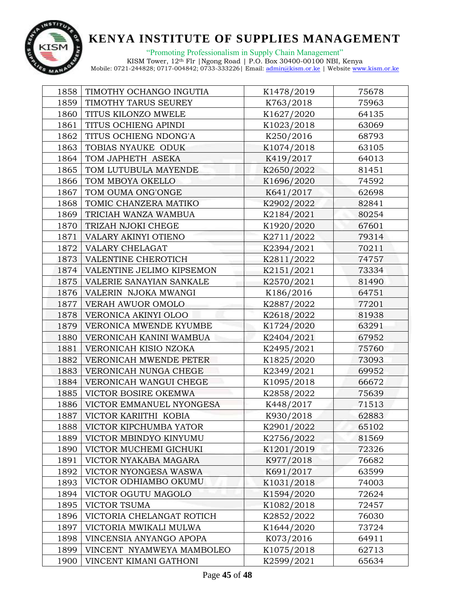

| 1858 | TIMOTHY OCHANGO INGUTIA     | K1478/2019 | 75678 |  |
|------|-----------------------------|------------|-------|--|
| 1859 | TIMOTHY TARUS SEUREY        | K763/2018  | 75963 |  |
| 1860 | TITUS KILONZO MWELE         | K1627/2020 | 64135 |  |
| 1861 | TITUS OCHIENG APINDI        | K1023/2018 | 63069 |  |
| 1862 | TITUS OCHIENG NDONG'A       | K250/2016  | 68793 |  |
| 1863 | TOBIAS NYAUKE ODUK          | K1074/2018 | 63105 |  |
| 1864 | TOM JAPHETH ASEKA           | K419/2017  | 64013 |  |
| 1865 | TOM LUTUBULA MAYENDE        | K2650/2022 | 81451 |  |
| 1866 | TOM MBOYA OKELLO            | K1696/2020 | 74592 |  |
| 1867 | TOM OUMA ONG'ONGE           | K641/2017  | 62698 |  |
| 1868 | TOMIC CHANZERA MATIKO       | K2902/2022 | 82841 |  |
| 1869 | TRICIAH WANZA WAMBUA        | K2184/2021 | 80254 |  |
| 1870 | TRIZAH NJOKI CHEGE          | K1920/2020 | 67601 |  |
| 1871 | VALARY AKINYI OTIENO        | K2711/2022 | 79314 |  |
| 1872 | VALARY CHELAGAT             | K2394/2021 | 70211 |  |
| 1873 | VALENTINE CHEROTICH         | K2811/2022 | 74757 |  |
| 1874 | VALENTINE JELIMO KIPSEMON   | K2151/2021 | 73334 |  |
| 1875 | VALERIE SANAYIAN SANKALE    | K2570/2021 | 81490 |  |
| 1876 | VALERIN NJOKA MWANGI        | K186/2016  | 64751 |  |
| 1877 | VERAH AWUOR OMOLO           | K2887/2022 | 77201 |  |
| 1878 | VERONICA AKINYI OLOO        | K2618/2022 | 81938 |  |
| 1879 | VERONICA MWENDE KYUMBE      | K1724/2020 | 63291 |  |
| 1880 | VERONICAH KANINI WAMBUA     | K2404/2021 | 67952 |  |
| 1881 | VERONICAH KISIO NZOKA       | K2495/2021 | 75760 |  |
| 1882 | VERONICAH MWENDE PETER      | K1825/2020 | 73093 |  |
| 1883 | VERONICAH NUNGA CHEGE       | K2349/2021 | 69952 |  |
| 1884 | VERONICAH WANGUI CHEGE      | K1095/2018 | 66672 |  |
| 1885 | <b>VICTOR BOSIRE OKEMWA</b> | K2858/2022 | 75639 |  |
| 1886 | VICTOR EMMANUEL NYONGESA    | K448/2017  | 71513 |  |
| 1887 | VICTOR KARIITHI KOBIA       | K930/2018  | 62883 |  |
| 1888 | VICTOR KIPCHUMBA YATOR      | K2901/2022 | 65102 |  |
| 1889 | VICTOR MBINDYO KINYUMU      | K2756/2022 | 81569 |  |
| 1890 | VICTOR MUCHEMI GICHUKI      | K1201/2019 | 72326 |  |
| 1891 | VICTOR NYAKABA MAGARA       | K977/2018  | 76682 |  |
| 1892 | VICTOR NYONGESA WASWA       | K691/2017  | 63599 |  |
| 1893 | VICTOR ODHIAMBO OKUMU       | K1031/2018 | 74003 |  |
| 1894 | VICTOR OGUTU MAGOLO         | K1594/2020 | 72624 |  |
| 1895 | <b>VICTOR TSUMA</b>         | K1082/2018 | 72457 |  |
| 1896 | VICTORIA CHELANGAT ROTICH   | K2852/2022 | 76030 |  |
| 1897 | VICTORIA MWIKALI MULWA      | K1644/2020 | 73724 |  |
| 1898 | VINCENSIA ANYANGO APOPA     | K073/2016  | 64911 |  |
| 1899 | VINCENT NYAMWEYA MAMBOLEO   | K1075/2018 | 62713 |  |
| 1900 | VINCENT KIMANI GATHONI      | K2599/2021 | 65634 |  |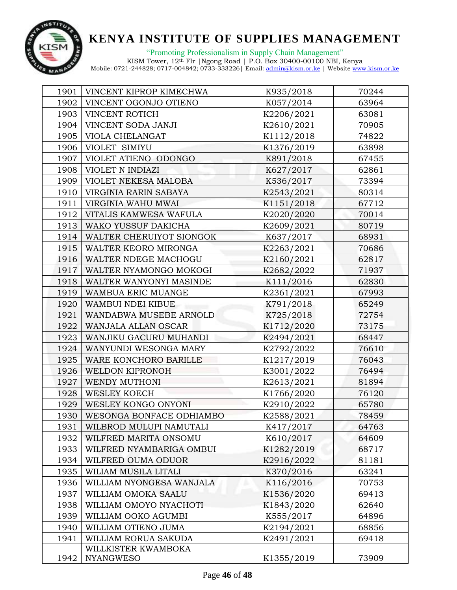

"Promoting Professionalism in Supply Chain Management" KISM Tower, 12th Flr |Ngong Road | P.O. Box 30400-00100 NBI, Kenya

| 1901 | VINCENT KIPROP KIMECHWA  | K935/2018  | 70244 |  |
|------|--------------------------|------------|-------|--|
| 1902 | VINCENT OGONJO OTIENO    | K057/2014  | 63964 |  |
| 1903 | VINCENT ROTICH           | K2206/2021 | 63081 |  |
| 1904 | VINCENT SODA JANJI       | K2610/2021 | 70905 |  |
| 1905 | VIOLA CHELANGAT          | K1112/2018 | 74822 |  |
| 1906 | VIOLET SIMIYU            | K1376/2019 | 63898 |  |
| 1907 | VIOLET ATIENO ODONGO     | K891/2018  | 67455 |  |
| 1908 | VIOLET N INDIAZI         | K627/2017  | 62861 |  |
| 1909 | VIOLET NEKESA MALOBA     | K536/2017  | 73394 |  |
| 1910 | VIRGINIA RARIN SABAYA    | K2543/2021 | 80314 |  |
| 1911 | VIRGINIA WAHU MWAI       | K1151/2018 | 67712 |  |
| 1912 | VITALIS KAMWESA WAFULA   | K2020/2020 | 70014 |  |
| 1913 | WAKO YUSSUF DAKICHA      | K2609/2021 | 80719 |  |
| 1914 | WALTER CHERUIYOT SIONGOK | K637/2017  | 68931 |  |
| 1915 | WALTER KEORO MIRONGA     | K2263/2021 | 70686 |  |
| 1916 | WALTER NDEGE MACHOGU     | K2160/2021 | 62817 |  |
| 1917 | WALTER NYAMONGO MOKOGI   | K2682/2022 | 71937 |  |
| 1918 | WALTER WANYONYI MASINDE  | K111/2016  | 62830 |  |
| 1919 | WAMBUA ERIC MUANGE       | K2361/2021 | 67993 |  |
| 1920 | WAMBUI NDEI KIBUE        | K791/2018  | 65249 |  |
| 1921 | WANDABWA MUSEBE ARNOLD   | K725/2018  | 72754 |  |
| 1922 | WANJALA ALLAN OSCAR      | K1712/2020 | 73175 |  |
| 1923 | WANJIKU GACURU MUHANDI   | K2494/2021 | 68447 |  |
| 1924 | WANYUNDI WESONGA MARY    | K2792/2022 | 76610 |  |
| 1925 | WARE KONCHORO BARILLE    | K1217/2019 | 76043 |  |
| 1926 | WELDON KIPRONOH          | K3001/2022 | 76494 |  |
| 1927 | WENDY MUTHONI            | K2613/2021 | 81894 |  |
| 1928 | <b>WESLEY KOECH</b>      | K1766/2020 | 76120 |  |
| 1929 | WESLEY KONGO ONYONI      | K2910/2022 | 65780 |  |
| 1930 | WESONGA BONFACE ODHIAMBO | K2588/2021 | 78459 |  |
| 1931 | WILBROD MULUPI NAMUTALI  | K417/2017  | 64763 |  |
| 1932 | WILFRED MARITA ONSOMU    | K610/2017  | 64609 |  |
| 1933 | WILFRED NYAMBARIGA OMBUI | K1282/2019 | 68717 |  |
| 1934 | WILFRED OUMA ODUOR       | K2916/2022 | 81181 |  |
| 1935 | WILIAM MUSILA LITALI     | K370/2016  | 63241 |  |
| 1936 | WILLIAM NYONGESA WANJALA | K116/2016  | 70753 |  |
| 1937 | WILLIAM OMOKA SAALU      | K1536/2020 | 69413 |  |
| 1938 | WILLIAM OMOYO NYACHOTI   | K1843/2020 | 62640 |  |
| 1939 | WILLIAM OOKO AGUMBI      | K555/2017  | 64896 |  |
| 1940 | WILLIAM OTIENO JUMA      | K2194/2021 | 68856 |  |
| 1941 | WILLIAM RORUA SAKUDA     | K2491/2021 | 69418 |  |
|      | WILLKISTER KWAMBOKA      |            |       |  |
| 1942 | <b>NYANGWESO</b>         | K1355/2019 | 73909 |  |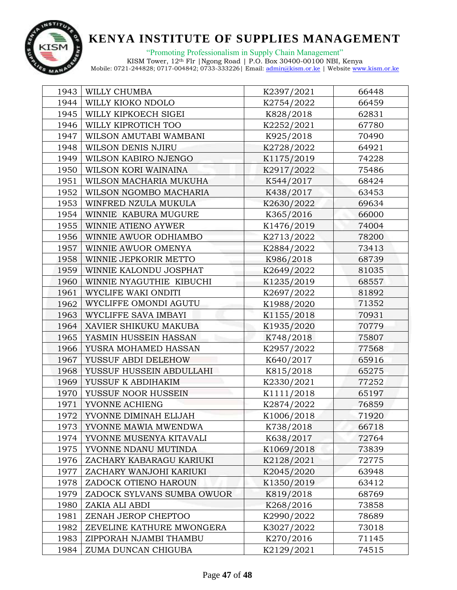

"Promoting Professionalism in Supply Chain Management"

| 1943 | WILLY CHUMBA                      | K2397/2021 | 66448 |
|------|-----------------------------------|------------|-------|
| 1944 | WILLY KIOKO NDOLO                 | K2754/2022 | 66459 |
| 1945 | WILLY KIPKOECH SIGEI<br>K828/2018 |            | 62831 |
| 1946 | WILLY KIPROTICH TOO               | K2252/2021 | 67780 |
| 1947 | WILSON AMUTABI WAMBANI            | K925/2018  | 70490 |
| 1948 | WILSON DENIS NJIRU                | K2728/2022 | 64921 |
| 1949 | WILSON KABIRO NJENGO              | K1175/2019 | 74228 |
| 1950 | WILSON KORI WAINAINA              | K2917/2022 | 75486 |
| 1951 | WILSON MACHARIA MUKUHA            | K544/2017  | 68424 |
| 1952 | WILSON NGOMBO MACHARIA            | K438/2017  | 63453 |
| 1953 | WINFRED NZULA MUKULA              | K2630/2022 | 69634 |
| 1954 | WINNIE KABURA MUGURE              | K365/2016  | 66000 |
| 1955 | WINNIE ATIENO AYWER               | K1476/2019 | 74004 |
| 1956 | WINNIE AWUOR ODHIAMBO             | K2713/2022 | 78200 |
| 1957 | WINNIE AWUOR OMENYA               | K2884/2022 | 73413 |
| 1958 | WINNIE JEPKORIR METTO             | K986/2018  | 68739 |
| 1959 | WINNIE KALONDU JOSPHAT            | K2649/2022 | 81035 |
| 1960 | WINNIE NYAGUTHIE KIBUCHI          | K1235/2019 | 68557 |
| 1961 | WYCLIFE WAKI ONDITI               | K2697/2022 | 81892 |
| 1962 | WYCLIFFE OMONDI AGUTU             | K1988/2020 | 71352 |
| 1963 | WYCLIFFE SAVA IMBAYI              | K1155/2018 | 70931 |
| 1964 | XAVIER SHIKUKU MAKUBA             | K1935/2020 | 70779 |
| 1965 | YASMIN HUSSEIN HASSAN             | K748/2018  | 75807 |
| 1966 | YUSRA MOHAMED HASSAN              | K2957/2022 | 77568 |
| 1967 | YUSSUF ABDI DELEHOW               | K640/2017  | 65916 |
| 1968 | YUSSUF HUSSEIN ABDULLAHI          | K815/2018  | 65275 |
| 1969 | YUSSUF K ABDIHAKIM                | K2330/2021 | 77252 |
| 1970 | YUSSUF NOOR HUSSEIN               | K1111/2018 | 65197 |
| 1971 | YVONNE ACHIENG                    | K2874/2022 | 76859 |
| 1972 | YVONNE DIMINAH ELIJAH             | K1006/2018 | 71920 |
| 1973 | YVONNE MAWIA MWENDWA              | K738/2018  | 66718 |
| 1974 | YVONNE MUSENYA KITAVALI           | K638/2017  | 72764 |
| 1975 | YVONNE NDANU MUTINDA              | K1069/2018 | 73839 |
| 1976 | ZACHARY KABARAGU KARIUKI          | K2128/2021 | 72775 |
| 1977 | ZACHARY WANJOHI KARIUKI           | K2045/2020 | 63948 |
| 1978 | ZADOCK OTIENO HAROUN              | K1350/2019 | 63412 |
| 1979 | ZADOCK SYLVANS SUMBA OWUOR        | K819/2018  | 68769 |
| 1980 | ZAKIA ALI ABDI                    | K268/2016  | 73858 |
| 1981 | ZENAH JEROP CHEPTOO               | K2990/2022 | 78689 |
| 1982 | ZEVELINE KATHURE MWONGERA         | K3027/2022 | 73018 |
| 1983 | ZIPPORAH NJAMBI THAMBU            | K270/2016  | 71145 |
| 1984 | ZUMA DUNCAN CHIGUBA               | K2129/2021 | 74515 |